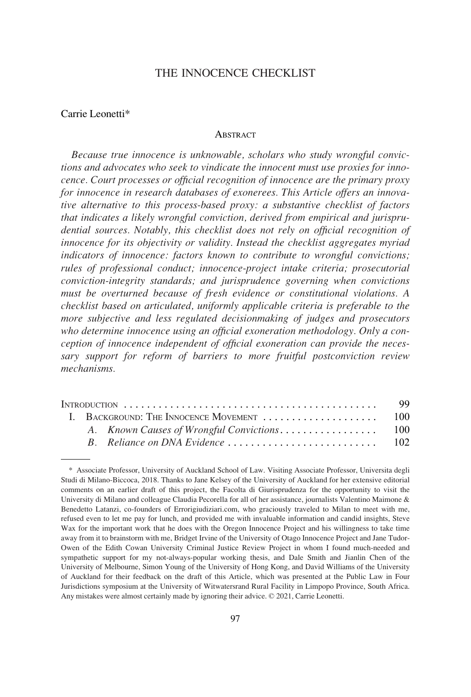# THE INNOCENCE CHECKLIST

# Carrie Leonetti\*

#### **ABSTRACT**

*Because true innocence is unknowable, scholars who study wrongful convictions and advocates who seek to vindicate the innocent must use proxies for innocence. Court processes or official recognition of innocence are the primary proxy for innocence in research databases of exonerees. This Article offers an innovative alternative to this process-based proxy: a substantive checklist of factors that indicates a likely wrongful conviction, derived from empirical and jurisprudential sources. Notably, this checklist does not rely on official recognition of innocence for its objectivity or validity. Instead the checklist aggregates myriad indicators of innocence: factors known to contribute to wrongful convictions; rules of professional conduct; innocence-project intake criteria; prosecutorial conviction-integrity standards; and jurisprudence governing when convictions must be overturned because of fresh evidence or constitutional violations. A checklist based on articulated, uniformly applicable criteria is preferable to the more subjective and less regulated decisionmaking of judges and prosecutors who determine innocence using an official exoneration methodology. Only a conception of innocence independent of official exoneration can provide the necessary support for reform of barriers to more fruitful postconviction review mechanisms.* 

|  |  |  | 100 |
|--|--|--|-----|
|  |  |  |     |
|  |  |  |     |

<sup>\*</sup> Associate Professor, University of Auckland School of Law. Visiting Associate Professor, Universita degli Studi di Milano-Biccoca, 2018. Thanks to Jane Kelsey of the University of Auckland for her extensive editorial comments on an earlier draft of this project, the Facolta di Giurisprudenza for the opportunity to visit the University di Milano and colleague Claudia Pecorella for all of her assistance, journalists Valentino Maimone & Benedetto Latanzi, co-founders of Errorigiudiziari.com, who graciously traveled to Milan to meet with me, refused even to let me pay for lunch, and provided me with invaluable information and candid insights, Steve Wax for the important work that he does with the Oregon Innocence Project and his willingness to take time away from it to brainstorm with me, Bridget Irvine of the University of Otago Innocence Project and Jane Tudor-Owen of the Edith Cowan University Criminal Justice Review Project in whom I found much-needed and sympathetic support for my not-always-popular working thesis, and Dale Smith and Jianlin Chen of the University of Melbourne, Simon Young of the University of Hong Kong, and David Williams of the University of Auckland for their feedback on the draft of this Article, which was presented at the Public Law in Four Jurisdictions symposium at the University of Witwatersrand Rural Facility in Limpopo Province, South Africa. Any mistakes were almost certainly made by ignoring their advice. © 2021, Carrie Leonetti.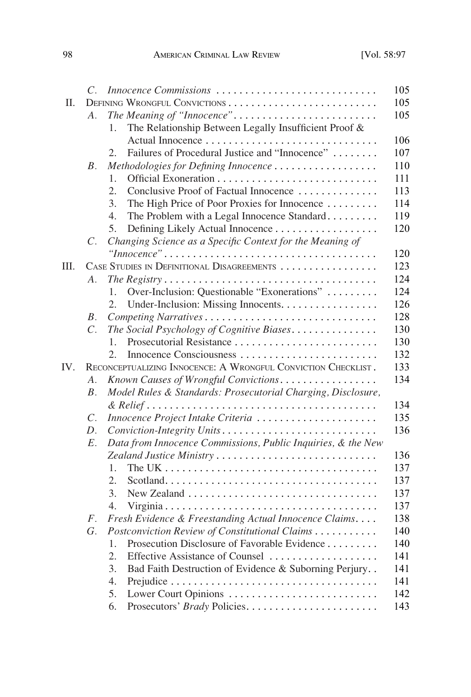|     | $\overline{C}$ .                                              | Innocence Commissions                                        |  |
|-----|---------------------------------------------------------------|--------------------------------------------------------------|--|
| Π.  |                                                               |                                                              |  |
|     | A.                                                            |                                                              |  |
|     |                                                               | The Relationship Between Legally Insufficient Proof &<br>1.  |  |
|     |                                                               |                                                              |  |
|     |                                                               | Failures of Procedural Justice and "Innocence"<br>2.         |  |
|     | <i>B</i> .                                                    | Methodologies for Defining Innocence                         |  |
|     |                                                               | 1.                                                           |  |
|     |                                                               | 2.<br>Conclusive Proof of Factual Innocence                  |  |
|     |                                                               | 3.<br>The High Price of Poor Proxies for Innocence           |  |
|     |                                                               | 4.<br>The Problem with a Legal Innocence Standard            |  |
|     |                                                               | Defining Likely Actual Innocence<br>5.                       |  |
|     | $\mathcal{C}.$                                                | Changing Science as a Specific Context for the Meaning of    |  |
|     |                                                               |                                                              |  |
| Ш.  |                                                               | CASE STUDIES IN DEFINITIONAL DISAGREEMENTS                   |  |
|     | A.                                                            |                                                              |  |
|     |                                                               | Over-Inclusion: Questionable "Exonerations"<br>1.            |  |
|     |                                                               | 2.<br>Under-Inclusion: Missing Innocents.                    |  |
|     | B.                                                            |                                                              |  |
|     | $C$ .                                                         | The Social Psychology of Cognitive Biases                    |  |
|     |                                                               | 1.                                                           |  |
|     |                                                               | $\mathfrak{2}$ .                                             |  |
| IV. | RECONCEPTUALIZING INNOCENCE: A WRONGFUL CONVICTION CHECKLIST. |                                                              |  |
|     | $\mathcal{A}$ .                                               | Known Causes of Wrongful Convictions                         |  |
|     | B <sub>1</sub>                                                | Model Rules & Standards: Prosecutorial Charging, Disclosure, |  |
|     |                                                               |                                                              |  |
|     | $\mathcal{C}.$                                                | Innocence Project Intake Criteria                            |  |
|     | D.                                                            | Conviction-Integrity Units                                   |  |
|     | $E$ .                                                         | Data from Innocence Commissions, Public Inquiries, & the New |  |
|     |                                                               |                                                              |  |
|     |                                                               | 1.                                                           |  |
|     |                                                               | 2.                                                           |  |
|     |                                                               | 3.                                                           |  |
|     |                                                               | 4.                                                           |  |
|     | $F_{\cdot}$                                                   | Fresh Evidence & Freestanding Actual Innocence Claims        |  |
|     | G.                                                            | Postconviction Review of Constitutional Claims               |  |
|     |                                                               | Prosecution Disclosure of Favorable Evidence<br>1.           |  |
|     |                                                               | Effective Assistance of Counsel<br>2.                        |  |
|     |                                                               | Bad Faith Destruction of Evidence & Suborning Perjury<br>3.  |  |
|     |                                                               | 4.                                                           |  |
|     |                                                               | 5.                                                           |  |
|     |                                                               | 6.                                                           |  |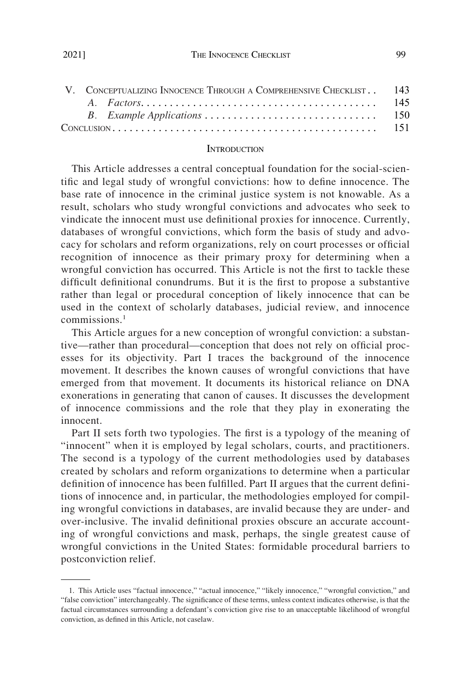<span id="page-2-0"></span>

|  |  | V. CONCEPTUALIZING INNOCENCE THROUGH A COMPREHENSIVE CHECKLIST. 143 |  |  |  |
|--|--|---------------------------------------------------------------------|--|--|--|
|  |  |                                                                     |  |  |  |
|  |  |                                                                     |  |  |  |
|  |  |                                                                     |  |  |  |

#### **INTRODUCTION**

This Article addresses a central conceptual foundation for the social-scientific and legal study of wrongful convictions: how to define innocence. The base rate of innocence in the criminal justice system is not knowable. As a result, scholars who study wrongful convictions and advocates who seek to vindicate the innocent must use definitional proxies for innocence. Currently, databases of wrongful convictions, which form the basis of study and advocacy for scholars and reform organizations, rely on court processes or official recognition of innocence as their primary proxy for determining when a wrongful conviction has occurred. This Article is not the first to tackle these difficult definitional conundrums. But it is the first to propose a substantive rather than legal or procedural conception of likely innocence that can be used in the context of scholarly databases, judicial review, and innocence  $commissions<sup>1</sup>$ 

This Article argues for a new conception of wrongful conviction: a substantive—rather than procedural—conception that does not rely on official processes for its objectivity. Part I traces the background of the innocence movement. It describes the known causes of wrongful convictions that have emerged from that movement. It documents its historical reliance on DNA exonerations in generating that canon of causes. It discusses the development of innocence commissions and the role that they play in exonerating the innocent.

Part II sets forth two typologies. The first is a typology of the meaning of "innocent" when it is employed by legal scholars, courts, and practitioners. The second is a typology of the current methodologies used by databases created by scholars and reform organizations to determine when a particular definition of innocence has been fulfilled. Part II argues that the current definitions of innocence and, in particular, the methodologies employed for compiling wrongful convictions in databases, are invalid because they are under- and over-inclusive. The invalid definitional proxies obscure an accurate accounting of wrongful convictions and mask, perhaps, the single greatest cause of wrongful convictions in the United States: formidable procedural barriers to postconviction relief.

<sup>1.</sup> This Article uses "factual innocence," "actual innocence," "likely innocence," "wrongful conviction," and "false conviction" interchangeably. The significance of these terms, unless context indicates otherwise, is that the factual circumstances surrounding a defendant's conviction give rise to an unacceptable likelihood of wrongful conviction, as defined in this Article, not caselaw.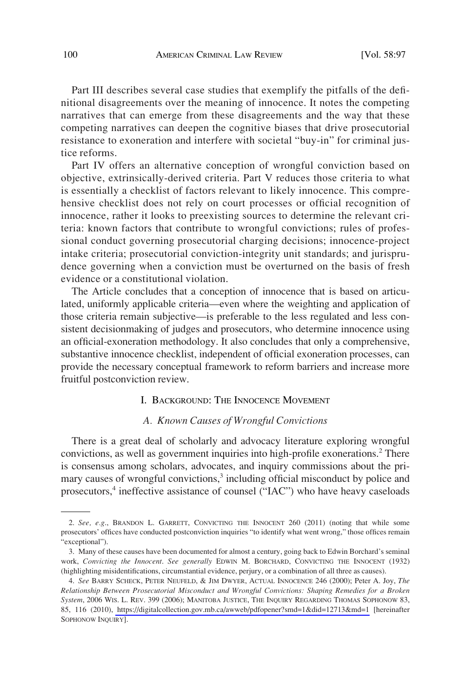<span id="page-3-0"></span>Part III describes several case studies that exemplify the pitfalls of the definitional disagreements over the meaning of innocence. It notes the competing narratives that can emerge from these disagreements and the way that these competing narratives can deepen the cognitive biases that drive prosecutorial resistance to exoneration and interfere with societal "buy-in" for criminal justice reforms.

Part IV offers an alternative conception of wrongful conviction based on objective, extrinsically-derived criteria. Part V reduces those criteria to what is essentially a checklist of factors relevant to likely innocence. This comprehensive checklist does not rely on court processes or official recognition of innocence, rather it looks to preexisting sources to determine the relevant criteria: known factors that contribute to wrongful convictions; rules of professional conduct governing prosecutorial charging decisions; innocence-project intake criteria; prosecutorial conviction-integrity unit standards; and jurisprudence governing when a conviction must be overturned on the basis of fresh evidence or a constitutional violation.

The Article concludes that a conception of innocence that is based on articulated, uniformly applicable criteria—even where the weighting and application of those criteria remain subjective—is preferable to the less regulated and less consistent decisionmaking of judges and prosecutors, who determine innocence using an official-exoneration methodology. It also concludes that only a comprehensive, substantive innocence checklist, independent of official exoneration processes, can provide the necessary conceptual framework to reform barriers and increase more fruitful postconviction review.

# I. BACKGROUND: THE INNOCENCE MOVEMENT

# *A. Known Causes of Wrongful Convictions*

There is a great deal of scholarly and advocacy literature exploring wrongful convictions, as well as government inquiries into high-profile exonerations.2 There is consensus among scholars, advocates, and inquiry commissions about the primary causes of wrongful convictions,<sup>3</sup> including official misconduct by police and prosecutors,<sup>4</sup> ineffective assistance of counsel ("IAC") who have heavy caseloads

<sup>2.</sup> *See, e.g*., BRANDON L. GARRETT, CONVICTING THE INNOCENT 260 (2011) (noting that while some prosecutors' offices have conducted postconviction inquiries "to identify what went wrong," those offices remain "exceptional").

<sup>3.</sup> Many of these causes have been documented for almost a century, going back to Edwin Borchard's seminal work, *Convicting the Innocent*. *See generally* EDWIN M. BORCHARD, CONVICTING THE INNOCENT (1932) (highlighting misidentifications, circumstantial evidence, perjury, or a combination of all three as causes).

*See* BARRY SCHECK, PETER NEUFELD, & JIM DWYER, ACTUAL INNOCENCE 246 (2000); Peter A. Joy, *The*  4. *Relationship Between Prosecutorial Misconduct and Wrongful Convictions: Shaping Remedies for a Broken System*, 2006 WIS. L. REV. 399 (2006); MANITOBA JUSTICE, THE INQUIRY REGARDING THOMAS SOPHONOW 83, 85, 116 (2010), <https://digitalcollection.gov.mb.ca/awweb/pdfopener?smd=1&did=12713&md=1>[hereinafter SOPHONOW INQUIRY].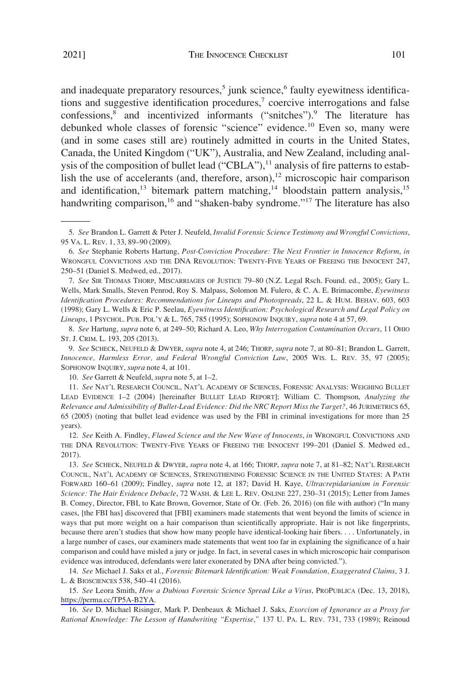and inadequate preparatory resources, $5$  junk science, $6$  faulty eyewitness identifications and suggestive identification procedures, $\alpha$  coercive interrogations and false confessions,8 and incentivized informants ("snitches").9 The literature has debunked whole classes of forensic "science" evidence.<sup>10</sup> Even so, many were (and in some cases still are) routinely admitted in courts in the United States, Canada, the United Kingdom ("UK"), Australia, and New Zealand, including analysis of the composition of bullet lead ("CBLA"),<sup>11</sup> analysis of fire patterns to establish the use of accelerants (and, therefore, arson), $12$  microscopic hair comparison and identification,<sup>13</sup> bitemark pattern matching,<sup>14</sup> bloodstain pattern analysis,<sup>15</sup> handwriting comparison,<sup>16</sup> and "shaken-baby syndrome."<sup>17</sup> The literature has also

8. *See* Hartung, *supra* note 6, at 249–50; Richard A. Leo, *Why Interrogation Contamination Occurs*, 11 OHIO ST. J. CRIM. L. 193, 205 (2013).

9. *See* SCHECK, NEUFELD & DWYER, *supra* note 4, at 246; THORP, *supra* note 7, at 80–81; Brandon L. Garrett, *Innocence, Harmless Error, and Federal Wrongful Conviction Law*, 2005 WIS. L. REV. 35, 97 (2005); SOPHONOW INQUIRY, *supra* note 4, at 101.

10. *See* Garrett & Neufeld, *supra* note 5, at 1–2.

<sup>5.</sup> *See* Brandon L. Garrett & Peter J. Neufeld, *Invalid Forensic Science Testimony and Wrongful Convictions*, 95 VA. L. REV. 1, 33, 89–90 (2009).

<sup>6.</sup> *See* Stephanie Roberts Hartung, *Post-Conviction Procedure: The Next Frontier in Innocence Reform*, *in*  WRONGFUL CONVICTIONS AND THE DNA REVOLUTION: TWENTY-FIVE YEARS OF FREEING THE INNOCENT 247, 250–51 (Daniel S. Medwed, ed., 2017).

<sup>7.</sup> *See* SIR THOMAS THORP, MISCARRIAGES OF JUSTICE 79–80 (N.Z. Legal Rsch. Found. ed., 2005); Gary L. Wells, Mark Smalls, Steven Penrod, Roy S. Malpass, Solomon M. Fulero, & C. A. E. Brimacombe, *Eyewitness Identification Procedures: Recommendations for Lineups and Photospreads*, 22 L. & HUM. BEHAV. 603, 603 (1998); Gary L. Wells & Eric P. Seelau, *Eyewitness Identification: Psychological Research and Legal Policy on Lineups*, 1 PSYCHOL. PUB. POL'Y & L. 765, 785 (1995); SOPHONOW INQUIRY, *supra* note 4 at 57, 69.

<sup>11.</sup> *See* NAT'L RESEARCH COUNCIL, NAT'L ACADEMY OF SCIENCES, FORENSIC ANALYSIS: WEIGHING BULLET LEAD EVIDENCE 1–2 (2004) [hereinafter BULLET LEAD REPORT]; William C. Thompson, *Analyzing the Relevance and Admissibility of Bullet-Lead Evidence: Did the NRC Report Miss the Target?*, 46 JURIMETRICS 65, 65 (2005) (noting that bullet lead evidence was used by the FBI in criminal investigations for more than 25 years).

<sup>12.</sup> *See* Keith A. Findley, *Flawed Science and the New Wave of Innocents*, *in* WRONGFUL CONVICTIONS AND THE DNA REVOLUTION: TWENTY-FIVE YEARS OF FREEING THE INNOCENT 199–201 (Daniel S. Medwed ed., 2017).

<sup>13.</sup> *See* SCHECK, NEUFELD & DWYER, *supra* note 4, at 166; THORP, *supra* note 7, at 81–82; NAT'L RESEARCH COUNCIL, NAT'L ACADEMY OF SCIENCES, STRENGTHENING FORENSIC SCIENCE IN THE UNITED STATES: A PATH FORWARD 160–61 (2009); Findley, *supra* note 12, at 187; David H. Kaye, *Ultracrepidarianism in Forensic Science: The Hair Evidence Debacle*, 72 WASH. & LEE L. REV. ONLINE 227, 230–31 (2015); Letter from James B. Comey, Director, FBI, to Kate Brown, Governor, State of Or. (Feb. 26, 2016) (on file with author) ("In many cases, [the FBI has] discovered that [FBI] examiners made statements that went beyond the limits of science in ways that put more weight on a hair comparison than scientifically appropriate. Hair is not like fingerprints, because there aren't studies that show how many people have identical-looking hair fibers. . . . Unfortunately, in a large number of cases, our examiners made statements that went too far in explaining the significance of a hair comparison and could have misled a jury or judge. In fact, in several cases in which microscopic hair comparison evidence was introduced, defendants were later exonerated by DNA after being convicted.").

<sup>14.</sup> *See* Michael J. Saks et al., *Forensic Bitemark Identification: Weak Foundation, Exaggerated Claims*, 3 J. L. & BIOSCIENCES 538, 540–41 (2016).

<sup>15.</sup> See Leora Smith, *How a Dubious Forensic Science Spread Like a Virus*, PROPUBLICA (Dec. 13, 2018), <https://perma.cc/TP5A-B2YA>.

<sup>16.</sup> *See* D. Michael Risinger, Mark P. Denbeaux & Michael J. Saks, *Exorcism of Ignorance as a Proxy for Rational Knowledge: The Lesson of Handwriting "Expertise*,*"* 137 U. PA. L. REV. 731, 733 (1989); Reinoud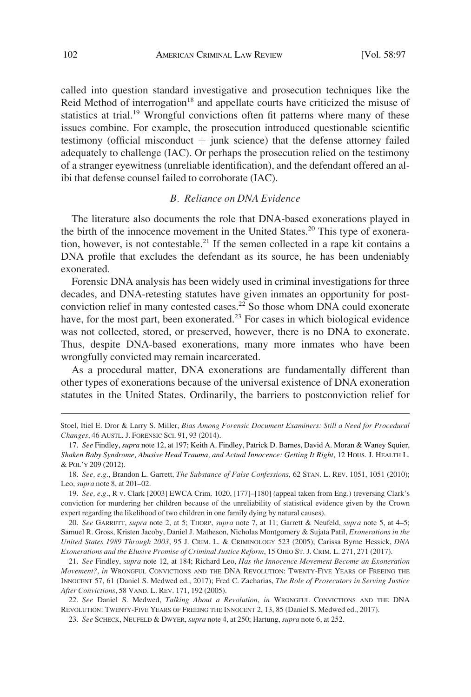<span id="page-5-0"></span>called into question standard investigative and prosecution techniques like the Reid Method of interrogation<sup>18</sup> and appellate courts have criticized the misuse of statistics at trial.<sup>19</sup> Wrongful convictions often fit patterns where many of these issues combine. For example, the prosecution introduced questionable scientific testimony (official misconduct  $+$  junk science) that the defense attorney failed adequately to challenge (IAC). Or perhaps the prosecution relied on the testimony of a stranger eyewitness (unreliable identification), and the defendant offered an alibi that defense counsel failed to corroborate (IAC).

# *B. Reliance on DNA Evidence*

The literature also documents the role that DNA-based exonerations played in the birth of the innocence movement in the United States.<sup>20</sup> This type of exoneration, however, is not contestable.<sup>21</sup> If the semen collected in a rape kit contains a DNA profile that excludes the defendant as its source, he has been undeniably exonerated.

Forensic DNA analysis has been widely used in criminal investigations for three decades, and DNA-retesting statutes have given inmates an opportunity for postconviction relief in many contested cases.<sup>22</sup> So those whom DNA could exonerate have, for the most part, been exonerated.<sup>23</sup> For cases in which biological evidence was not collected, stored, or preserved, however, there is no DNA to exonerate. Thus, despite DNA-based exonerations, many more inmates who have been wrongfully convicted may remain incarcerated.

As a procedural matter, DNA exonerations are fundamentally different than other types of exonerations because of the universal existence of DNA exoneration statutes in the United States. Ordinarily, the barriers to postconviction relief for

20. *See* GARRETT, *supra* note 2, at 5; THORP, *supra* note 7, at 11; Garrett & Neufeld, *supra* note 5, at 4–5; Samuel R. Gross, Kristen Jacoby, Daniel J. Matheson, Nicholas Montgomery & Sujata Patil, *Exonerations in the United States 1989 Through 2003*, 95 J. CRIM. L. & CRIMINOLOGY 523 (2005); Carissa Byrne Hessick, *DNA Exonerations and the Elusive Promise of Criminal Justice Reform*, 15 OHIO ST. J. CRIM. L. 271, 271 (2017).

21. *See* Findley, *supra* note 12, at 184; Richard Leo, *Has the Innocence Movement Become an Exoneration Movement?*, *in* WRONGFUL CONVICTIONS AND THE DNA REVOLUTION: TWENTY-FIVE YEARS OF FREEING THE INNOCENT 57, 61 (Daniel S. Medwed ed., 2017); Fred C. Zacharias, *The Role of Prosecutors in Serving Justice After Convictions*, 58 VAND. L. REV. 171, 192 (2005).

22. *See* Daniel S. Medwed, *Talking About a Revolution*, *in* WRONGFUL CONVICTIONS AND THE DNA REVOLUTION: TWENTY-FIVE YEARS OF FREEING THE INNOCENT 2, 13, 85 (Daniel S. Medwed ed., 2017).

23. *See* SCHECK, NEUFELD & DWYER, *supra* note 4, at 250; Hartung, *supra* note 6, at 252.

Stoel, Itiel E. Dror & Larry S. Miller, *Bias Among Forensic Document Examiners: Still a Need for Procedural Changes*, 46 AUSTL. J. FORENSIC SCI. 91, 93 (2014).

<sup>17.</sup> *See* Findley, *supra* note 12, at 197; Keith A. Findley, Patrick D. Barnes, David A. Moran & Waney Squier, *Shaken Baby Syndrome, Abusive Head Trauma, and Actual Innocence: Getting It Right*, 12 HOUS. J. HEALTH L. & POL'Y 209 (2012).

<sup>18.</sup> *See, e.g*., Brandon L. Garrett, *The Substance of False Confessions*, 62 STAN. L. REV. 1051, 1051 (2010); Leo, *supra* note 8, at 201–02.

<sup>19.</sup> *See, e.g*., R v. Clark [2003] EWCA Crim. 1020, [177]–[180] (appeal taken from Eng.) (reversing Clark's conviction for murdering her children because of the unreliability of statistical evidence given by the Crown expert regarding the likelihood of two children in one family dying by natural causes).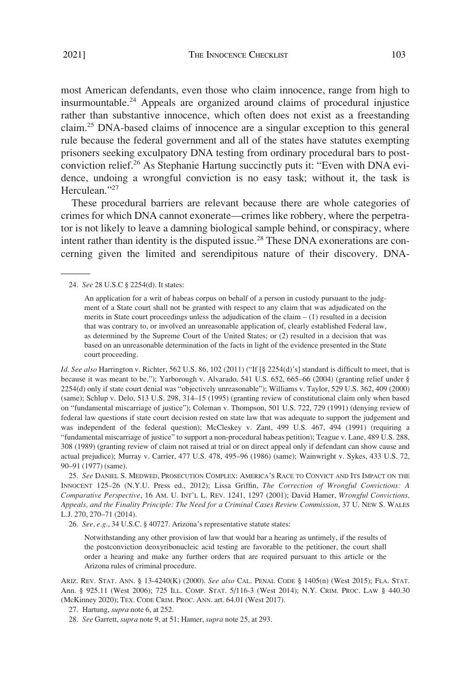most American defendants, even those who claim innocence, range from high to insurmountable.24 Appeals are organized around claims of procedural injustice rather than substantive innocence, which often does not exist as a freestanding claim.25 DNA-based claims of innocence are a singular exception to this general rule because the federal government and all of the states have statutes exempting prisoners seeking exculpatory DNA testing from ordinary procedural bars to postconviction relief.26 As Stephanie Hartung succinctly puts it: "Even with DNA evidence, undoing a wrongful conviction is no easy task; without it, the task is Herculean."<sup>27</sup>

These procedural barriers are relevant because there are whole categories of crimes for which DNA cannot exonerate—crimes like robbery, where the perpetrator is not likely to leave a damning biological sample behind, or conspiracy, where intent rather than identity is the disputed issue.<sup>28</sup> These DNA exonerations are concerning given the limited and serendipitous nature of their discovery. DNA-

#### 24. *See* 28 U.S.C § 2254(d). It states:

An application for a writ of habeas corpus on behalf of a person in custody pursuant to the judgment of a State court shall not be granted with respect to any claim that was adjudicated on the merits in State court proceedings unless the adjudication of the claim  $- (1)$  resulted in a decision that was contrary to, or involved an unreasonable application of, clearly established Federal law, as determined by the Supreme Court of the United States; or (2) resulted in a decision that was based on an unreasonable determination of the facts in light of the evidence presented in the State court proceeding.

*Id. See also* Harrington v. Richter, 562 U.S. 86, 102 (2011) ("If [§ 2254(d)'s] standard is difficult to meet, that is because it was meant to be."); Yarborough v. Alvarado, 541 U.S. 652, 665–66 (2004) (granting relief under § 2254(d) only if state court denial was "objectively unreasonable"); Williams v. Taylor, 529 U.S. 362, 409 (2000) (same); Schlup v. Delo, 513 U.S. 298, 314–15 (1995) (granting review of constitutional claim only when based on "fundamental miscarriage of justice"); Coleman v. Thompson, 501 U.S. 722, 729 (1991) (denying review of federal law questions if state court decision rested on state law that was adequate to support the judgement and was independent of the federal question); McCleskey v. Zant, 499 U.S. 467, 494 (1991) (requiring a "fundamental miscarriage of justice" to support a non-procedural habeas petition); Teague v. Lane, 489 U.S. 288, 308 (1989) (granting review of claim not raised at trial or on direct appeal only if defendant can show cause and actual prejudice); Murray v. Carrier, 477 U.S. 478, 495–96 (1986) (same); Wainwright v. Sykes, 433 U.S. 72, 90–91 (1977) (same).

25. *See* DANIEL S. MEDWED, PROSECUTION COMPLEX: AMERICA'S RACE TO CONVICT AND ITS IMPACT ON THE INNOCENT 125–26 (N.Y.U. Press ed., 2012); Lissa Griffin, *The Correction of Wrongful Convictions: A Comparative Perspective*, 16 AM. U. INT'L L. REV. 1241, 1297 (2001); David Hamer, *Wrongful Convictions, Appeals, and the Finality Principle: The Need for a Criminal Cases Review Commission*, 37 U. NEW S. WALES L.J. 270, 270–71 (2014).

26. *See, e.g*., 34 U.S.C. § 40727. Arizona's representative statute states:

Notwithstanding any other provision of law that would bar a hearing as untimely, if the results of the postconviction deoxyribonucleic acid testing are favorable to the petitioner, the court shall order a hearing and make any further orders that are required pursuant to this article or the Arizona rules of criminal procedure.

ARIZ. REV. STAT. ANN. § 13-4240(K) (2000). *See also* CAL. PENAL CODE § 1405(n) (West 2015); FLA. STAT. Ann. § 925.11 (West 2006); 725 ILL. COMP. STAT. 5/116-3 (West 2014); N.Y. CRIM. PROC. LAW § 440.30 (McKinney 2020); TEX. CODE CRIM. PROC. ANN. art. 64.01 (West 2017).

27. Hartung, *supra* note 6, at 252.

28. *See* Garrett, *supra* note 9, at 51; Hamer, *supra* note 25, at 293.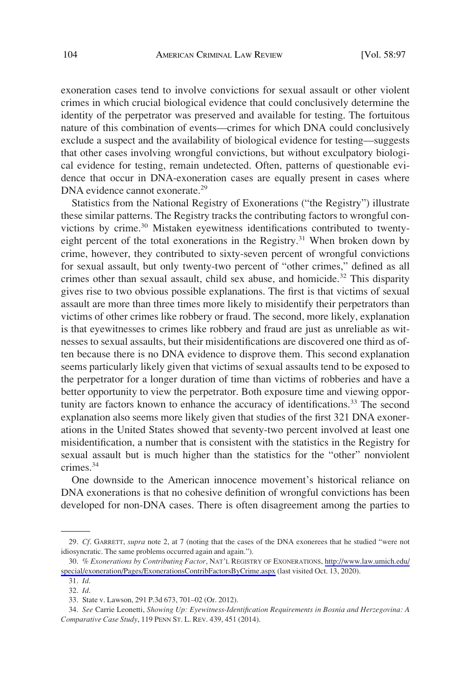exoneration cases tend to involve convictions for sexual assault or other violent crimes in which crucial biological evidence that could conclusively determine the identity of the perpetrator was preserved and available for testing. The fortuitous nature of this combination of events—crimes for which DNA could conclusively exclude a suspect and the availability of biological evidence for testing—suggests that other cases involving wrongful convictions, but without exculpatory biological evidence for testing, remain undetected. Often, patterns of questionable evidence that occur in DNA-exoneration cases are equally present in cases where DNA evidence cannot exonerate.<sup>29</sup>

Statistics from the National Registry of Exonerations ("the Registry") illustrate these similar patterns. The Registry tracks the contributing factors to wrongful convictions by crime.<sup>30</sup> Mistaken eyewitness identifications contributed to twentyeight percent of the total exonerations in the Registry.<sup>31</sup> When broken down by crime, however, they contributed to sixty-seven percent of wrongful convictions for sexual assault, but only twenty-two percent of "other crimes," defined as all crimes other than sexual assault, child sex abuse, and homicide.<sup>32</sup> This disparity gives rise to two obvious possible explanations. The first is that victims of sexual assault are more than three times more likely to misidentify their perpetrators than victims of other crimes like robbery or fraud. The second, more likely, explanation is that eyewitnesses to crimes like robbery and fraud are just as unreliable as witnesses to sexual assaults, but their misidentifications are discovered one third as often because there is no DNA evidence to disprove them. This second explanation seems particularly likely given that victims of sexual assaults tend to be exposed to the perpetrator for a longer duration of time than victims of robberies and have a better opportunity to view the perpetrator. Both exposure time and viewing opportunity are factors known to enhance the accuracy of identifications.<sup>33</sup> The second explanation also seems more likely given that studies of the first 321 DNA exonerations in the United States showed that seventy-two percent involved at least one misidentification, a number that is consistent with the statistics in the Registry for sexual assault but is much higher than the statistics for the "other" nonviolent crimes.34

One downside to the American innocence movement's historical reliance on DNA exonerations is that no cohesive definition of wrongful convictions has been developed for non-DNA cases. There is often disagreement among the parties to

<sup>29.</sup> *Cf*. GARRETT, *supra* note 2, at 7 (noting that the cases of the DNA exonerees that he studied "were not idiosyncratic. The same problems occurred again and again.").

*<sup>%</sup> Exonerations by Contributing Factor*, NAT'L REGISTRY OF EXONERATIONS, [http://www.law.umich.edu/](http://www.law.umich.edu/special/exoneration/Pages/ExonerationsContribFactorsByCrime.aspx) 30. [special/exoneration/Pages/ExonerationsContribFactorsByCrime.aspx](http://www.law.umich.edu/special/exoneration/Pages/ExonerationsContribFactorsByCrime.aspx) (last visited Oct. 13, 2020).

<sup>31.</sup> *Id*. 32. *Id*.

<sup>33.</sup> State v. Lawson, 291 P.3d 673, 701–02 (Or. 2012).

<sup>34.</sup> *See* Carrie Leonetti, *Showing Up: Eyewitness-Identification Requirements in Bosnia and Herzegovina: A Comparative Case Study*, 119 PENN ST. L. REV. 439, 451 (2014).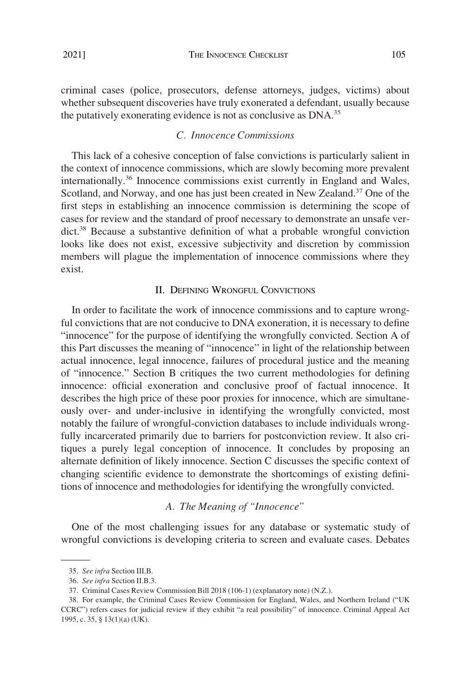<span id="page-8-0"></span>criminal cases (police, prosecutors, defense attorneys, judges, victims) about whether subsequent discoveries have truly exonerated a defendant, usually because the putatively exonerating evidence is not as conclusive as DNA.<sup>35</sup>

# *C. Innocence Commissions*

This lack of a cohesive conception of false convictions is particularly salient in the context of innocence commissions, which are slowly becoming more prevalent internationally.36 Innocence commissions exist currently in England and Wales, Scotland, and Norway, and one has just been created in New Zealand.<sup>37</sup> One of the first steps in establishing an innocence commission is determining the scope of cases for review and the standard of proof necessary to demonstrate an unsafe verdict.<sup>38</sup> Because a substantive definition of what a probable wrongful conviction looks like does not exist, excessive subjectivity and discretion by commission members will plague the implementation of innocence commissions where they exist.

# II. DEFINING WRONGFUL CONVICTIONS

In order to facilitate the work of innocence commissions and to capture wrongful convictions that are not conducive to DNA exoneration, it is necessary to define "innocence" for the purpose of identifying the wrongfully convicted. Section A of this Part discusses the meaning of "innocence" in light of the relationship between actual innocence, legal innocence, failures of procedural justice and the meaning of "innocence." Section B critiques the two current methodologies for defining innocence: official exoneration and conclusive proof of factual innocence. It describes the high price of these poor proxies for innocence, which are simultaneously over- and under-inclusive in identifying the wrongfully convicted, most notably the failure of wrongful-conviction databases to include individuals wrongfully incarcerated primarily due to barriers for postconviction review. It also critiques a purely legal conception of innocence. It concludes by proposing an alternate definition of likely innocence. Section C discusses the specific context of changing scientific evidence to demonstrate the shortcomings of existing definitions of innocence and methodologies for identifying the wrongfully convicted.

# *A. The Meaning of "Innocence"*

One of the most challenging issues for any database or systematic study of wrongful convictions is developing criteria to screen and evaluate cases. Debates

<sup>35.</sup> *See infra* Section III.B.

<sup>36.</sup> *See infra* Section II.B.3.

<sup>37.</sup> Criminal Cases Review Commission Bill 2018 (106-1) (explanatory note) (N.Z.).

<sup>38.</sup> For example, the Criminal Cases Review Commission for England, Wales, and Northern Ireland ("UK CCRC") refers cases for judicial review if they exhibit "a real possibility" of innocence. Criminal Appeal Act 1995, c. 35, § 13(1)(a) (UK).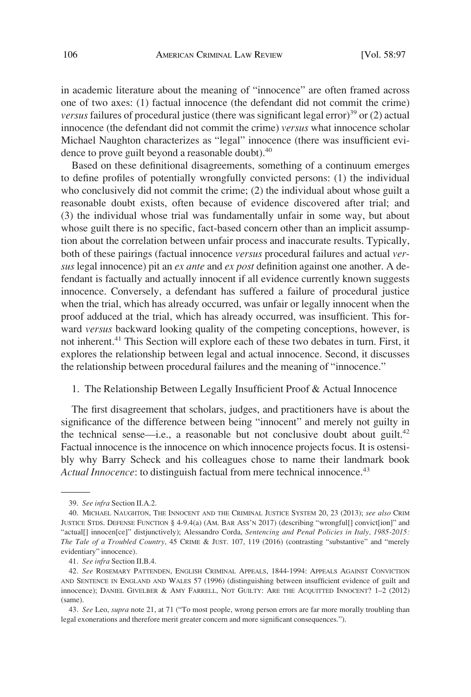<span id="page-9-0"></span>in academic literature about the meaning of "innocence" are often framed across one of two axes: (1) factual innocence (the defendant did not commit the crime) *versus* failures of procedural justice (there was significant legal error)<sup>39</sup> or (2) actual innocence (the defendant did not commit the crime) *versus* what innocence scholar Michael Naughton characterizes as "legal" innocence (there was insufficient evidence to prove guilt beyond a reasonable doubt).<sup>40</sup>

Based on these definitional disagreements, something of a continuum emerges to define profiles of potentially wrongfully convicted persons: (1) the individual who conclusively did not commit the crime; (2) the individual about whose guilt a reasonable doubt exists, often because of evidence discovered after trial; and (3) the individual whose trial was fundamentally unfair in some way, but about whose guilt there is no specific, fact-based concern other than an implicit assumption about the correlation between unfair process and inaccurate results. Typically, both of these pairings (factual innocence *versus* procedural failures and actual *versus* legal innocence) pit an *ex ante* and *ex post* definition against one another. A defendant is factually and actually innocent if all evidence currently known suggests innocence. Conversely, a defendant has suffered a failure of procedural justice when the trial, which has already occurred, was unfair or legally innocent when the proof adduced at the trial, which has already occurred, was insufficient. This forward *versus* backward looking quality of the competing conceptions, however, is not inherent.<sup>41</sup> This Section will explore each of these two debates in turn. First, it explores the relationship between legal and actual innocence. Second, it discusses the relationship between procedural failures and the meaning of "innocence."

# 1. The Relationship Between Legally Insufficient Proof & Actual Innocence

The first disagreement that scholars, judges, and practitioners have is about the significance of the difference between being "innocent" and merely not guilty in the technical sense—i.e., a reasonable but not conclusive doubt about guilt.<sup>42</sup> Factual innocence is the innocence on which innocence projects focus. It is ostensibly why Barry Scheck and his colleagues chose to name their landmark book *Actual Innocence*: to distinguish factual from mere technical innocence.<sup>43</sup>

<sup>39.</sup> *See infra* Section II.A.2.

<sup>40.</sup> MICHAEL NAUGHTON, THE INNOCENT AND THE CRIMINAL JUSTICE SYSTEM 20, 23 (2013); *see also* CRIM JUSTICE STDS. DEFENSE FUNCTION § 4-9.4(a) (AM. BAR ASS'N 2017) (describing "wrongful[] convict[ion]" and "actual[] innocen[ce]" distjunctively); Alessandro Corda, *Sentencing and Penal Policies in Italy, 1985-2015: The Tale of a Troubled Country*, 45 CRIME & JUST. 107, 119 (2016) (contrasting "substantive" and "merely evidentiary" innocence).

<sup>41.</sup> *See infra* Section II.B.4.

<sup>42.</sup> *See* ROSEMARY PATTENDEN, ENGLISH CRIMINAL APPEALS, 1844-1994: APPEALS AGAINST CONVICTION AND SENTENCE IN ENGLAND AND WALES 57 (1996) (distinguishing between insufficient evidence of guilt and innocence); DANIEL GIVELBER & AMY FARRELL, NOT GUILTY: ARE THE ACQUITTED INNOCENT? 1–2 (2012) (same).

<sup>43.</sup> *See* Leo, *supra* note 21, at 71 ("To most people, wrong person errors are far more morally troubling than legal exonerations and therefore merit greater concern and more significant consequences.").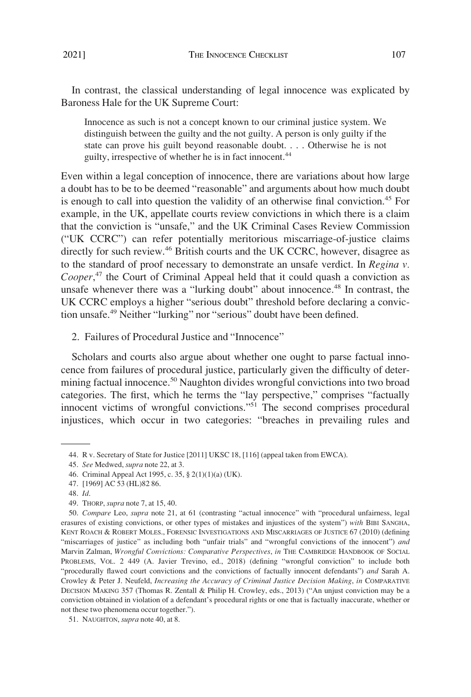<span id="page-10-0"></span>In contrast, the classical understanding of legal innocence was explicated by Baroness Hale for the UK Supreme Court:

Innocence as such is not a concept known to our criminal justice system. We distinguish between the guilty and the not guilty. A person is only guilty if the state can prove his guilt beyond reasonable doubt. . . . Otherwise he is not guilty, irrespective of whether he is in fact innocent.<sup>44</sup>

Even within a legal conception of innocence, there are variations about how large a doubt has to be to be deemed "reasonable" and arguments about how much doubt is enough to call into question the validity of an otherwise final conviction.<sup>45</sup> For example, in the UK, appellate courts review convictions in which there is a claim that the conviction is "unsafe," and the UK Criminal Cases Review Commission ("UK CCRC") can refer potentially meritorious miscarriage-of-justice claims directly for such review.46 British courts and the UK CCRC, however, disagree as to the standard of proof necessary to demonstrate an unsafe verdict. In *Regina v. Cooper*, 47 the Court of Criminal Appeal held that it could quash a conviction as unsafe whenever there was a "lurking doubt" about innocence.48 In contrast, the UK CCRC employs a higher "serious doubt" threshold before declaring a conviction unsafe.49 Neither "lurking" nor "serious" doubt have been defined.

2. Failures of Procedural Justice and "Innocence"

Scholars and courts also argue about whether one ought to parse factual innocence from failures of procedural justice, particularly given the difficulty of determining factual innocence.<sup>50</sup> Naughton divides wrongful convictions into two broad categories. The first, which he terms the "lay perspective," comprises "factually innocent victims of wrongful convictions."51 The second comprises procedural injustices, which occur in two categories: "breaches in prevailing rules and

<sup>44.</sup> R v. Secretary of State for Justice [2011] UKSC 18, [116] (appeal taken from EWCA).

<sup>45.</sup> *See* Medwed, *supra* note 22, at 3.

<sup>46.</sup> Criminal Appeal Act 1995, c. 35, § 2(1)(1)(a) (UK).

<sup>47. [1969]</sup> AC 53 (HL)82 86.

<sup>48.</sup> *Id*.

<sup>49.</sup> THORP, *supra* note 7, at 15, 40.

<sup>50.</sup> *Compare* Leo, *supra* note 21, at 61 (contrasting "actual innocence" with "procedural unfairness, legal erasures of existing convictions, or other types of mistakes and injustices of the system") *with* BIBI SANGHA, KENT ROACH & ROBERT MOLES., FORENSIC INVESTIGATIONS AND MISCARRIAGES OF JUSTICE 67 (2010) (defining "miscarriages of justice" as including both "unfair trials" and "wrongful convictions of the innocent") *and*  Marvin Zalman, *Wrongful Convictions: Comparative Perspectives*, *in* THE CAMBRIDGE HANDBOOK OF SOCIAL PROBLEMS, VOL. 2 449 (A. Javier Trevino, ed., 2018) (defining "wrongful conviction" to include both "procedurally flawed court convictions and the convictions of factually innocent defendants") *and* Sarah A. Crowley & Peter J. Neufeld, *Increasing the Accuracy of Criminal Justice Decision Making*, *in* COMPARATIVE DECISION MAKING 357 (Thomas R. Zentall & Philip H. Crowley, eds., 2013) ("An unjust conviction may be a conviction obtained in violation of a defendant's procedural rights or one that is factually inaccurate, whether or not these two phenomena occur together.").

<sup>51.</sup> NAUGHTON, *supra* note 40, at 8.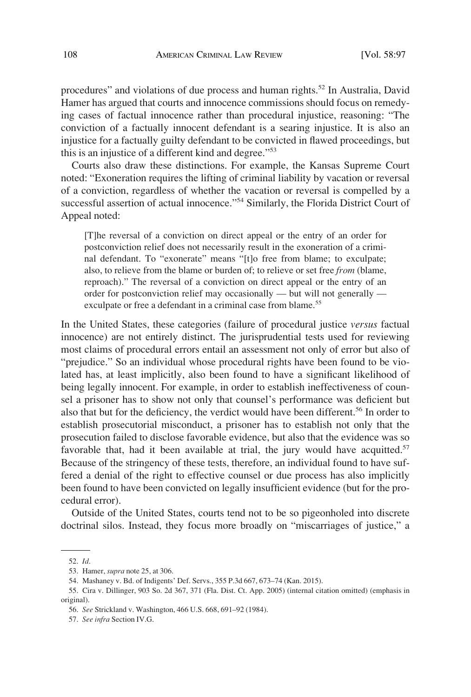procedures" and violations of due process and human rights.<sup>52</sup> In Australia, David Hamer has argued that courts and innocence commissions should focus on remedying cases of factual innocence rather than procedural injustice, reasoning: "The conviction of a factually innocent defendant is a searing injustice. It is also an injustice for a factually guilty defendant to be convicted in flawed proceedings, but this is an injustice of a different kind and degree."53

Courts also draw these distinctions. For example, the Kansas Supreme Court noted: "Exoneration requires the lifting of criminal liability by vacation or reversal of a conviction, regardless of whether the vacation or reversal is compelled by a successful assertion of actual innocence."<sup>54</sup> Similarly, the Florida District Court of Appeal noted:

[T]he reversal of a conviction on direct appeal or the entry of an order for postconviction relief does not necessarily result in the exoneration of a criminal defendant. To "exonerate" means "[t]o free from blame; to exculpate; also, to relieve from the blame or burden of; to relieve or set free *from* (blame, reproach)." The reversal of a conviction on direct appeal or the entry of an order for postconviction relief may occasionally — but will not generally exculpate or free a defendant in a criminal case from blame.<sup>55</sup>

In the United States, these categories (failure of procedural justice *versus* factual innocence) are not entirely distinct. The jurisprudential tests used for reviewing most claims of procedural errors entail an assessment not only of error but also of "prejudice." So an individual whose procedural rights have been found to be violated has, at least implicitly, also been found to have a significant likelihood of being legally innocent. For example, in order to establish ineffectiveness of counsel a prisoner has to show not only that counsel's performance was deficient but also that but for the deficiency, the verdict would have been different.<sup>56</sup> In order to establish prosecutorial misconduct, a prisoner has to establish not only that the prosecution failed to disclose favorable evidence, but also that the evidence was so favorable that, had it been available at trial, the jury would have acquitted.<sup>57</sup> Because of the stringency of these tests, therefore, an individual found to have suffered a denial of the right to effective counsel or due process has also implicitly been found to have been convicted on legally insufficient evidence (but for the procedural error).

Outside of the United States, courts tend not to be so pigeonholed into discrete doctrinal silos. Instead, they focus more broadly on "miscarriages of justice," a

<sup>52.</sup> *Id*.

<sup>53.</sup> Hamer, *supra* note 25, at 306.

<sup>54.</sup> Mashaney v. Bd. of Indigents' Def. Servs., 355 P.3d 667, 673–74 (Kan. 2015).

<sup>55.</sup> Cira v. Dillinger, 903 So. 2d 367, 371 (Fla. Dist. Ct. App. 2005) (internal citation omitted) (emphasis in original).

<sup>56.</sup> *See* Strickland v. Washington, 466 U.S. 668, 691–92 (1984).

<sup>57.</sup> *See infra* Section IV.G.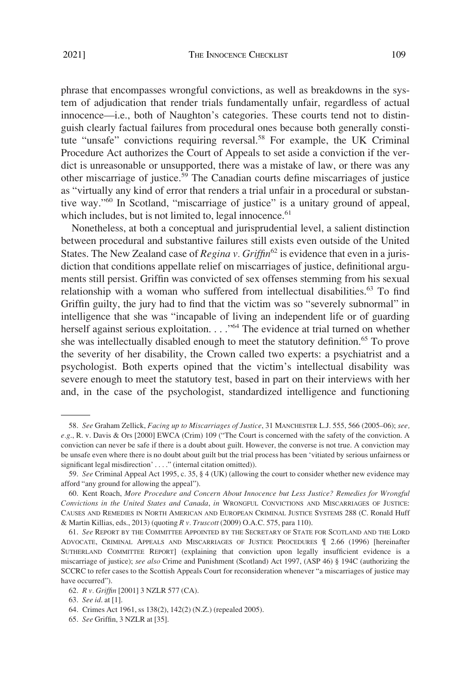phrase that encompasses wrongful convictions, as well as breakdowns in the system of adjudication that render trials fundamentally unfair, regardless of actual innocence—i.e., both of Naughton's categories. These courts tend not to distinguish clearly factual failures from procedural ones because both generally constitute "unsafe" convictions requiring reversal.58 For example, the UK Criminal Procedure Act authorizes the Court of Appeals to set aside a conviction if the verdict is unreasonable or unsupported, there was a mistake of law, or there was any other miscarriage of justice.59 The Canadian courts define miscarriages of justice as "virtually any kind of error that renders a trial unfair in a procedural or substantive way."60 In Scotland, "miscarriage of justice" is a unitary ground of appeal, which includes, but is not limited to, legal innocence. $61$ 

Nonetheless, at both a conceptual and jurisprudential level, a salient distinction between procedural and substantive failures still exists even outside of the United States. The New Zealand case of  $Regina v$ . Griffin<sup>62</sup> is evidence that even in a jurisdiction that conditions appellate relief on miscarriages of justice, definitional arguments still persist. Griffin was convicted of sex offenses stemming from his sexual relationship with a woman who suffered from intellectual disabilities.<sup>63</sup> To find Griffin guilty, the jury had to find that the victim was so "severely subnormal" in intelligence that she was "incapable of living an independent life or of guarding herself against serious exploitation. . . . "<sup>64</sup> The evidence at trial turned on whether she was intellectually disabled enough to meet the statutory definition.<sup>65</sup> To prove the severity of her disability, the Crown called two experts: a psychiatrist and a psychologist. Both experts opined that the victim's intellectual disability was severe enough to meet the statutory test, based in part on their interviews with her and, in the case of the psychologist, standardized intelligence and functioning

<sup>58.</sup> *See* Graham Zellick, *Facing up to Miscarriages of Justice*, 31 MANCHESTER L.J. 555, 566 (2005–06); *see, e.g*., R. v. Davis & Ors [2000] EWCA (Crim) 109 ("The Court is concerned with the safety of the conviction. A conviction can never be safe if there is a doubt about guilt. However, the converse is not true. A conviction may be unsafe even where there is no doubt about guilt but the trial process has been 'vitiated by serious unfairness or significant legal misdirection' . . . ." (internal citation omitted)).

<sup>59.</sup> *See* Criminal Appeal Act 1995, c. 35, § 4 (UK) (allowing the court to consider whether new evidence may afford "any ground for allowing the appeal").

<sup>60.</sup> Kent Roach, *More Procedure and Concern About Innocence but Less Justice? Remedies for Wrongful Convictions in the United States and Canada*, *in* WRONGFUL CONVICTIONS AND MISCARRIAGES OF JUSTICE: CAUSES AND REMEDIES IN NORTH AMERICAN AND EUROPEAN CRIMINAL JUSTICE SYSTEMS 288 (C. Ronald Huff & Martin Killias, eds., 2013) (quoting *R v. Truscott* (2009) O.A.C. 575, para 110).

<sup>61.</sup> *See* REPORT BY THE COMMITTEE APPOINTED BY THE SECRETARY OF STATE FOR SCOTLAND AND THE LORD ADVOCATE, CRIMINAL APPEALS AND MISCARRIAGES OF JUSTICE PROCEDURES ¶ 2.66 (1996) [hereinafter SUTHERLAND COMMITTEE REPORT] (explaining that conviction upon legally insufficient evidence is a miscarriage of justice); *see also* Crime and Punishment (Scotland) Act 1997, (ASP 46) § 194C (authorizing the SCCRC to refer cases to the Scottish Appeals Court for reconsideration whenever "a miscarriages of justice may have occurred").

<sup>62.</sup> *R v. Griffin* [2001] 3 NZLR 577 (CA).

<sup>63.</sup> *See id*. at [1].

<sup>64.</sup> Crimes Act 1961, ss 138(2), 142(2) (N.Z.) (repealed 2005).

<sup>65.</sup> *See* Griffin, 3 NZLR at [35].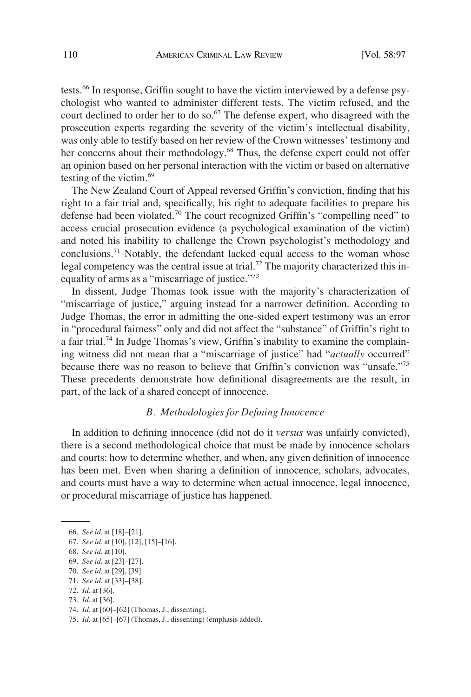<span id="page-13-0"></span>tests.<sup>66</sup> In response, Griffin sought to have the victim interviewed by a defense psychologist who wanted to administer different tests. The victim refused, and the court declined to order her to do so. $67$  The defense expert, who disagreed with the prosecution experts regarding the severity of the victim's intellectual disability, was only able to testify based on her review of the Crown witnesses' testimony and her concerns about their methodology.<sup>68</sup> Thus, the defense expert could not offer an opinion based on her personal interaction with the victim or based on alternative testing of the victim. $69$ 

The New Zealand Court of Appeal reversed Griffin's conviction, finding that his right to a fair trial and, specifically, his right to adequate facilities to prepare his defense had been violated.<sup>70</sup> The court recognized Griffin's "compelling need" to access crucial prosecution evidence (a psychological examination of the victim) and noted his inability to challenge the Crown psychologist's methodology and conclusions.<sup>71</sup> Notably, the defendant lacked equal access to the woman whose legal competency was the central issue at trial.<sup>72</sup> The majority characterized this inequality of arms as a "miscarriage of justice."<sup>73</sup>

In dissent, Judge Thomas took issue with the majority's characterization of "miscarriage of justice," arguing instead for a narrower definition. According to Judge Thomas, the error in admitting the one-sided expert testimony was an error in "procedural fairness" only and did not affect the "substance" of Griffin's right to a fair trial.<sup>74</sup> In Judge Thomas's view, Griffin's inability to examine the complaining witness did not mean that a "miscarriage of justice" had "*actually* occurred" because there was no reason to believe that Griffin's conviction was "unsafe."75 These precedents demonstrate how definitional disagreements are the result, in part, of the lack of a shared concept of innocence.

### *B. Methodologies for Defining Innocence*

In addition to defining innocence (did not do it *versus* was unfairly convicted), there is a second methodological choice that must be made by innocence scholars and courts: how to determine whether, and when, any given definition of innocence has been met. Even when sharing a definition of innocence, scholars, advocates, and courts must have a way to determine when actual innocence, legal innocence, or procedural miscarriage of justice has happened.

<sup>66.</sup> *See id*. at [18]–[21].

<sup>67.</sup> *See id*. at [10], [12], [15]–[16].

<sup>68.</sup> *See id*. at [10].

<sup>69.</sup> *See id*. at [23]–[27].

<sup>70.</sup> *See id*. at [29], [39].

<sup>71.</sup> *See id*. at [33]–[38].

<sup>72.</sup> *Id*. at [36]. 73. *Id*. at [36].

<sup>74.</sup> *Id*. at [60]–[62] (Thomas, J., dissenting).

<sup>75.</sup> *Id*. at [65]–[67] (Thomas, J., dissenting) (emphasis added).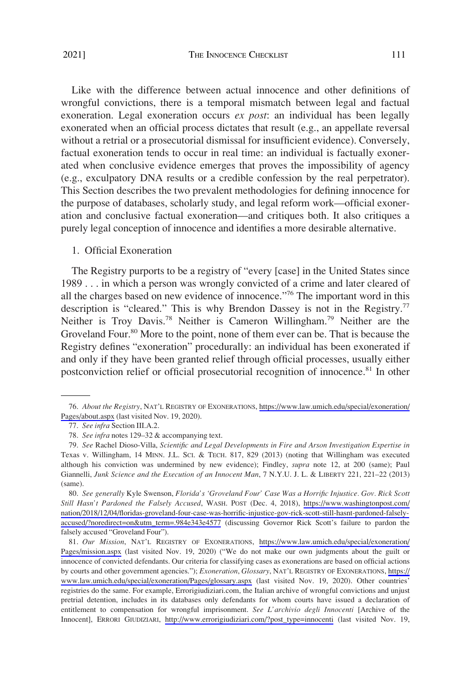<span id="page-14-0"></span>Like with the difference between actual innocence and other definitions of wrongful convictions, there is a temporal mismatch between legal and factual exoneration. Legal exoneration occurs *ex post*: an individual has been legally exonerated when an official process dictates that result (e.g., an appellate reversal without a retrial or a prosecutorial dismissal for insufficient evidence). Conversely, factual exoneration tends to occur in real time: an individual is factually exonerated when conclusive evidence emerges that proves the impossibility of agency (e.g., exculpatory DNA results or a credible confession by the real perpetrator). This Section describes the two prevalent methodologies for defining innocence for the purpose of databases, scholarly study, and legal reform work—official exoneration and conclusive factual exoneration—and critiques both. It also critiques a purely legal conception of innocence and identifies a more desirable alternative.

#### 1. Official Exoneration

The Registry purports to be a registry of "every [case] in the United States since 1989 . . . in which a person was wrongly convicted of a crime and later cleared of all the charges based on new evidence of innocence."<sup>76</sup> The important word in this description is "cleared." This is why Brendon Dassey is not in the Registry.<sup>77</sup> Neither is Troy Davis.<sup>78</sup> Neither is Cameron Willingham.<sup>79</sup> Neither are the Groveland Four.<sup>80</sup> More to the point, none of them ever can be. That is because the Registry defines "exoneration" procedurally: an individual has been exonerated if and only if they have been granted relief through official processes, usually either postconviction relief or official prosecutorial recognition of innocence.<sup>81</sup> In other

*About the Registry*, NAT'L REGISTRY OF EXONERATIONS, [https://www.law.umich.edu/special/exoneration/](https://www.law.umich.edu/special/exoneration/Pages/about.aspx) 76. [Pages/about.aspx](https://www.law.umich.edu/special/exoneration/Pages/about.aspx) (last visited Nov. 19, 2020).

<sup>77.</sup> *See infra* Section III.A.2.

<sup>78.</sup> *See infra* notes 129–32 & accompanying text.

<sup>79.</sup> *See* Rachel Dioso-Villa, *Scientific and Legal Developments in Fire and Arson Investigation Expertise in*  Texas v. Willingham, 14 MINN. J.L. SCI. & TECH. 817, 829 (2013) (noting that Willingham was executed although his conviction was undermined by new evidence); Findley, *supra* note 12, at 200 (same); Paul Giannelli, *Junk Science and the Execution of an Innocent Man*, 7 N.Y.U. J. L. & LIBERTY 221, 221–22 (2013) (same).

*See generally* Kyle Swenson, *Florida's 'Groveland Four' Case Was a Horrific Injustice. Gov. Rick Scott*  80. *Still Hasn't Pardoned the Falsely Accused*, WASH. POST (Dec. 4, 2018), [https://www.washingtonpost.com/](https://www.washingtonpost.com/nation/2018/12/04/floridas-groveland-four-case-was-horrific-injustice-gov-rick-scott-still-hasnt-pardoned-falsely-accused/?noredirect=on&utm_term=.984e343e4577) [nation/2018/12/04/floridas-groveland-four-case-was-horrific-injustice-gov-rick-scott-still-hasnt-pardoned-falsely](https://www.washingtonpost.com/nation/2018/12/04/floridas-groveland-four-case-was-horrific-injustice-gov-rick-scott-still-hasnt-pardoned-falsely-accused/?noredirect=on&utm_term=.984e343e4577)[accused/?noredirect=on&utm\\_term=.984e343e4577](https://www.washingtonpost.com/nation/2018/12/04/floridas-groveland-four-case-was-horrific-injustice-gov-rick-scott-still-hasnt-pardoned-falsely-accused/?noredirect=on&utm_term=.984e343e4577) (discussing Governor Rick Scott's failure to pardon the falsely accused "Groveland Four").

<sup>81.</sup> Our Mission, NAT'L REGISTRY OF EXONERATIONS, https://www.law.umich.edu/special/exoneration/ [Pages/mission.aspx](https://www.law.umich.edu/special/exoneration/Pages/mission.aspx) (last visited Nov. 19, 2020) ("We do not make our own judgments about the guilt or innocence of convicted defendants. Our criteria for classifying cases as exonerations are based on official actions by courts and other government agencies."); *Exoneration*, *Glossary*, NAT'L REGISTRY OF EXONERATIONS, [https://](https://www.law.umich.edu/special/exoneration/Pages/glossary.aspx) [www.law.umich.edu/special/exoneration/Pages/glossary.aspx](https://www.law.umich.edu/special/exoneration/Pages/glossary.aspx) (last visited Nov. 19, 2020). Other countries' registries do the same. For example, Errorigiudiziari.com, the Italian archive of wrongful convictions and unjust pretrial detention, includes in its databases only defendants for whom courts have issued a declaration of entitlement to compensation for wrongful imprisonment. *See L'archivio degli Innocenti* [Archive of the Innocent], ERRORI GIUDIZIARI, [http://www.errorigiudiziari.com/?post\\_type=innocenti](http://www.errorigiudiziari.com/?post_type=innocenti) (last visited Nov. 19,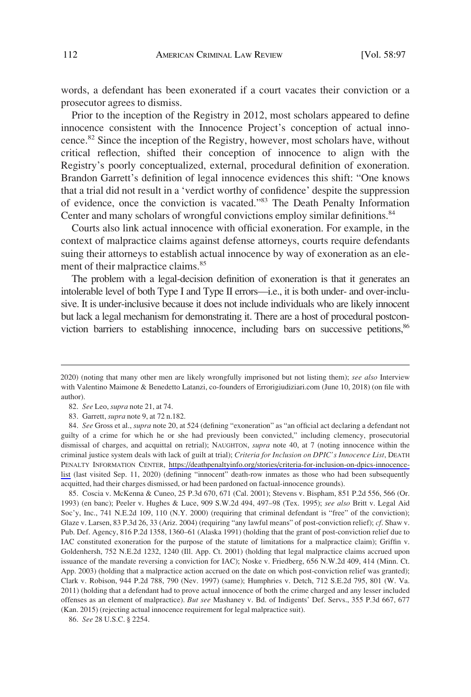words, a defendant has been exonerated if a court vacates their conviction or a prosecutor agrees to dismiss.

Prior to the inception of the Registry in 2012, most scholars appeared to define innocence consistent with the Innocence Project's conception of actual innocence.82 Since the inception of the Registry, however, most scholars have, without critical reflection, shifted their conception of innocence to align with the Registry's poorly conceptualized, external, procedural definition of exoneration. Brandon Garrett's definition of legal innocence evidences this shift: "One knows that a trial did not result in a 'verdict worthy of confidence' despite the suppression of evidence, once the conviction is vacated."83 The Death Penalty Information Center and many scholars of wrongful convictions employ similar definitions.<sup>84</sup>

Courts also link actual innocence with official exoneration. For example, in the context of malpractice claims against defense attorneys, courts require defendants suing their attorneys to establish actual innocence by way of exoneration as an element of their malpractice claims.<sup>85</sup>

The problem with a legal-decision definition of exoneration is that it generates an intolerable level of both Type I and Type II errors—i.e., it is both under- and over-inclusive. It is under-inclusive because it does not include individuals who are likely innocent but lack a legal mechanism for demonstrating it. There are a host of procedural postconviction barriers to establishing innocence, including bars on successive petitions,<sup>86</sup>

85. Coscia v. McKenna & Cuneo, 25 P.3d 670, 671 (Cal. 2001); Stevens v. Bispham, 851 P.2d 556, 566 (Or. 1993) (en banc); Peeler v. Hughes & Luce, 909 S.W.2d 494, 497–98 (Tex. 1995); *see also* Britt v. Legal Aid Soc'y, Inc., 741 N.E.2d 109, 110 (N.Y. 2000) (requiring that criminal defendant is "free" of the conviction); Glaze v. Larsen, 83 P.3d 26, 33 (Ariz. 2004) (requiring "any lawful means" of post-conviction relief); *cf*. Shaw v. Pub. Def. Agency, 816 P.2d 1358, 1360–61 (Alaska 1991) (holding that the grant of post-conviction relief due to IAC constituted exoneration for the purpose of the statute of limitations for a malpractice claim); Griffin v. Goldenhersh, 752 N.E.2d 1232, 1240 (Ill. App. Ct. 2001) (holding that legal malpractice claims accrued upon issuance of the mandate reversing a conviction for IAC); Noske v. Friedberg, 656 N.W.2d 409, 414 (Minn. Ct. App. 2003) (holding that a malpractice action accrued on the date on which post-conviction relief was granted); Clark v. Robison, 944 P.2d 788, 790 (Nev. 1997) (same); Humphries v. Detch, 712 S.E.2d 795, 801 (W. Va. 2011) (holding that a defendant had to prove actual innocence of both the crime charged and any lesser included offenses as an element of malpractice). *But see* Mashaney v. Bd. of Indigents' Def. Servs., 355 P.3d 667, 677 (Kan. 2015) (rejecting actual innocence requirement for legal malpractice suit).

<sup>2020) (</sup>noting that many other men are likely wrongfully imprisoned but not listing them); *see also* Interview with Valentino Maimone & Benedetto Latanzi, co-founders of Errorigiudiziari.com (June 10, 2018) (on file with author).

<sup>82.</sup> *See* Leo, *supra* note 21, at 74.

<sup>83.</sup> Garrett, *supra* note 9, at 72 n.182.

*See* Gross et al., *supra* note 20, at 524 (defining "exoneration" as "an official act declaring a defendant not 84. guilty of a crime for which he or she had previously been convicted," including clemency, prosecutorial dismissal of charges, and acquittal on retrial); NAUGHTON, *supra* note 40, at 7 (noting innocence within the criminal justice system deals with lack of guilt at trial); *Criteria for Inclusion on DPIC's Innocence List*, DEATH PENALTY INFORMATION CENTER, [https://deathpenaltyinfo.org/stories/criteria-for-inclusion-on-dpics-innocence](https://deathpenaltyinfo.org/stories/criteria-for-inclusion-on-dpics-innocence-list)[list](https://deathpenaltyinfo.org/stories/criteria-for-inclusion-on-dpics-innocence-list) (last visited Sep. 11, 2020) (defining "innocent" death-row inmates as those who had been subsequently acquitted, had their charges dismissed, or had been pardoned on factual-innocence grounds).

<sup>86.</sup> *See* 28 U.S.C. § 2254.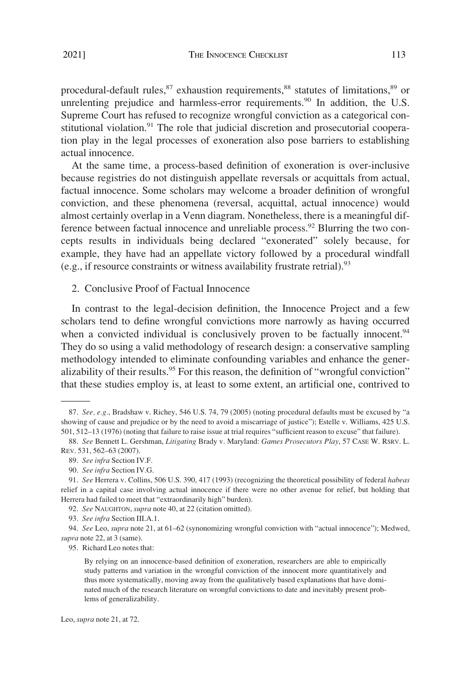<span id="page-16-0"></span>procedural-default rules,<sup>87</sup> exhaustion requirements,<sup>88</sup> statutes of limitations,<sup>89</sup> or unrelenting prejudice and harmless-error requirements.<sup>90</sup> In addition, the U.S. Supreme Court has refused to recognize wrongful conviction as a categorical constitutional violation.<sup>91</sup> The role that judicial discretion and prosecutorial cooperation play in the legal processes of exoneration also pose barriers to establishing actual innocence.

At the same time, a process-based definition of exoneration is over-inclusive because registries do not distinguish appellate reversals or acquittals from actual, factual innocence. Some scholars may welcome a broader definition of wrongful conviction, and these phenomena (reversal, acquittal, actual innocence) would almost certainly overlap in a Venn diagram. Nonetheless, there is a meaningful difference between factual innocence and unreliable process.<sup>92</sup> Blurring the two concepts results in individuals being declared "exonerated" solely because, for example, they have had an appellate victory followed by a procedural windfall (e.g., if resource constraints or witness availability frustrate retrial).  $93$ 

2. Conclusive Proof of Factual Innocence

In contrast to the legal-decision definition, the Innocence Project and a few scholars tend to define wrongful convictions more narrowly as having occurred when a convicted individual is conclusively proven to be factually innocent.<sup>94</sup> They do so using a valid methodology of research design: a conservative sampling methodology intended to eliminate confounding variables and enhance the generalizability of their results.<sup>95</sup> For this reason, the definition of "wrongful conviction" that these studies employ is, at least to some extent, an artificial one, contrived to

<sup>87.</sup> *See, e.g*., Bradshaw v. Richey, 546 U.S. 74, 79 (2005) (noting procedural defaults must be excused by "a showing of cause and prejudice or by the need to avoid a miscarriage of justice"); Estelle v. Williams, 425 U.S. 501, 512–13 (1976) (noting that failure to raise issue at trial requires "sufficient reason to excuse" that failure).

<sup>88.</sup> *See* Bennett L. Gershman, *Litigating* Brady v. Maryland: *Games Prosecutors Play*, 57 CASE W. RSRV. L. REV. 531, 562–63 (2007).

<sup>89.</sup> *See infra* Section IV.F.

<sup>90.</sup> *See infra* Section IV.G.

<sup>91.</sup> *See* Herrera v. Collins, 506 U.S. 390, 417 (1993) (recognizing the theoretical possibility of federal *habeas*  relief in a capital case involving actual innocence if there were no other avenue for relief, but holding that Herrera had failed to meet that "extraordinarily high" burden).

<sup>92.</sup> *See* NAUGHTON, *supra* note 40, at 22 (citation omitted).

<sup>93.</sup> *See infra* Section III.A.1.

<sup>94.</sup> *See* Leo, *supra* note 21, at 61–62 (synonomizing wrongful conviction with "actual innocence"); Medwed, *supra* note 22, at 3 (same).

<sup>95.</sup> Richard Leo notes that:

By relying on an innocence-based definition of exoneration, researchers are able to empirically study patterns and variation in the wrongful conviction of the innocent more quantitatively and thus more systematically, moving away from the qualitatively based explanations that have dominated much of the research literature on wrongful convictions to date and inevitably present problems of generalizability.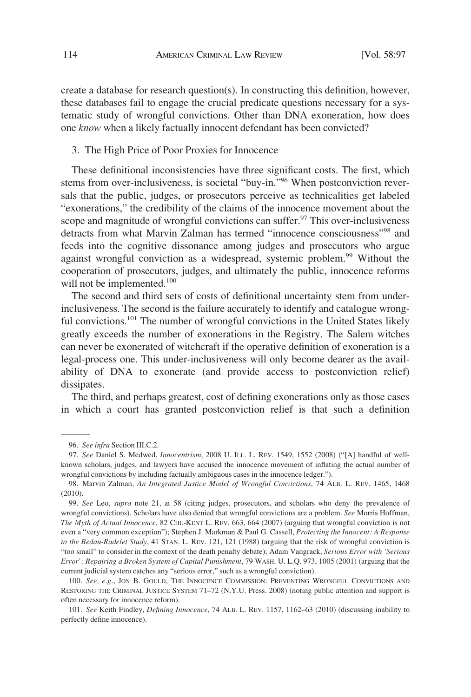<span id="page-17-0"></span>create a database for research question(s). In constructing this definition, however, these databases fail to engage the crucial predicate questions necessary for a systematic study of wrongful convictions. Other than DNA exoneration, how does one *know* when a likely factually innocent defendant has been convicted?

# 3. The High Price of Poor Proxies for Innocence

These definitional inconsistencies have three significant costs. The first, which stems from over-inclusiveness, is societal "buy-in."96 When postconviction reversals that the public, judges, or prosecutors perceive as technicalities get labeled "exonerations," the credibility of the claims of the innocence movement about the scope and magnitude of wrongful convictions can suffer.<sup>97</sup> This over-inclusiveness detracts from what Marvin Zalman has termed "innocence consciousness"98 and feeds into the cognitive dissonance among judges and prosecutors who argue against wrongful conviction as a widespread, systemic problem.<sup>99</sup> Without the cooperation of prosecutors, judges, and ultimately the public, innocence reforms will not be implemented. $100$ 

The second and third sets of costs of definitional uncertainty stem from underinclusiveness. The second is the failure accurately to identify and catalogue wrongful convictions.<sup>101</sup> The number of wrongful convictions in the United States likely greatly exceeds the number of exonerations in the Registry. The Salem witches can never be exonerated of witchcraft if the operative definition of exoneration is a legal-process one. This under-inclusiveness will only become dearer as the availability of DNA to exonerate (and provide access to postconviction relief) dissipates.

The third, and perhaps greatest, cost of defining exonerations only as those cases in which a court has granted postconviction relief is that such a definition

<sup>96.</sup> *See infra* Section III.C.2.

<sup>97.</sup> *See* Daniel S. Medwed, *Innocentrism*, 2008 U. ILL. L. REV. 1549, 1552 (2008) ("[A] handful of wellknown scholars, judges, and lawyers have accused the innocence movement of inflating the actual number of wrongful convictions by including factually ambiguous cases in the innocence ledger.").

<sup>98.</sup> Marvin Zalman, *An Integrated Justice Model of Wrongful Convictions*, 74 ALB. L. REV. 1465, 1468 (2010).

<sup>99.</sup> *See* Leo, *supra* note 21, at 58 (citing judges, prosecutors, and scholars who deny the prevalence of wrongful convictions). Scholars have also denied that wrongful convictions are a problem. *See* Morris Hoffman, *The Myth of Actual Innocence*, 82 CHI.-KENT L. REV. 663, 664 (2007) (arguing that wrongful conviction is not even a "very common exception"); Stephen J. Markman & Paul G. Cassell, *Protecting the Innocent: A Response to the Bedau-Radelet Study*, 41 STAN. L. REV. 121, 121 (1988) (arguing that the risk of wrongful conviction is "too small" to consider in the context of the death penalty debate); Adam Vangrack, *Serious Error with 'Serious Error': Repairing a Broken System of Capital Punishment*, 79 WASH. U. L.Q. 973, 1005 (2001) (arguing that the current judicial system catches any "serious error," such as a wrongful conviction).

<sup>100.</sup> *See, e.g*., JON B. GOULD, THE INNOCENCE COMMISSION: PREVENTING WRONGFUL CONVICTIONS AND RESTORING THE CRIMINAL JUSTICE SYSTEM 71–72 (N.Y.U. Press. 2008) (noting public attention and support is often necessary for innocence reform).

<sup>101.</sup> *See* Keith Findley, *Defining Innocence*, 74 ALB. L. REV. 1157, 1162–63 (2010) (discussing inability to perfectly define innocence).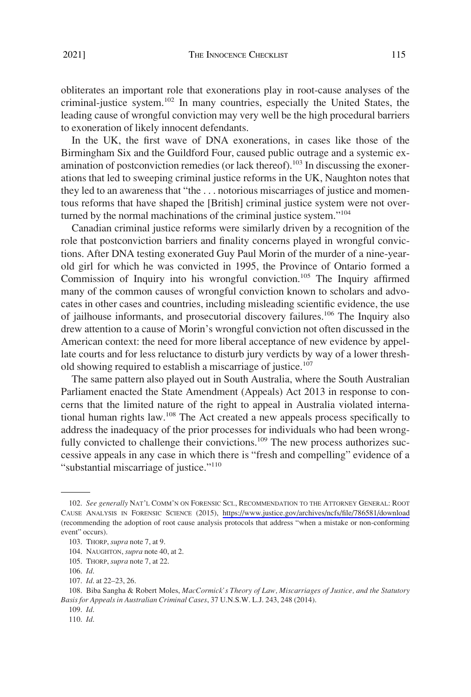2021]

obliterates an important role that exonerations play in root-cause analyses of the criminal-justice system.<sup>102</sup> In many countries, especially the United States, the leading cause of wrongful conviction may very well be the high procedural barriers to exoneration of likely innocent defendants.

In the UK, the first wave of DNA exonerations, in cases like those of the Birmingham Six and the Guildford Four, caused public outrage and a systemic examination of postconviction remedies (or lack thereof).<sup>103</sup> In discussing the exonerations that led to sweeping criminal justice reforms in the UK, Naughton notes that they led to an awareness that "the . . . notorious miscarriages of justice and momentous reforms that have shaped the [British] criminal justice system were not overturned by the normal machinations of the criminal justice system."104

Canadian criminal justice reforms were similarly driven by a recognition of the role that postconviction barriers and finality concerns played in wrongful convictions. After DNA testing exonerated Guy Paul Morin of the murder of a nine-yearold girl for which he was convicted in 1995, the Province of Ontario formed a Commission of Inquiry into his wrongful conviction.<sup>105</sup> The Inquiry affirmed many of the common causes of wrongful conviction known to scholars and advocates in other cases and countries, including misleading scientific evidence, the use of jailhouse informants, and prosecutorial discovery failures.<sup>106</sup> The Inquiry also drew attention to a cause of Morin's wrongful conviction not often discussed in the American context: the need for more liberal acceptance of new evidence by appellate courts and for less reluctance to disturb jury verdicts by way of a lower threshold showing required to establish a miscarriage of justice.<sup>107</sup>

The same pattern also played out in South Australia, where the South Australian Parliament enacted the State Amendment (Appeals) Act 2013 in response to concerns that the limited nature of the right to appeal in Australia violated international human rights law.<sup>108</sup> The Act created a new appeals process specifically to address the inadequacy of the prior processes for individuals who had been wrongfully convicted to challenge their convictions.<sup>109</sup> The new process authorizes successive appeals in any case in which there is "fresh and compelling" evidence of a "substantial miscarriage of justice."<sup>110</sup>

<sup>102.</sup> See generally NAT'L COMM'N ON FORENSIC SCI., RECOMMENDATION TO THE ATTORNEY GENERAL: ROOT CAUSE ANALYSIS IN FORENSIC SCIENCE (2015), <https://www.justice.gov/archives/ncfs/file/786581/download> (recommending the adoption of root cause analysis protocols that address "when a mistake or non-conforming event" occurs).

<sup>103.</sup> THORP, *supra* note 7, at 9.

<sup>104.</sup> NAUGHTON, *supra* note 40, at 2.

<sup>105.</sup> THORP, *supra* note 7, at 22.

<sup>106.</sup> *Id*.

<sup>107.</sup> *Id*. at 22–23, 26.

<sup>108.</sup> Biba Sangha & Robert Moles, *MacCormick's Theory of Law, Miscarriages of Justice, and the Statutory Basis for Appeals in Australian Criminal Cases*, 37 U.N.S.W. L.J. 243, 248 (2014).

<sup>109.</sup> *Id*.

<sup>110.</sup> *Id*.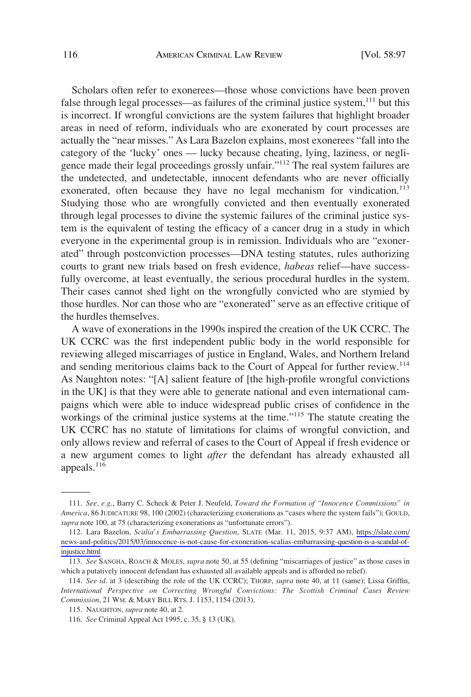Scholars often refer to exonerees—those whose convictions have been proven false through legal processes—as failures of the criminal justice system,<sup>111</sup> but this is incorrect. If wrongful convictions are the system failures that highlight broader areas in need of reform, individuals who are exonerated by court processes are actually the "near misses." As Lara Bazelon explains, most exonerees "fall into the category of the 'lucky' ones — lucky because cheating, lying, laziness, or negligence made their legal proceedings grossly unfair."112 The real system failures are the undetected, and undetectable, innocent defendants who are never officially exonerated, often because they have no legal mechanism for vindication.<sup>113</sup> Studying those who are wrongfully convicted and then eventually exonerated through legal processes to divine the systemic failures of the criminal justice system is the equivalent of testing the efficacy of a cancer drug in a study in which everyone in the experimental group is in remission. Individuals who are "exonerated" through postconviction processes—DNA testing statutes, rules authorizing courts to grant new trials based on fresh evidence, *habeas* relief—have successfully overcome, at least eventually, the serious procedural hurdles in the system. Their cases cannot shed light on the wrongfully convicted who are stymied by those hurdles. Nor can those who are "exonerated" serve as an effective critique of the hurdles themselves.

A wave of exonerations in the 1990s inspired the creation of the UK CCRC. The UK CCRC was the first independent public body in the world responsible for reviewing alleged miscarriages of justice in England, Wales, and Northern Ireland and sending meritorious claims back to the Court of Appeal for further review.<sup>114</sup> As Naughton notes: "[A] salient feature of [the high-profile wrongful convictions in the UK] is that they were able to generate national and even international campaigns which were able to induce widespread public crises of confidence in the workings of the criminal justice systems at the time."<sup>115</sup> The statute creating the UK CCRC has no statute of limitations for claims of wrongful conviction, and only allows review and referral of cases to the Court of Appeal if fresh evidence or a new argument comes to light *after* the defendant has already exhausted all appeals.<sup>116</sup>

<sup>111.</sup> *See, e.g*., Barry C. Scheck & Peter J. Neufeld, *Toward the Formation of "Innocence Commissions" in America*, 86 JUDICATURE 98, 100 (2002) (characterizing exonerations as "cases where the system fails"); GOULD, *supra* note 100, at 75 (characterizing exonerations as "unfortunate errors").

Lara Bazelon, *Scalia's Embarrassing Question*, SLATE (Mar. 11, 2015, 9:37 AM), [https://slate.com/](https://slate.com/news-and-politics/2015/03/innocence-is-not-cause-for-exoneration-scalias-embarrassing-question-is-a-scandal-of-injustice.html) 112. [news-and-politics/2015/03/innocence-is-not-cause-for-exoneration-scalias-embarrassing-question-is-a-scandal-of](https://slate.com/news-and-politics/2015/03/innocence-is-not-cause-for-exoneration-scalias-embarrassing-question-is-a-scandal-of-injustice.html)[injustice.html.](https://slate.com/news-and-politics/2015/03/innocence-is-not-cause-for-exoneration-scalias-embarrassing-question-is-a-scandal-of-injustice.html)

<sup>113.</sup> *See* SANGHA, ROACH & MOLES, *supra* note 50, at 55 (defining "miscarriages of justice" as those cases in which a putatively innocent defendant has exhausted all available appeals and is afforded no relief).

<sup>114.</sup> *See id*. at 3 (describing the role of the UK CCRC); THORP, *supra* note 40, at 11 (same); Lissa Griffin, *International Perspective on Correcting Wrongful Convictions: The Scottish Criminal Cases Review Commission*, 21 WM. & MARY BILL RTS. J. 1153, 1154 (2013).

<sup>115.</sup> NAUGHTON, *supra* note 40, at 2.

<sup>116.</sup> *See* Criminal Appeal Act 1995, c. 35, § 13 (UK).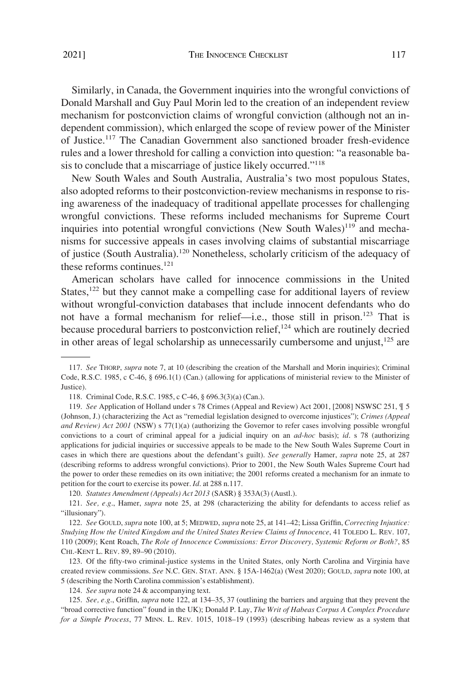Similarly, in Canada, the Government inquiries into the wrongful convictions of Donald Marshall and Guy Paul Morin led to the creation of an independent review mechanism for postconviction claims of wrongful conviction (although not an independent commission), which enlarged the scope of review power of the Minister of Justice.117 The Canadian Government also sanctioned broader fresh-evidence rules and a lower threshold for calling a conviction into question: "a reasonable basis to conclude that a miscarriage of justice likely occurred."<sup>118</sup>

New South Wales and South Australia, Australia's two most populous States, also adopted reforms to their postconviction-review mechanisms in response to rising awareness of the inadequacy of traditional appellate processes for challenging wrongful convictions. These reforms included mechanisms for Supreme Court inquiries into potential wrongful convictions (New South Wales) $119$  and mechanisms for successive appeals in cases involving claims of substantial miscarriage of justice (South Australia).120 Nonetheless, scholarly criticism of the adequacy of these reforms continues.<sup>121</sup>

American scholars have called for innocence commissions in the United States,<sup>122</sup> but they cannot make a compelling case for additional layers of review without wrongful-conviction databases that include innocent defendants who do not have a formal mechanism for relief—i.e., those still in prison.<sup>123</sup> That is because procedural barriers to postconviction relief,<sup>124</sup> which are routinely decried in other areas of legal scholarship as unnecessarily cumbersome and unjust, $125$  are

<sup>117.</sup> *See* THORP, *supra* note 7, at 10 (describing the creation of the Marshall and Morin inquiries); Criminal Code, R.S.C. 1985, c C-46, § 696.1(1) (Can.) (allowing for applications of ministerial review to the Minister of Justice).

<sup>118.</sup> Criminal Code, R.S.C. 1985, c C-46, § 696.3(3)(a) (Can.).

<sup>119.</sup> *See* Application of Holland under s 78 Crimes (Appeal and Review) Act 2001, [2008] NSWSC 251, ¶ 5 (Johnson, J.) (characterizing the Act as "remedial legislation designed to overcome injustices"); *Crimes (Appeal and Review) Act 2001* (NSW) s 77(1)(a) (authorizing the Governor to refer cases involving possible wrongful convictions to a court of criminal appeal for a judicial inquiry on an *ad-hoc* basis); *id*. s 78 (authorizing applications for judicial inquiries or successive appeals to be made to the New South Wales Supreme Court in cases in which there are questions about the defendant's guilt). *See generally* Hamer, *supra* note 25, at 287 (describing reforms to address wrongful convictions). Prior to 2001, the New South Wales Supreme Court had the power to order these remedies on its own initiative; the 2001 reforms created a mechanism for an inmate to petition for the court to exercise its power. *Id*. at 288 n.117.

<sup>120.</sup> *Statutes Amendment (Appeals) Act 2013* (SASR) § 353A(3) (Austl.).

<sup>121.</sup> *See, e.g*., Hamer, *supra* note 25, at 298 (characterizing the ability for defendants to access relief as "illusionary").

<sup>122.</sup> *See* GOULD, *supra* note 100, at 5; MEDWED, *supra* note 25, at 141–42; Lissa Griffin, *Correcting Injustice: Studying How the United Kingdom and the United States Review Claims of Innocence*, 41 TOLEDO L. REV. 107, 110 (2009); Kent Roach, *The Role of Innocence Commissions: Error Discovery, Systemic Reform or Both?*, 85 CHI.-KENT L. REV. 89, 89–90 (2010).

<sup>123.</sup> Of the fifty-two criminal-justice systems in the United States, only North Carolina and Virginia have created review commissions. *See* N.C. GEN. STAT. ANN. § 15A-1462(a) (West 2020); GOULD, *supra* note 100, at 5 (describing the North Carolina commission's establishment).

<sup>124.</sup> *See supra* note 24 & accompanying text.

<sup>125.</sup> *See, e.g*., Griffin, *supra* note 122, at 134–35, 37 (outlining the barriers and arguing that they prevent the "broad corrective function" found in the UK); Donald P. Lay, *The Writ of Habeas Corpus A Complex Procedure for a Simple Process*, 77 MINN. L. REV. 1015, 1018–19 (1993) (describing habeas review as a system that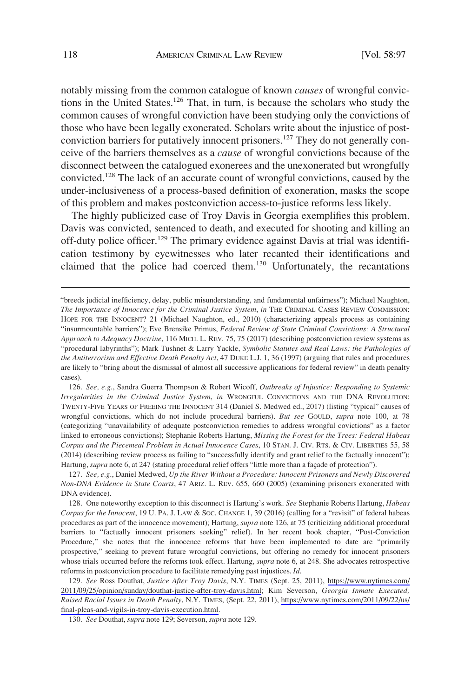notably missing from the common catalogue of known *causes* of wrongful convictions in the United States.<sup>126</sup> That, in turn, is because the scholars who study the common causes of wrongful conviction have been studying only the convictions of those who have been legally exonerated. Scholars write about the injustice of postconviction barriers for putatively innocent prisoners.<sup>127</sup> They do not generally conceive of the barriers themselves as a *cause* of wrongful convictions because of the disconnect between the catalogued exonerees and the unexonerated but wrongfully convicted.128 The lack of an accurate count of wrongful convictions, caused by the under-inclusiveness of a process-based definition of exoneration, masks the scope of this problem and makes postconviction access-to-justice reforms less likely.

The highly publicized case of Troy Davis in Georgia exemplifies this problem. Davis was convicted, sentenced to death, and executed for shooting and killing an off-duty police officer.<sup>129</sup> The primary evidence against Davis at trial was identification testimony by eyewitnesses who later recanted their identifications and claimed that the police had coerced them.<sup>130</sup> Unfortunately, the recantations

<sup>&</sup>quot;breeds judicial inefficiency, delay, public misunderstanding, and fundamental unfairness"); Michael Naughton, *The Importance of Innocence for the Criminal Justice System*, *in* THE CRIMINAL CASES REVIEW COMMISSION: HOPE FOR THE INNOCENT? 21 (Michael Naughton, ed., 2010) (characterizing appeals process as containing "insurmountable barriers"); Eve Brensike Primus, *Federal Review of State Criminal Convictions: A Structural Approach to Adequacy Doctrine*, 116 MICH. L. REV. 75, 75 (2017) (describing postconviction review systems as "procedural labyrinths"); Mark Tushnet & Larry Yackle, *Symbolic Statutes and Real Laws: the Pathologies of the Antiterrorism and Effective Death Penalty Act*, 47 DUKE L.J. 1, 36 (1997) (arguing that rules and procedures are likely to "bring about the dismissal of almost all successive applications for federal review" in death penalty cases).

<sup>126.</sup> *See, e.g*., Sandra Guerra Thompson & Robert Wicoff, *Outbreaks of Injustice: Responding to Systemic Irregularities in the Criminal Justice System*, *in* WRONGFUL CONVICTIONS AND THE DNA REVOLUTION: TWENTY-FIVE YEARS OF FREEING THE INNOCENT 314 (Daniel S. Medwed ed., 2017) (listing "typical" causes of wrongful convictions, which do not include procedural barriers). *But see* GOULD, *supra* note 100, at 78 (categorizing "unavailability of adequate postconviction remedies to address wrongful covictions" as a factor linked to erroneous convictions); Stephanie Roberts Hartung, *Missing the Forest for the Trees: Federal Habeas Corpus and the Piecemeal Problem in Actual Innocence Cases*, 10 STAN. J. CIV. RTS. & CIV. LIBERTIES 55, 58 (2014) (describing review process as failing to "successfully identify and grant relief to the factually innocent"); Hartung, *supra* note 6, at 247 (stating procedural relief offers "little more than a facade of protection").

<sup>127.</sup> *See, e.g*., Daniel Medwed, *Up the River Without a Procedure: Innocent Prisoners and Newly Discovered Non-DNA Evidence in State Courts*, 47 ARIZ. L. REV. 655, 660 (2005) (examining prisoners exonerated with DNA evidence).

<sup>128.</sup> One noteworthy exception to this disconnect is Hartung's work. *See* Stephanie Roberts Hartung, *Habeas Corpus for the Innocent*, 19 U. PA. J. LAW & SOC. CHANGE 1, 39 (2016) (calling for a "revisit" of federal habeas procedures as part of the innocence movement); Hartung, *supra* note 126, at 75 (criticizing additional procedural barriers to "factually innocent prisoners seeking" relief). In her recent book chapter, "Post-Conviction Procedure," she notes that the innocence reforms that have been implemented to date are "primarily prospective," seeking to prevent future wrongful convictions, but offering no remedy for innocent prisoners whose trials occurred before the reforms took effect. Hartung, *supra* note 6, at 248. She advocates retrospective reforms in postconviction procedure to facilitate remedying past injustices. *Id*.

*See* Ross Douthat, *Justice After Troy Davis*, N.Y. TIMES (Sept. 25, 2011), [https://www.nytimes.com/](https://www.nytimes.com/2011/09/25/opinion/sunday/douthat-justice-after-troy-davis.html) 129. [2011/09/25/opinion/sunday/douthat-justice-after-troy-davis.html;](https://www.nytimes.com/2011/09/25/opinion/sunday/douthat-justice-after-troy-davis.html) Kim Severson, *Georgia Inmate Executed; Raised Racial Issues in Death Penalty*, N.Y. TIMES, (Sept. 22, 2011), [https://www.nytimes.com/2011/09/22/us/](https://www.nytimes.com/2011/09/22/us/final-pleas-and-vigils-in-troy-davis-execution.html)  [final-pleas-and-vigils-in-troy-davis-execution.html](https://www.nytimes.com/2011/09/22/us/final-pleas-and-vigils-in-troy-davis-execution.html).

<sup>130.</sup> *See* Douthat, *supra* note 129; Severson, *supra* note 129.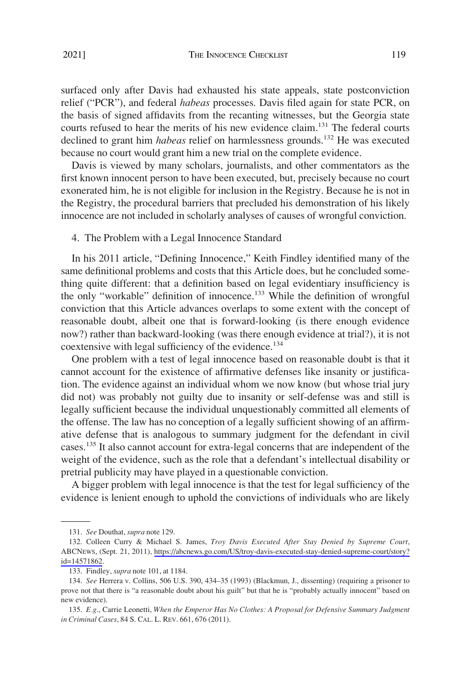<span id="page-22-0"></span>surfaced only after Davis had exhausted his state appeals, state postconviction relief ("PCR"), and federal *habeas* processes. Davis filed again for state PCR, on the basis of signed affidavits from the recanting witnesses, but the Georgia state courts refused to hear the merits of his new evidence claim.<sup>131</sup> The federal courts declined to grant him *habeas* relief on harmlessness grounds.<sup>132</sup> He was executed because no court would grant him a new trial on the complete evidence.

Davis is viewed by many scholars, journalists, and other commentators as the first known innocent person to have been executed, but, precisely because no court exonerated him, he is not eligible for inclusion in the Registry. Because he is not in the Registry, the procedural barriers that precluded his demonstration of his likely innocence are not included in scholarly analyses of causes of wrongful conviction.

# 4. The Problem with a Legal Innocence Standard

In his 2011 article, "Defining Innocence," Keith Findley identified many of the same definitional problems and costs that this Article does, but he concluded something quite different: that a definition based on legal evidentiary insufficiency is the only "workable" definition of innocence.<sup>133</sup> While the definition of wrongful conviction that this Article advances overlaps to some extent with the concept of reasonable doubt, albeit one that is forward-looking (is there enough evidence now?) rather than backward-looking (was there enough evidence at trial?), it is not coextensive with legal sufficiency of the evidence.<sup>134</sup>

One problem with a test of legal innocence based on reasonable doubt is that it cannot account for the existence of affirmative defenses like insanity or justification. The evidence against an individual whom we now know (but whose trial jury did not) was probably not guilty due to insanity or self-defense was and still is legally sufficient because the individual unquestionably committed all elements of the offense. The law has no conception of a legally sufficient showing of an affirmative defense that is analogous to summary judgment for the defendant in civil cases.135 It also cannot account for extra-legal concerns that are independent of the weight of the evidence, such as the role that a defendant's intellectual disability or pretrial publicity may have played in a questionable conviction.

A bigger problem with legal innocence is that the test for legal sufficiency of the evidence is lenient enough to uphold the convictions of individuals who are likely

<sup>131.</sup> *See* Douthat, *supra* note 129.

<sup>132.</sup> Colleen Curry & Michael S. James, *Troy Davis Executed After Stay Denied by Supreme Court*, ABCNEWS, (Sept. 21, 2011), [https://abcnews.go.com/US/troy-davis-executed-stay-denied-supreme-court/story?](https://abcnews.go.com/US/troy-davis-executed-stay-denied-supreme-court/story?id=14571862)  [id=14571862.](https://abcnews.go.com/US/troy-davis-executed-stay-denied-supreme-court/story?id=14571862)

<sup>133.</sup> Findley, *supra* note 101, at 1184.

<sup>134.</sup> *See* Herrera v. Collins, 506 U.S. 390, 434–35 (1993) (Blackmun, J., dissenting) (requiring a prisoner to prove not that there is "a reasonable doubt about his guilt" but that he is "probably actually innocent" based on new evidence).

<sup>135.</sup> *E.g*., Carrie Leonetti, *When the Emperor Has No Clothes: A Proposal for Defensive Summary Judgment in Criminal Cases*, 84 S. CAL. L. REV. 661, 676 (2011).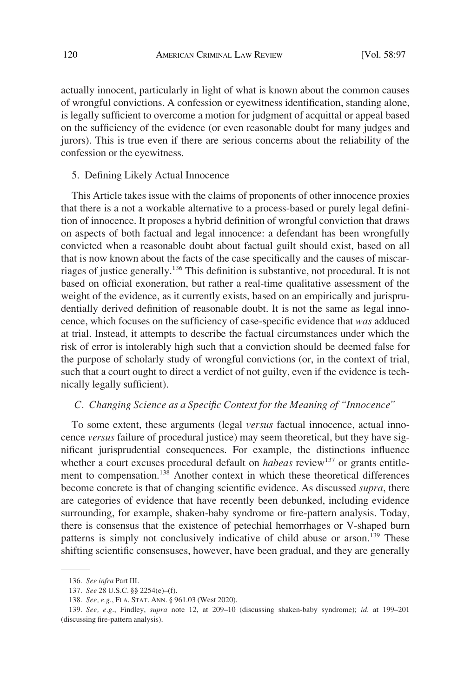<span id="page-23-0"></span>actually innocent, particularly in light of what is known about the common causes of wrongful convictions. A confession or eyewitness identification, standing alone, is legally sufficient to overcome a motion for judgment of acquittal or appeal based on the sufficiency of the evidence (or even reasonable doubt for many judges and jurors). This is true even if there are serious concerns about the reliability of the confession or the eyewitness.

#### 5. Defining Likely Actual Innocence

This Article takes issue with the claims of proponents of other innocence proxies that there is a not a workable alternative to a process-based or purely legal definition of innocence. It proposes a hybrid definition of wrongful conviction that draws on aspects of both factual and legal innocence: a defendant has been wrongfully convicted when a reasonable doubt about factual guilt should exist, based on all that is now known about the facts of the case specifically and the causes of miscarriages of justice generally.136 This definition is substantive, not procedural. It is not based on official exoneration, but rather a real-time qualitative assessment of the weight of the evidence, as it currently exists, based on an empirically and jurisprudentially derived definition of reasonable doubt. It is not the same as legal innocence, which focuses on the sufficiency of case-specific evidence that *was* adduced at trial. Instead, it attempts to describe the factual circumstances under which the risk of error is intolerably high such that a conviction should be deemed false for the purpose of scholarly study of wrongful convictions (or, in the context of trial, such that a court ought to direct a verdict of not guilty, even if the evidence is technically legally sufficient).

# *C. Changing Science as a Specific Context for the Meaning of "Innocence"*

To some extent, these arguments (legal *versus* factual innocence, actual innocence *versus* failure of procedural justice) may seem theoretical, but they have significant jurisprudential consequences. For example, the distinctions influence whether a court excuses procedural default on *habeas* review<sup>137</sup> or grants entitlement to compensation.<sup>138</sup> Another context in which these theoretical differences become concrete is that of changing scientific evidence. As discussed *supra*, there are categories of evidence that have recently been debunked, including evidence surrounding, for example, shaken-baby syndrome or fire-pattern analysis. Today, there is consensus that the existence of petechial hemorrhages or V-shaped burn patterns is simply not conclusively indicative of child abuse or arson.<sup>139</sup> These shifting scientific consensuses, however, have been gradual, and they are generally

<sup>136.</sup> *See infra* Part III.

<sup>137.</sup> *See* 28 U.S.C. §§ 2254(e)–(f).

<sup>138.</sup> *See, e.g*., FLA. STAT. ANN. § 961.03 (West 2020).

<sup>139.</sup> *See, e.g*., Findley, *supra* note 12, at 209–10 (discussing shaken-baby syndrome); *id*. at 199–201 (discussing fire-pattern analysis).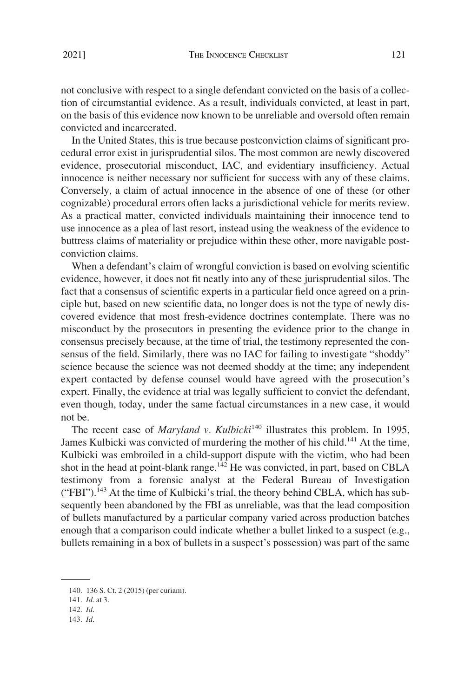not conclusive with respect to a single defendant convicted on the basis of a collection of circumstantial evidence. As a result, individuals convicted, at least in part, on the basis of this evidence now known to be unreliable and oversold often remain convicted and incarcerated.

In the United States, this is true because postconviction claims of significant procedural error exist in jurisprudential silos. The most common are newly discovered evidence, prosecutorial misconduct, IAC, and evidentiary insufficiency. Actual innocence is neither necessary nor sufficient for success with any of these claims. Conversely, a claim of actual innocence in the absence of one of these (or other cognizable) procedural errors often lacks a jurisdictional vehicle for merits review. As a practical matter, convicted individuals maintaining their innocence tend to use innocence as a plea of last resort, instead using the weakness of the evidence to buttress claims of materiality or prejudice within these other, more navigable postconviction claims.

When a defendant's claim of wrongful conviction is based on evolving scientific evidence, however, it does not fit neatly into any of these jurisprudential silos. The fact that a consensus of scientific experts in a particular field once agreed on a principle but, based on new scientific data, no longer does is not the type of newly discovered evidence that most fresh-evidence doctrines contemplate. There was no misconduct by the prosecutors in presenting the evidence prior to the change in consensus precisely because, at the time of trial, the testimony represented the consensus of the field. Similarly, there was no IAC for failing to investigate "shoddy" science because the science was not deemed shoddy at the time; any independent expert contacted by defense counsel would have agreed with the prosecution's expert. Finally, the evidence at trial was legally sufficient to convict the defendant, even though, today, under the same factual circumstances in a new case, it would not be.

The recent case of *Maryland v. Kulbicki*<sup>140</sup> illustrates this problem. In 1995, James Kulbicki was convicted of murdering the mother of his child.<sup>141</sup> At the time, Kulbicki was embroiled in a child-support dispute with the victim, who had been shot in the head at point-blank range.<sup>142</sup> He was convicted, in part, based on CBLA testimony from a forensic analyst at the Federal Bureau of Investigation  $("FBI")$ .<sup>143</sup> At the time of Kulbicki's trial, the theory behind CBLA, which has subsequently been abandoned by the FBI as unreliable, was that the lead composition of bullets manufactured by a particular company varied across production batches enough that a comparison could indicate whether a bullet linked to a suspect (e.g., bullets remaining in a box of bullets in a suspect's possession) was part of the same

<sup>140. 136</sup> S. Ct. 2 (2015) (per curiam).

<sup>141.</sup> *Id*. at 3.

<sup>142.</sup> *Id*.

<sup>143.</sup> *Id*.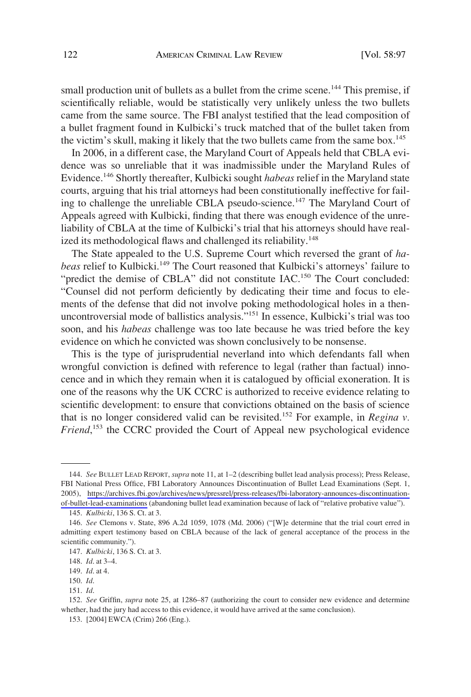small production unit of bullets as a bullet from the crime scene.<sup>144</sup> This premise, if scientifically reliable, would be statistically very unlikely unless the two bullets came from the same source. The FBI analyst testified that the lead composition of a bullet fragment found in Kulbicki's truck matched that of the bullet taken from the victim's skull, making it likely that the two bullets came from the same box.<sup>145</sup>

In 2006, in a different case, the Maryland Court of Appeals held that CBLA evidence was so unreliable that it was inadmissible under the Maryland Rules of Evidence.146 Shortly thereafter, Kulbicki sought *habeas* relief in the Maryland state courts, arguing that his trial attorneys had been constitutionally ineffective for failing to challenge the unreliable CBLA pseudo-science.<sup>147</sup> The Maryland Court of Appeals agreed with Kulbicki, finding that there was enough evidence of the unreliability of CBLA at the time of Kulbicki's trial that his attorneys should have realized its methodological flaws and challenged its reliability.<sup>148</sup>

The State appealed to the U.S. Supreme Court which reversed the grant of *habeas* relief to Kulbicki.<sup>149</sup> The Court reasoned that Kulbicki's attorneys' failure to "predict the demise of CBLA" did not constitute IAC.<sup>150</sup> The Court concluded: "Counsel did not perform deficiently by dedicating their time and focus to elements of the defense that did not involve poking methodological holes in a thenuncontroversial mode of ballistics analysis."151 In essence, Kulbicki's trial was too soon, and his *habeas* challenge was too late because he was tried before the key evidence on which he convicted was shown conclusively to be nonsense.

This is the type of jurisprudential neverland into which defendants fall when wrongful conviction is defined with reference to legal (rather than factual) innocence and in which they remain when it is catalogued by official exoneration. It is one of the reasons why the UK CCRC is authorized to receive evidence relating to scientific development: to ensure that convictions obtained on the basis of science that is no longer considered valid can be revisited.<sup>152</sup> For example, in *Regina v. Friend*, 153 the CCRC provided the Court of Appeal new psychological evidence

*See* BULLET LEAD REPORT, *supra* note 11, at 1–2 (describing bullet lead analysis process); Press Release, 144. FBI National Press Office, FBI Laboratory Announces Discontinuation of Bullet Lead Examinations (Sept. 1, 2005), [https://archives.fbi.gov/archives/news/pressrel/press-releases/fbi-laboratory-announces-discontinuation](https://archives.fbi.gov/archives/news/pressrel/press-releases/fbi-laboratory-announces-discontinuation-of-bullet-lead-examinations)[of-bullet-lead-examinations](https://archives.fbi.gov/archives/news/pressrel/press-releases/fbi-laboratory-announces-discontinuation-of-bullet-lead-examinations) (abandoning bullet lead examination because of lack of "relative probative value").

<sup>145.</sup> *Kulbicki*, 136 S. Ct. at 3.

<sup>146.</sup> *See* Clemons v. State, 896 A.2d 1059, 1078 (Md. 2006) ("[W]e determine that the trial court erred in admitting expert testimony based on CBLA because of the lack of general acceptance of the process in the scientific community.").

<sup>147.</sup> *Kulbicki*, 136 S. Ct. at 3.

<sup>148.</sup> *Id*. at 3–4.

<sup>149.</sup> *Id*. at 4.

<sup>150.</sup> *Id*.

<sup>151.</sup> *Id*.

<sup>152.</sup> *See* Griffin, *supra* note 25, at 1286–87 (authorizing the court to consider new evidence and determine whether, had the jury had access to this evidence, it would have arrived at the same conclusion).

<sup>153. [2004]</sup> EWCA (Crim) 266 (Eng.).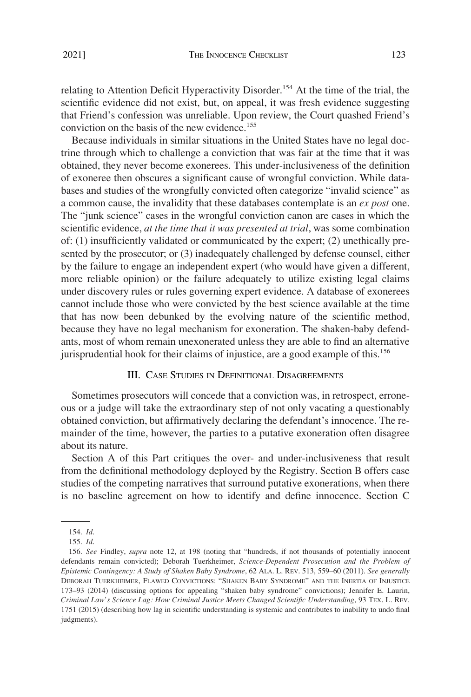<span id="page-26-0"></span>relating to Attention Deficit Hyperactivity Disorder.<sup>154</sup> At the time of the trial, the scientific evidence did not exist, but, on appeal, it was fresh evidence suggesting that Friend's confession was unreliable. Upon review, the Court quashed Friend's conviction on the basis of the new evidence.<sup>155</sup>

Because individuals in similar situations in the United States have no legal doctrine through which to challenge a conviction that was fair at the time that it was obtained, they never become exonerees. This under-inclusiveness of the definition of exoneree then obscures a significant cause of wrongful conviction. While databases and studies of the wrongfully convicted often categorize "invalid science" as a common cause, the invalidity that these databases contemplate is an *ex post* one. The "junk science" cases in the wrongful conviction canon are cases in which the scientific evidence, *at the time that it was presented at trial*, was some combination of: (1) insufficiently validated or communicated by the expert; (2) unethically presented by the prosecutor; or (3) inadequately challenged by defense counsel, either by the failure to engage an independent expert (who would have given a different, more reliable opinion) or the failure adequately to utilize existing legal claims under discovery rules or rules governing expert evidence. A database of exonerees cannot include those who were convicted by the best science available at the time that has now been debunked by the evolving nature of the scientific method, because they have no legal mechanism for exoneration. The shaken-baby defendants, most of whom remain unexonerated unless they are able to find an alternative jurisprudential hook for their claims of injustice, are a good example of this.<sup>156</sup>

# III. CASE STUDIES IN DEFINITIONAL DISAGREEMENTS

Sometimes prosecutors will concede that a conviction was, in retrospect, erroneous or a judge will take the extraordinary step of not only vacating a questionably obtained conviction, but affirmatively declaring the defendant's innocence. The remainder of the time, however, the parties to a putative exoneration often disagree about its nature.

Section A of this Part critiques the over- and under-inclusiveness that result from the definitional methodology deployed by the Registry. Section B offers case studies of the competing narratives that surround putative exonerations, when there is no baseline agreement on how to identify and define innocence. Section C

<sup>154.</sup> *Id*.

<sup>155.</sup> *Id*.

<sup>156.</sup> *See* Findley, *supra* note 12, at 198 (noting that "hundreds, if not thousands of potentially innocent defendants remain convicted); Deborah Tuerkheimer, *Science-Dependent Prosecution and the Problem of Epistemic Contingency: A Study of Shaken Baby Syndrome*, 62 ALA. L. REV. 513, 559–60 (2011). *See generally*  DEBORAH TUERKHEIMER, FLAWED CONVICTIONS: "SHAKEN BABY SYNDROME" AND THE INERTIA OF INJUSTICE 173–93 (2014) (discussing options for appealing "shaken baby syndrome" convictions); Jennifer E. Laurin, *Criminal Law's Science Lag: How Criminal Justice Meets Changed Scientific Understanding*, 93 TEX. L. REV. 1751 (2015) (describing how lag in scientific understanding is systemic and contributes to inability to undo final judgments).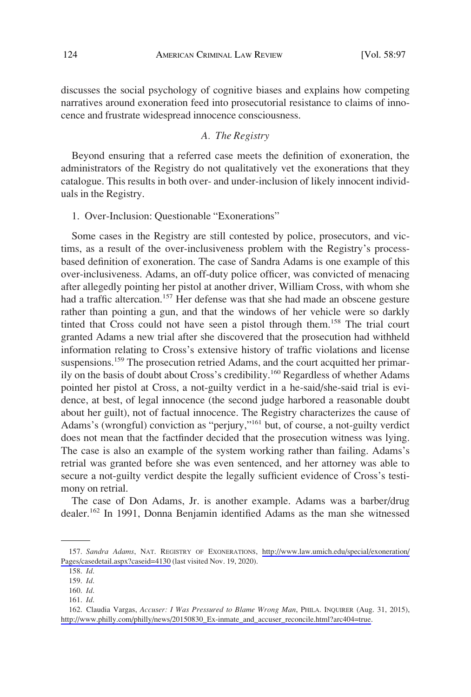<span id="page-27-0"></span>discusses the social psychology of cognitive biases and explains how competing narratives around exoneration feed into prosecutorial resistance to claims of innocence and frustrate widespread innocence consciousness.

# *A. The Registry*

Beyond ensuring that a referred case meets the definition of exoneration, the administrators of the Registry do not qualitatively vet the exonerations that they catalogue. This results in both over- and under-inclusion of likely innocent individuals in the Registry.

1. Over-Inclusion: Questionable "Exonerations"

Some cases in the Registry are still contested by police, prosecutors, and victims, as a result of the over-inclusiveness problem with the Registry's processbased definition of exoneration. The case of Sandra Adams is one example of this over-inclusiveness. Adams, an off-duty police officer, was convicted of menacing after allegedly pointing her pistol at another driver, William Cross, with whom she had a traffic altercation.<sup>157</sup> Her defense was that she had made an obscene gesture rather than pointing a gun, and that the windows of her vehicle were so darkly tinted that Cross could not have seen a pistol through them.158 The trial court granted Adams a new trial after she discovered that the prosecution had withheld information relating to Cross's extensive history of traffic violations and license suspensions.<sup>159</sup> The prosecution retried Adams, and the court acquitted her primarily on the basis of doubt about Cross's credibility.<sup>160</sup> Regardless of whether Adams pointed her pistol at Cross, a not-guilty verdict in a he-said/she-said trial is evidence, at best, of legal innocence (the second judge harbored a reasonable doubt about her guilt), not of factual innocence. The Registry characterizes the cause of Adams's (wrongful) conviction as "perjury,"161 but, of course, a not-guilty verdict does not mean that the factfinder decided that the prosecution witness was lying. The case is also an example of the system working rather than failing. Adams's retrial was granted before she was even sentenced, and her attorney was able to secure a not-guilty verdict despite the legally sufficient evidence of Cross's testimony on retrial.

The case of Don Adams, Jr. is another example. Adams was a barber/drug dealer.<sup>162</sup> In 1991, Donna Benjamin identified Adams as the man she witnessed

<sup>157.</sup> Sandra Adams, NAT. REGISTRY OF EXONERATIONS, http://www.law.umich.edu/special/exoneration/ [Pages/casedetail.aspx?caseid=4130](http://www.law.umich.edu/special/exoneration/Pages/casedetail.aspx?caseid=4130) (last visited Nov. 19, 2020).

<sup>158.</sup> *Id*.

<sup>159.</sup> *Id*.

<sup>160.</sup> *Id*. 161. *Id*.

<sup>162.</sup> Claudia Vargas, *Accuser: I Was Pressured to Blame Wrong Man*, PHILA. INQUIRER (Aug. 31, 2015), [http://www.philly.com/philly/news/20150830\\_Ex-inmate\\_and\\_accuser\\_reconcile.html?arc404=true.](http://www.philly.com/philly/news/20150830_Ex-inmate_and_accuser_reconcile.html?arc404=true)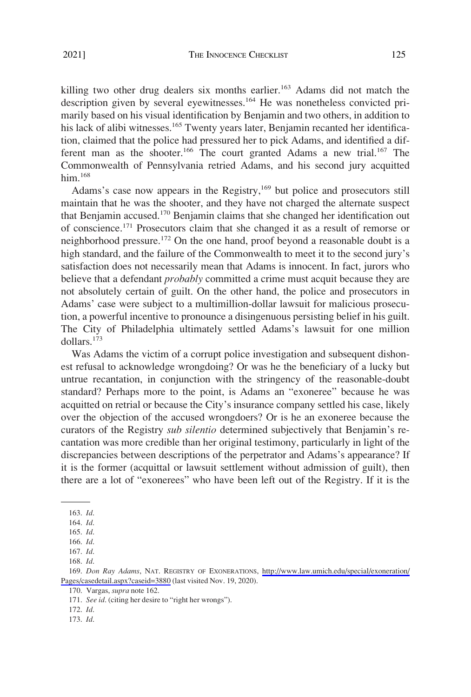killing two other drug dealers six months earlier.<sup>163</sup> Adams did not match the description given by several eyewitnesses.164 He was nonetheless convicted primarily based on his visual identification by Benjamin and two others, in addition to his lack of alibi witnesses.<sup>165</sup> Twenty years later, Benjamin recanted her identifica-

tion, claimed that the police had pressured her to pick Adams, and identified a different man as the shooter.<sup>166</sup> The court granted Adams a new trial.<sup>167</sup> The Commonwealth of Pennsylvania retried Adams, and his second jury acquitted him. $168$ 

Adams's case now appears in the Registry,<sup>169</sup> but police and prosecutors still maintain that he was the shooter, and they have not charged the alternate suspect that Benjamin accused.170 Benjamin claims that she changed her identification out of conscience.171 Prosecutors claim that she changed it as a result of remorse or neighborhood pressure.172 On the one hand, proof beyond a reasonable doubt is a high standard, and the failure of the Commonwealth to meet it to the second jury's satisfaction does not necessarily mean that Adams is innocent. In fact, jurors who believe that a defendant *probably* committed a crime must acquit because they are not absolutely certain of guilt. On the other hand, the police and prosecutors in Adams' case were subject to a multimillion-dollar lawsuit for malicious prosecution, a powerful incentive to pronounce a disingenuous persisting belief in his guilt. The City of Philadelphia ultimately settled Adams's lawsuit for one million dollars.173

Was Adams the victim of a corrupt police investigation and subsequent dishonest refusal to acknowledge wrongdoing? Or was he the beneficiary of a lucky but untrue recantation, in conjunction with the stringency of the reasonable-doubt standard? Perhaps more to the point, is Adams an "exoneree" because he was acquitted on retrial or because the City's insurance company settled his case, likely over the objection of the accused wrongdoers? Or is he an exoneree because the curators of the Registry *sub silentio* determined subjectively that Benjamin's recantation was more credible than her original testimony, particularly in light of the discrepancies between descriptions of the perpetrator and Adams's appearance? If it is the former (acquittal or lawsuit settlement without admission of guilt), then there are a lot of "exonerees" who have been left out of the Registry. If it is the

<sup>163.</sup> *Id*.

<sup>164.</sup> *Id*.

<sup>165.</sup> *Id*.

<sup>166.</sup> *Id*.

<sup>167.</sup> *Id*.

<sup>168.</sup> *Id*.

*Don Ray Adams*, NAT. REGISTRY OF EXONERATIONS, [http://www.law.umich.edu/special/exoneration/](http://www.law.umich.edu/special/exoneration/Pages/casedetail.aspx?caseid=3880) 169. [Pages/casedetail.aspx?caseid=3880](http://www.law.umich.edu/special/exoneration/Pages/casedetail.aspx?caseid=3880) (last visited Nov. 19, 2020).

<sup>170.</sup> Vargas, *supra* note 162.

<sup>171.</sup> *See id*. (citing her desire to "right her wrongs").

<sup>172.</sup> *Id*.

<sup>173.</sup> *Id*.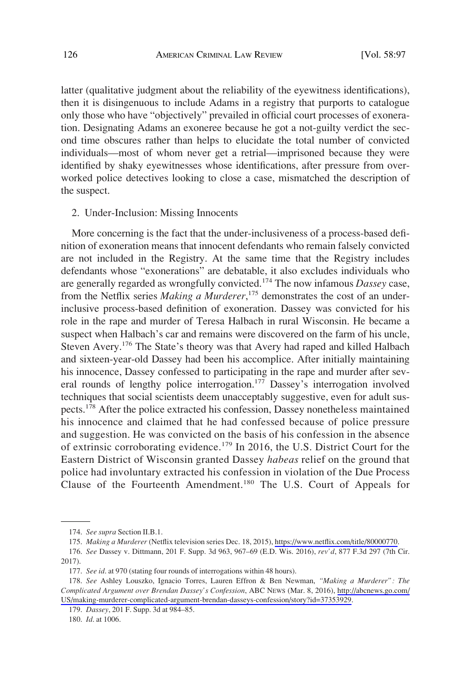<span id="page-29-0"></span>latter (qualitative judgment about the reliability of the eyewitness identifications), then it is disingenuous to include Adams in a registry that purports to catalogue only those who have "objectively" prevailed in official court processes of exoneration. Designating Adams an exoneree because he got a not-guilty verdict the second time obscures rather than helps to elucidate the total number of convicted individuals—most of whom never get a retrial—imprisoned because they were identified by shaky eyewitnesses whose identifications, after pressure from overworked police detectives looking to close a case, mismatched the description of the suspect.

#### 2. Under-Inclusion: Missing Innocents

More concerning is the fact that the under-inclusiveness of a process-based definition of exoneration means that innocent defendants who remain falsely convicted are not included in the Registry. At the same time that the Registry includes defendants whose "exonerations" are debatable, it also excludes individuals who are generally regarded as wrongfully convicted.174 The now infamous *Dassey* case, from the Netflix series *Making a Murderer*, 175 demonstrates the cost of an underinclusive process-based definition of exoneration. Dassey was convicted for his role in the rape and murder of Teresa Halbach in rural Wisconsin. He became a suspect when Halbach's car and remains were discovered on the farm of his uncle, Steven Avery.<sup>176</sup> The State's theory was that Avery had raped and killed Halbach and sixteen-year-old Dassey had been his accomplice. After initially maintaining his innocence, Dassey confessed to participating in the rape and murder after several rounds of lengthy police interrogation.<sup>177</sup> Dassey's interrogation involved techniques that social scientists deem unacceptably suggestive, even for adult suspects.<sup>178</sup> After the police extracted his confession, Dassey nonetheless maintained his innocence and claimed that he had confessed because of police pressure and suggestion. He was convicted on the basis of his confession in the absence of extrinsic corroborating evidence.<sup>179</sup> In 2016, the U.S. District Court for the Eastern District of Wisconsin granted Dassey *habeas* relief on the ground that police had involuntary extracted his confession in violation of the Due Process Clause of the Fourteenth Amendment.180 The U.S. Court of Appeals for

179. *Dassey*, 201 F. Supp. 3d at 984–85.

180. *Id*. at 1006.

<sup>174.</sup> *See supra* Section II.B.1.

<sup>175.</sup> Making a Murderer (Netflix television series Dec. 18, 2015),<https://www.netflix.com/title/80000770>.

<sup>176.</sup> *See* Dassey v. Dittmann, 201 F. Supp. 3d 963, 967–69 (E.D. Wis. 2016), *rev'd*, 877 F.3d 297 (7th Cir. 2017).

<sup>177.</sup> *See id*. at 970 (stating four rounds of interrogations within 48 hours).

*See* Ashley Louszko, Ignacio Torres, Lauren Effron & Ben Newman, *"Making a Murderer": The*  178. *Complicated Argument over Brendan Dassey's Confession*, ABC NEWS (Mar. 8, 2016), [http://abcnews.go.com/](http://abcnews.go.com/US/making-murderer-complicated-argument-brendan-dasseys-confession/story?id=37353929) [US/making-murderer-complicated-argument-brendan-dasseys-confession/story?id=37353929.](http://abcnews.go.com/US/making-murderer-complicated-argument-brendan-dasseys-confession/story?id=37353929)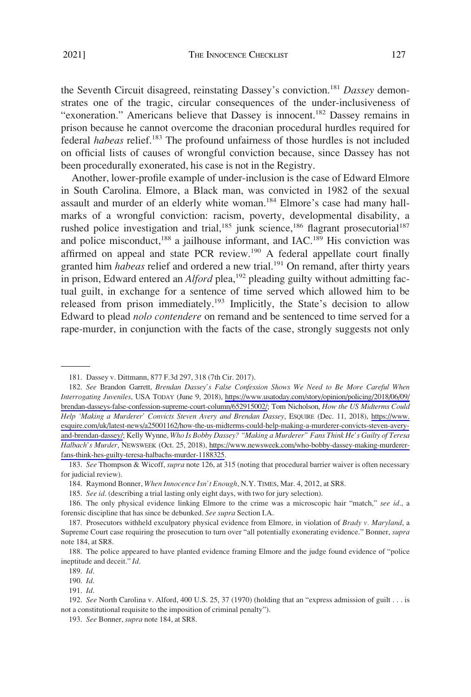the Seventh Circuit disagreed, reinstating Dassey's conviction.181 *Dassey* demonstrates one of the tragic, circular consequences of the under-inclusiveness of "exoneration." Americans believe that Dassey is innocent.<sup>182</sup> Dassey remains in prison because he cannot overcome the draconian procedural hurdles required for federal *habeas* relief.183 The profound unfairness of those hurdles is not included on official lists of causes of wrongful conviction because, since Dassey has not been procedurally exonerated, his case is not in the Registry.

Another, lower-profile example of under-inclusion is the case of Edward Elmore in South Carolina. Elmore, a Black man, was convicted in 1982 of the sexual assault and murder of an elderly white woman.<sup>184</sup> Elmore's case had many hallmarks of a wrongful conviction: racism, poverty, developmental disability, a rushed police investigation and trial, $185$  junk science, $186$  flagrant prosecutorial $187$ and police misconduct, $188$  a jailhouse informant, and IAC.<sup>189</sup> His conviction was affirmed on appeal and state PCR review.190 A federal appellate court finally granted him *habeas* relief and ordered a new trial.<sup>191</sup> On remand, after thirty years in prison, Edward entered an *Alford* plea,<sup>192</sup> pleading guilty without admitting factual guilt, in exchange for a sentence of time served which allowed him to be released from prison immediately.<sup>193</sup> Implicitly, the State's decision to allow Edward to plead *nolo contendere* on remand and be sentenced to time served for a rape-murder, in conjunction with the facts of the case, strongly suggests not only

<sup>181.</sup> Dassey v. Dittmann, 877 F.3d 297, 318 (7th Cir. 2017).

*See* Brandon Garrett, *Brendan Dassey's False Confession Shows We Need to Be More Careful When*  182. *Interrogating Juveniles*, USA TODAY (June 9, 2018), [https://www.usatoday.com/story/opinion/policing/2018/06/09/](https://www.usatoday.com/story/opinion/policing/2018/06/09/brendan-dasseys-false-confession-supreme-court-column/652915002/)  [brendan-dasseys-false-confession-supreme-court-column/652915002/;](https://www.usatoday.com/story/opinion/policing/2018/06/09/brendan-dasseys-false-confession-supreme-court-column/652915002/) Tom Nicholson, *How the US Midterms Could Help 'Making a Murderer' Convicts Steven Avery and Brendan Dassey*, ESQUIRE (Dec. 11, 2018), [https://www.](https://www.esquire.com/uk/latest-news/a25001162/how-the-us-midterms-could-help-making-a-murderer-convicts-steven-avery-and-brendan-dassey/)  [esquire.com/uk/latest-news/a25001162/how-the-us-midterms-could-help-making-a-murderer-convicts-steven-avery](https://www.esquire.com/uk/latest-news/a25001162/how-the-us-midterms-could-help-making-a-murderer-convicts-steven-avery-and-brendan-dassey/)[and-brendan-dassey/;](https://www.esquire.com/uk/latest-news/a25001162/how-the-us-midterms-could-help-making-a-murderer-convicts-steven-avery-and-brendan-dassey/) Kelly Wynne, *Who Is Bobby Dassey? "Making a Murderer" Fans Think He's Guilty of Teresa Halbach's Murder*, NEWSWEEK (Oct. 25, 2018), [https://www.newsweek.com/who-bobby-dassey-making-murderer](https://www.newsweek.com/who-bobby-dassey-making-murderer-fans-think-hes-guilty-teresa-halbachs-murder-1188325)[fans-think-hes-guilty-teresa-halbachs-murder-1188325.](https://www.newsweek.com/who-bobby-dassey-making-murderer-fans-think-hes-guilty-teresa-halbachs-murder-1188325)

<sup>183.</sup> *See* Thompson & Wicoff, *supra* note 126, at 315 (noting that procedural barrier waiver is often necessary for judicial review).

<sup>184.</sup> Raymond Bonner, *When Innocence Isn't Enough*, N.Y. TIMES, Mar. 4, 2012, at SR8.

<sup>185.</sup> *See id*. (describing a trial lasting only eight days, with two for jury selection).

<sup>186.</sup> The only physical evidence linking Elmore to the crime was a microscopic hair "match," *see id*., a forensic discipline that has since be debunked. *See supra* Section I.A.

<sup>187.</sup> Prosecutors withheld exculpatory physical evidence from Elmore, in violation of *Brady v. Maryland*, a Supreme Court case requiring the prosecution to turn over "all potentially exonerating evidence." Bonner, *supra*  note 184, at SR8.

<sup>188.</sup> The police appeared to have planted evidence framing Elmore and the judge found evidence of "police ineptitude and deceit." *Id*.

<sup>189.</sup> *Id*.

<sup>190.</sup> *Id*.

<sup>191.</sup> *Id*.

<sup>192.</sup> *See* North Carolina v. Alford, 400 U.S. 25, 37 (1970) (holding that an "express admission of guilt . . . is not a constitutional requisite to the imposition of criminal penalty").

<sup>193.</sup> *See* Bonner, *supra* note 184, at SR8.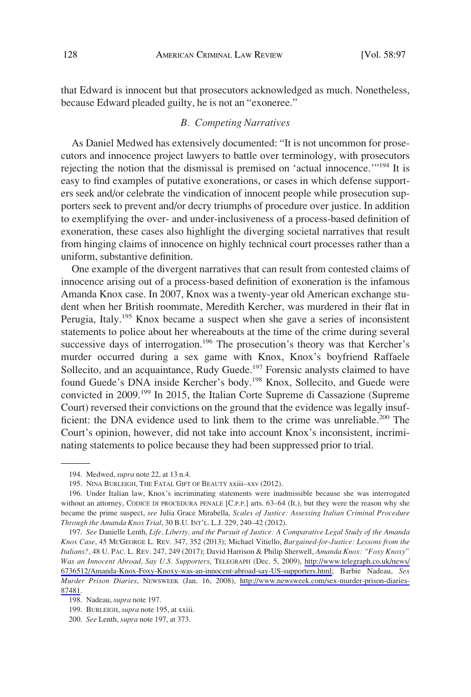<span id="page-31-0"></span>that Edward is innocent but that prosecutors acknowledged as much. Nonetheless, because Edward pleaded guilty, he is not an "exoneree."

#### *B. Competing Narratives*

As Daniel Medwed has extensively documented: "It is not uncommon for prosecutors and innocence project lawyers to battle over terminology, with prosecutors rejecting the notion that the dismissal is premised on 'actual innocence.'"194 It is easy to find examples of putative exonerations, or cases in which defense supporters seek and/or celebrate the vindication of innocent people while prosecution supporters seek to prevent and/or decry triumphs of procedure over justice. In addition to exemplifying the over- and under-inclusiveness of a process-based definition of exoneration, these cases also highlight the diverging societal narratives that result from hinging claims of innocence on highly technical court processes rather than a uniform, substantive definition.

One example of the divergent narratives that can result from contested claims of innocence arising out of a process-based definition of exoneration is the infamous Amanda Knox case. In 2007, Knox was a twenty-year old American exchange student when her British roommate, Meredith Kercher, was murdered in their flat in Perugia, Italy.195 Knox became a suspect when she gave a series of inconsistent statements to police about her whereabouts at the time of the crime during several successive days of interrogation.<sup>196</sup> The prosecution's theory was that Kercher's murder occurred during a sex game with Knox, Knox's boyfriend Raffaele Sollecito, and an acquaintance, Rudy Guede.<sup>197</sup> Forensic analysts claimed to have found Guede's DNA inside Kercher's body.<sup>198</sup> Knox, Sollecito, and Guede were convicted in 2009.199 In 2015, the Italian Corte Supreme di Cassazione (Supreme Court) reversed their convictions on the ground that the evidence was legally insufficient: the DNA evidence used to link them to the crime was unreliable.<sup>200</sup> The Court's opinion, however, did not take into account Knox's inconsistent, incriminating statements to police because they had been suppressed prior to trial.

<sup>194.</sup> Medwed, *supra* note 22, at 13 n.4.

<sup>195.</sup> NINA BURLEIGH, THE FATAL GIFT OF BEAUTY xxiii–xxv (2012).

<sup>196.</sup> Under Italian law, Knox's incriminating statements were inadmissible because she was interrogated without an attorney, CODICE DI PROCEDURA PENALE [C.P.P.] arts. 63–64 (It.), but they were the reason why she became the prime suspect, *see* Julia Grace Mirabella, *Scales of Justice: Assessing Italian Criminal Procedure Through the Amanda Knox Trial*, 30 B.U. INT'L. L.J. 229, 240–42 (2012).

*See* Danielle Lenth, *Life, Liberty, and the Pursuit of Justice: A Comparative Legal Study of the Amanda*  197. *Knox Case*, 45 MCGEORGE L. REV. 347, 352 (2013); Michael Vitiello, *Bargained-for-Justice: Lessons from the Italians?*, 48 U. PAC. L. REV. 247, 249 (2017); David Harrison & Philip Sherwell, *Amanda Knox: "Foxy Knoxy" Was an Innocent Abroad, Say U.S. Supporters*, TELEGRAPH (Dec. 5, 2009), [http://www.telegraph.co.uk/news/](http://www.telegraph.co.uk/news/6736512/Amanda-Knox-Foxy-Knoxy-was-an-innocent-abroad-say-US-supporters.html) [6736512/Amanda-Knox-Foxy-Knoxy-was-an-innocent-abroad-say-US-supporters.html;](http://www.telegraph.co.uk/news/6736512/Amanda-Knox-Foxy-Knoxy-was-an-innocent-abroad-say-US-supporters.html) Barbie Nadeau, *Sex Murder Prison Diaries*, NEWSWEEK (Jan. 16, 2008), [http://www.newsweek.com/sex-murder-prison-diaries-](http://www.newsweek.com/sex-murder-prison-diaries-87481)[87481.](http://www.newsweek.com/sex-murder-prison-diaries-87481)

<sup>198.</sup> Nadeau, *supra* note 197.

<sup>199.</sup> BURLEIGH, *supra* note 195, at xxiii.

<sup>200.</sup> *See* Lenth, *supra* note 197, at 373.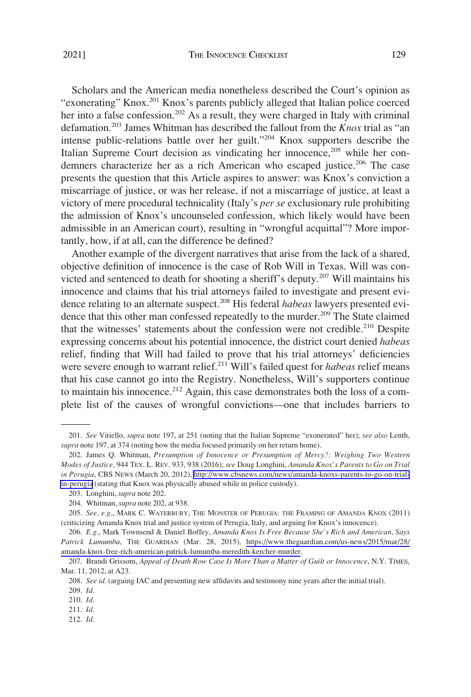Scholars and the American media nonetheless described the Court's opinion as "exonerating" Knox.201 Knox's parents publicly alleged that Italian police coerced her into a false confession.<sup>202</sup> As a result, they were charged in Italy with criminal defamation.203 James Whitman has described the fallout from the *Knox* trial as "an intense public-relations battle over her guilt."204 Knox supporters describe the Italian Supreme Court decision as vindicating her innocence,  $205$  while her condemners characterize her as a rich American who escaped justice.<sup>206</sup> The case presents the question that this Article aspires to answer: was Knox's conviction a miscarriage of justice, or was her release, if not a miscarriage of justice, at least a victory of mere procedural technicality (Italy's *per se* exclusionary rule prohibiting the admission of Knox's uncounseled confession, which likely would have been admissible in an American court), resulting in "wrongful acquittal"? More importantly, how, if at all, can the difference be defined?

Another example of the divergent narratives that arise from the lack of a shared, objective definition of innocence is the case of Rob Will in Texas. Will was convicted and sentenced to death for shooting a sheriff's deputy.<sup>207</sup> Will maintains his innocence and claims that his trial attorneys failed to investigate and present evidence relating to an alternate suspect.208 His federal *habeas* lawyers presented evidence that this other man confessed repeatedly to the murder.<sup>209</sup> The State claimed that the witnesses' statements about the confession were not credible.<sup>210</sup> Despite expressing concerns about his potential innocence, the district court denied *habeas*  relief, finding that Will had failed to prove that his trial attorneys' deficiencies were severe enough to warrant relief.211 Will's failed quest for *habeas* relief means that his case cannot go into the Registry. Nonetheless, Will's supporters continue to maintain his innocence.<sup>212</sup> Again, this case demonstrates both the loss of a complete list of the causes of wrongful convictions—one that includes barriers to

<sup>201.</sup> *See* Vitiello, *supra* note 197, at 251 (noting that the Italian Supreme "exonerated" her); *see also* Lenth, *supra* note 197, at 374 (noting how the media focused primarily on her return home).

<sup>202.</sup> James Q. Whitman, *Presumption of Innocence or Presumption of Mercy?*: Weighing Two Western *Modes of Justice*, 944 TEX. L. REV. 933, 938 (2016); *see* Doug Longhini, *Amanda Knox's Parents to Go on Trial in Perugia*, CBS NEWS (March 20, 2012), [http://www.cbsnews.com/news/amanda-knoxs-parents-to-go-on-trial](http://www.cbsnews.com/news/amanda-knoxs-parents-to-go-on-trial-in-perugia)[in-perugia](http://www.cbsnews.com/news/amanda-knoxs-parents-to-go-on-trial-in-perugia) (stating that Knox was physically abused while in police custody).

<sup>203.</sup> Longhini, *supra* note 202.

<sup>204.</sup> Whitman, *supra* note 202, at 938.

<sup>205.</sup> *See, e.g*., MARK C. WATERBURY, THE MONSTER OF PERUGIA: THE FRAMING OF AMANDA KNOX (2011) (criticizing Amanda Knox trial and justice system of Perugia, Italy, and arguing for Knox's innocence).

*E.g*., Mark Townsend & Daniel Boffey, *Amanda Knox Is Free Because She's Rich and American, Says*  206. *Patrick Lumumba*, THE GUARDIAN (Mar. 28, 2015), [https://www.theguardian.com/us-news/2015/mar/28/](https://www.theguardian.com/us-news/2015/mar/28/amanda-knox-free-rich-american-patrick-lumumba-meredith-kercher-murder) [amanda-knox-free-rich-american-patrick-lumumba-meredith-kercher-murder](https://www.theguardian.com/us-news/2015/mar/28/amanda-knox-free-rich-american-patrick-lumumba-meredith-kercher-murder).

<sup>207.</sup> Brandi Grissom, *Appeal of Death Row Case Is More Than a Matter of Guilt or Innocence*, N.Y. TIMES, Mar. 11, 2012, at A23.

<sup>208.</sup> *See id*. (arguing IAC and presenting new affidavits and testimony nine years after the initial trial). 209. *Id*.

<sup>210.</sup> *Id*.

<sup>211.</sup> *Id*.

<sup>212.</sup> *Id*.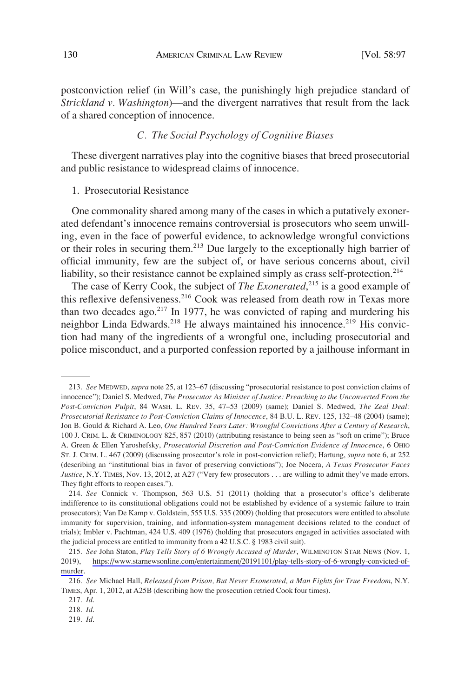<span id="page-33-0"></span>postconviction relief (in Will's case, the punishingly high prejudice standard of *Strickland v. Washington*)—and the divergent narratives that result from the lack of a shared conception of innocence.

# *C. The Social Psychology of Cognitive Biases*

These divergent narratives play into the cognitive biases that breed prosecutorial and public resistance to widespread claims of innocence.

# 1. Prosecutorial Resistance

One commonality shared among many of the cases in which a putatively exonerated defendant's innocence remains controversial is prosecutors who seem unwilling, even in the face of powerful evidence, to acknowledge wrongful convictions or their roles in securing them.213 Due largely to the exceptionally high barrier of official immunity, few are the subject of, or have serious concerns about, civil liability, so their resistance cannot be explained simply as crass self-protection.<sup>214</sup>

The case of Kerry Cook, the subject of *The Exonerated*,<sup>215</sup> is a good example of this reflexive defensiveness.<sup>216</sup> Cook was released from death row in Texas more than two decades ago. $217$  In 1977, he was convicted of raping and murdering his neighbor Linda Edwards.<sup>218</sup> He always maintained his innocence.<sup>219</sup> His conviction had many of the ingredients of a wrongful one, including prosecutorial and police misconduct, and a purported confession reported by a jailhouse informant in

<sup>213.</sup> *See* MEDWED, *supra* note 25, at 123–67 (discussing "prosecutorial resistance to post conviction claims of innocence"); Daniel S. Medwed, *The Prosecutor As Minister of Justice: Preaching to the Unconverted From the Post-Conviction Pulpit*, 84 WASH. L. REV. 35, 47–53 (2009) (same); Daniel S. Medwed, *The Zeal Deal: Prosecutorial Resistance to Post-Conviction Claims of Innocence*, 84 B.U. L. REV. 125, 132–48 (2004) (same); Jon B. Gould & Richard A. Leo, *One Hundred Years Later: Wrongful Convictions After a Century of Research*, 100 J. CRIM. L. & CRIMINOLOGY 825, 857 (2010) (attributing resistance to being seen as "soft on crime"); Bruce A. Green & Ellen Yaroshefsky, *Prosecutorial Discretion and Post-Conviction Evidence of Innocence*, 6 OHIO ST. J. CRIM. L. 467 (2009) (discussing prosecutor's role in post-conviction relief); Hartung, *supra* note 6, at 252 (describing an "institutional bias in favor of preserving convictions"); Joe Nocera, *A Texas Prosecutor Faces Justice*, N.Y. TIMES, Nov. 13, 2012, at A27 ("Very few prosecutors . . . are willing to admit they've made errors. They fight efforts to reopen cases.").

<sup>214.</sup> *See* Connick v. Thompson, 563 U.S. 51 (2011) (holding that a prosecutor's office's deliberate indifference to its constitutional obligations could not be established by evidence of a systemic failure to train prosecutors); Van De Kamp v. Goldstein, 555 U.S. 335 (2009) (holding that prosecutors were entitled to absolute immunity for supervision, training, and information-system management decisions related to the conduct of trials); Imbler v. Pachtman, 424 U.S. 409 (1976) (holding that prosecutors engaged in activities associated with the judicial process are entitled to immunity from a 42 U.S.C. § 1983 civil suit).

*See* John Staton, *Play Tells Story of 6 Wrongly Accused of Murder*, WILMINGTON STAR NEWS (Nov. 1, 215. 2019), [https://www.starnewsonline.com/entertainment/20191101/play-tells-story-of-6-wrongly-convicted-of](https://www.starnewsonline.com/entertainment/20191101/play-tells-story-of-6-wrongly-convicted-of-murder)[murder](https://www.starnewsonline.com/entertainment/20191101/play-tells-story-of-6-wrongly-convicted-of-murder).

<sup>216.</sup> *See* Michael Hall, *Released from Prison, But Never Exonerated, a Man Fights for True Freedom*, N.Y. TIMES, Apr. 1, 2012, at A25B (describing how the prosecution retried Cook four times).

<sup>217.</sup> *Id*.

<sup>218.</sup> *Id*.

<sup>219.</sup> *Id*.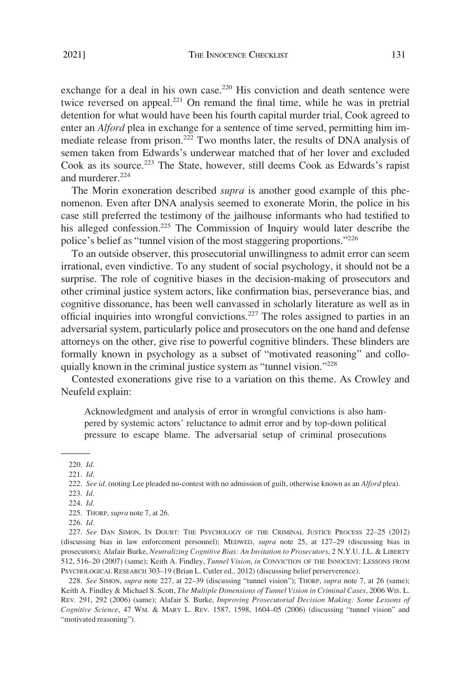2021]

exchange for a deal in his own case.<sup>220</sup> His conviction and death sentence were twice reversed on appeal.<sup>221</sup> On remand the final time, while he was in pretrial detention for what would have been his fourth capital murder trial, Cook agreed to enter an *Alford* plea in exchange for a sentence of time served, permitting him immediate release from prison.222 Two months later, the results of DNA analysis of semen taken from Edwards's underwear matched that of her lover and excluded Cook as its source.<sup>223</sup> The State, however, still deems Cook as Edwards's rapist and murderer.<sup>224</sup>

The Morin exoneration described *supra* is another good example of this phenomenon. Even after DNA analysis seemed to exonerate Morin, the police in his case still preferred the testimony of the jailhouse informants who had testified to his alleged confession.<sup>225</sup> The Commission of Inquiry would later describe the police's belief as "tunnel vision of the most staggering proportions."<sup>226</sup>

To an outside observer, this prosecutorial unwillingness to admit error can seem irrational, even vindictive. To any student of social psychology, it should not be a surprise. The role of cognitive biases in the decision-making of prosecutors and other criminal justice system actors, like confirmation bias, perseverance bias, and cognitive dissonance, has been well canvassed in scholarly literature as well as in official inquiries into wrongful convictions.227 The roles assigned to parties in an adversarial system, particularly police and prosecutors on the one hand and defense attorneys on the other, give rise to powerful cognitive blinders. These blinders are formally known in psychology as a subset of "motivated reasoning" and colloquially known in the criminal justice system as "tunnel vision."<sup>228</sup>

Contested exonerations give rise to a variation on this theme. As Crowley and Neufeld explain:

Acknowledgment and analysis of error in wrongful convictions is also hampered by systemic actors' reluctance to admit error and by top-down political pressure to escape blame. The adversarial setup of criminal prosecutions

228. *See* SIMON, *supra* note 227, at 22*–*39 (discussing "tunnel vision"); THORP, *supra* note 7, at 26 (same); Keith A. Findley & Michael S. Scott, *The Multiple Dimensions of Tunnel Vision in Criminal Cases*, 2006 WIS. L. REV. 291, 292 (2006) (same); Alafair S. Burke, *Improving Prosecutorial Decision Making: Some Lessons of Cognitive Science*, 47 WM. & MARY L. REV. 1587, 1598, 1604*–*05 (2006) (discussing "tunnel vision" and "motivated reasoning").

<sup>220.</sup> *Id*.

<sup>221.</sup> *Id*.

<sup>222.</sup> *See id*. (noting Lee pleaded no-contest with no admission of guilt, otherwise known as an *Alford* plea).

<sup>223.</sup> *Id*.

<sup>224.</sup> *Id*.

<sup>225.</sup> THORP, *supra* note 7, at 26.

<sup>226.</sup> *Id*.

<sup>227.</sup> *See* DAN SIMON, IN DOUBT: THE PSYCHOLOGY OF THE CRIMINAL JUSTICE PROCESS 22*–*25 (2012) (discussing bias in law enforcement personnel); MEDWED, *supra* note 25, at 127*–*29 (discussing bias in prosecutors); Alafair Burke, *Neutralizing Cognitive Bias: An Invitation to Prosecutors*, 2 N.Y.U. J.L. & LIBERTY 512, 516*–*20 (2007) (same); Keith A. Findley, *Tunnel Vision*, *in* CONVICTION OF THE INNOCENT: LESSONS FROM PSYCHOLOGICAL RESEARCH 303–19 (Brian L. Cutler ed., 2012) (discussing belief perserverence).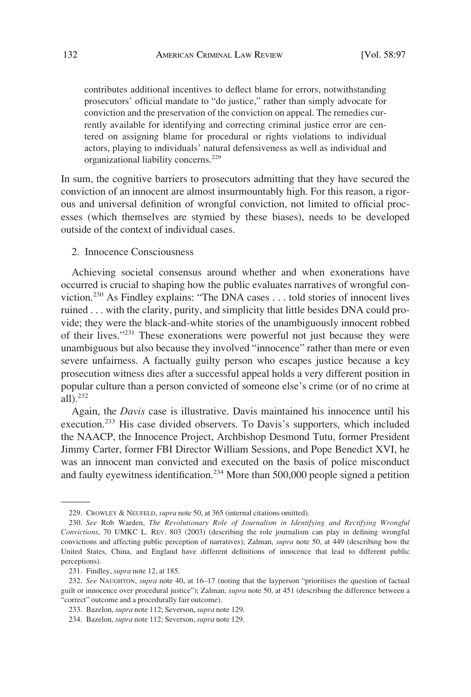<span id="page-35-0"></span>contributes additional incentives to deflect blame for errors, notwithstanding prosecutors' official mandate to "do justice," rather than simply advocate for conviction and the preservation of the conviction on appeal. The remedies currently available for identifying and correcting criminal justice error are centered on assigning blame for procedural or rights violations to individual actors, playing to individuals' natural defensiveness as well as individual and organizational liability concerns.<sup>229</sup>

In sum, the cognitive barriers to prosecutors admitting that they have secured the conviction of an innocent are almost insurmountably high. For this reason, a rigorous and universal definition of wrongful conviction, not limited to official processes (which themselves are stymied by these biases), needs to be developed outside of the context of individual cases.

2. Innocence Consciousness

Achieving societal consensus around whether and when exonerations have occurred is crucial to shaping how the public evaluates narratives of wrongful conviction.230 As Findley explains: "The DNA cases . . . told stories of innocent lives ruined . . . with the clarity, purity, and simplicity that little besides DNA could provide; they were the black-and-white stories of the unambiguously innocent robbed of their lives."231 These exonerations were powerful not just because they were unambiguous but also because they involved "innocence" rather than mere or even severe unfairness. A factually guilty person who escapes justice because a key prosecution witness dies after a successful appeal holds a very different position in popular culture than a person convicted of someone else's crime (or of no crime at all).232

Again, the *Davis* case is illustrative. Davis maintained his innocence until his execution.233 His case divided observers. To Davis's supporters, which included the NAACP, the Innocence Project, Archbishop Desmond Tutu, former President Jimmy Carter, former FBI Director William Sessions, and Pope Benedict XVI, he was an innocent man convicted and executed on the basis of police misconduct and faulty eyewitness identification.<sup>234</sup> More than 500,000 people signed a petition

<sup>229.</sup> CROWLEY & NEUFELD, *supra* note 50, at 365 (internal citations omitted).

<sup>230.</sup> *See* Rob Warden, *The Revolutionary Role of Journalism in Identifying and Rectifying Wrongful Convictions*, 70 UMKC L. REV. 803 (2003) (describing the role journalism can play in defining wrongful convictions and affecting public perception of narratives); Zalman, *supra* note 50, at 449 (describing how the United States, China, and England have different definitions of innocence that lead to different public perceptions).

<sup>231.</sup> Findley, *supra* note 12, at 185.

<sup>232.</sup> *See* NAUGHTON, *supra* note 40, at 16–17 (noting that the layperson "prioritises the question of factual guilt or innocence over procedural justice"); Zalman, *supra* note 50, at 451 (describing the difference between a "correct" outcome and a procedurally fair outcome).

<sup>233.</sup> Bazelon, *supra* note 112; Severson, *supra* note 129.

<sup>234.</sup> Bazelon, *supra* note 112; Severson, *supra* note 129.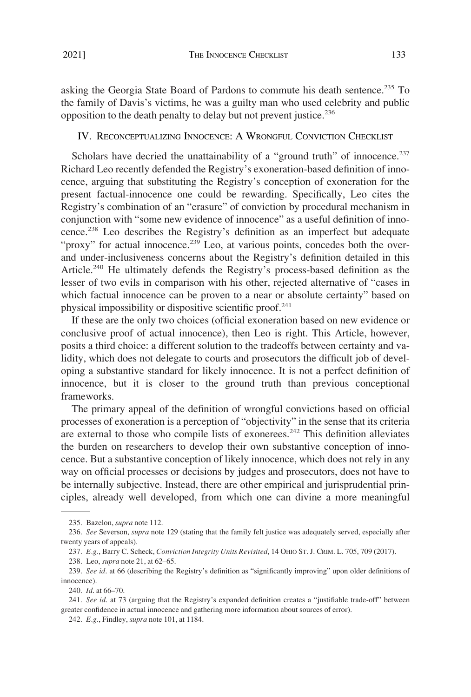<span id="page-36-0"></span>asking the Georgia State Board of Pardons to commute his death sentence.<sup>235</sup> To the family of Davis's victims, he was a guilty man who used celebrity and public opposition to the death penalty to delay but not prevent justice.<sup>236</sup>

IV. RECONCEPTUALIZING INNOCENCE: A WRONGFUL CONVICTION CHECKLIST

Scholars have decried the unattainability of a "ground truth" of innocence.<sup>237</sup> Richard Leo recently defended the Registry's exoneration-based definition of innocence, arguing that substituting the Registry's conception of exoneration for the present factual-innocence one could be rewarding. Specifically, Leo cites the Registry's combination of an "erasure" of conviction by procedural mechanism in conjunction with "some new evidence of innocence" as a useful definition of innocence.238 Leo describes the Registry's definition as an imperfect but adequate "proxy" for actual innocence.<sup>239</sup> Leo, at various points, concedes both the overand under-inclusiveness concerns about the Registry's definition detailed in this Article.<sup>240</sup> He ultimately defends the Registry's process-based definition as the lesser of two evils in comparison with his other, rejected alternative of "cases in which factual innocence can be proven to a near or absolute certainty" based on physical impossibility or dispositive scientific proof.241

If these are the only two choices (official exoneration based on new evidence or conclusive proof of actual innocence), then Leo is right. This Article, however, posits a third choice: a different solution to the tradeoffs between certainty and validity, which does not delegate to courts and prosecutors the difficult job of developing a substantive standard for likely innocence. It is not a perfect definition of innocence, but it is closer to the ground truth than previous conceptional frameworks.

The primary appeal of the definition of wrongful convictions based on official processes of exoneration is a perception of "objectivity" in the sense that its criteria are external to those who compile lists of exonerees.<sup>242</sup> This definition alleviates the burden on researchers to develop their own substantive conception of innocence. But a substantive conception of likely innocence, which does not rely in any way on official processes or decisions by judges and prosecutors, does not have to be internally subjective. Instead, there are other empirical and jurisprudential principles, already well developed, from which one can divine a more meaningful

240. *Id*. at 66–70.

<sup>235.</sup> Bazelon, *supra* note 112.

<sup>236.</sup> *See* Severson, *supra* note 129 (stating that the family felt justice was adequately served, especially after twenty years of appeals).

<sup>237.</sup> *E.g*., Barry C. Scheck, *Conviction Integrity Units Revisited*, 14 OHIO ST. J. CRIM. L. 705, 709 (2017).

<sup>238.</sup> Leo, *supra* note 21, at 62–65.

<sup>239.</sup> *See id*. at 66 (describing the Registry's definition as "significantly improving" upon older definitions of innocence).

<sup>241.</sup> *See id*. at 73 (arguing that the Registry's expanded definition creates a "justifiable trade-off" between greater confidence in actual innocence and gathering more information about sources of error).

<sup>242.</sup> *E.g*., Findley, *supra* note 101, at 1184.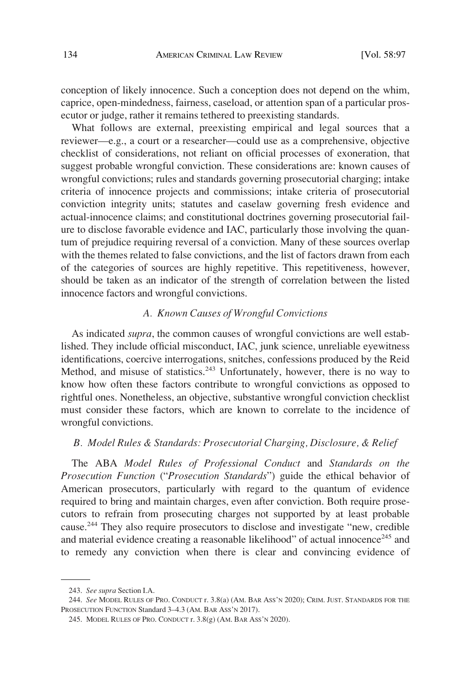<span id="page-37-0"></span>conception of likely innocence. Such a conception does not depend on the whim, caprice, open-mindedness, fairness, caseload, or attention span of a particular prosecutor or judge, rather it remains tethered to preexisting standards.

What follows are external, preexisting empirical and legal sources that a reviewer—e.g., a court or a researcher—could use as a comprehensive, objective checklist of considerations, not reliant on official processes of exoneration, that suggest probable wrongful conviction. These considerations are: known causes of wrongful convictions; rules and standards governing prosecutorial charging; intake criteria of innocence projects and commissions; intake criteria of prosecutorial conviction integrity units; statutes and caselaw governing fresh evidence and actual-innocence claims; and constitutional doctrines governing prosecutorial failure to disclose favorable evidence and IAC, particularly those involving the quantum of prejudice requiring reversal of a conviction. Many of these sources overlap with the themes related to false convictions, and the list of factors drawn from each of the categories of sources are highly repetitive. This repetitiveness, however, should be taken as an indicator of the strength of correlation between the listed innocence factors and wrongful convictions.

# *A. Known Causes of Wrongful Convictions*

As indicated *supra*, the common causes of wrongful convictions are well established. They include official misconduct, IAC, junk science, unreliable eyewitness identifications, coercive interrogations, snitches, confessions produced by the Reid Method, and misuse of statistics.<sup>243</sup> Unfortunately, however, there is no way to know how often these factors contribute to wrongful convictions as opposed to rightful ones. Nonetheless, an objective, substantive wrongful conviction checklist must consider these factors, which are known to correlate to the incidence of wrongful convictions.

# *B. Model Rules & Standards: Prosecutorial Charging, Disclosure, & Relief*

The ABA *Model Rules of Professional Conduct* and *Standards on the Prosecution Function* ("*Prosecution Standards*") guide the ethical behavior of American prosecutors, particularly with regard to the quantum of evidence required to bring and maintain charges, even after conviction. Both require prosecutors to refrain from prosecuting charges not supported by at least probable cause.244 They also require prosecutors to disclose and investigate "new, credible and material evidence creating a reasonable likelihood" of actual innocence $^{245}$  and to remedy any conviction when there is clear and convincing evidence of

<sup>243.</sup> *See supra* Section I.A.

<sup>244.</sup> *See* MODEL RULES OF PRO. CONDUCT r. 3.8(a) (AM. BAR ASS'N 2020); CRIM. JUST. STANDARDS FOR THE PROSECUTION FUNCTION Standard 3–4.3 (AM. BAR ASS'N 2017).

<sup>245.</sup> MODEL RULES OF PRO. CONDUCT r. 3.8(g) (AM. BAR ASS'N 2020).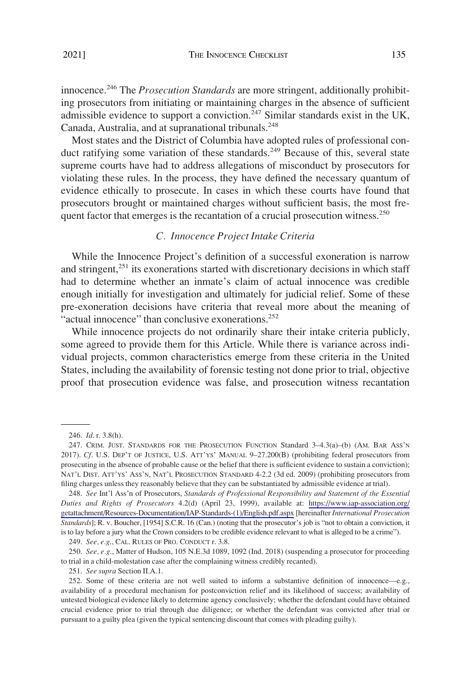<span id="page-38-0"></span>innocence.246 The *Prosecution Standards* are more stringent, additionally prohibiting prosecutors from initiating or maintaining charges in the absence of sufficient admissible evidence to support a conviction.<sup>247</sup> Similar standards exist in the UK, Canada, Australia, and at supranational tribunals.<sup>248</sup>

Most states and the District of Columbia have adopted rules of professional conduct ratifying some variation of these standards.<sup>249</sup> Because of this, several state supreme courts have had to address allegations of misconduct by prosecutors for violating these rules. In the process, they have defined the necessary quantum of evidence ethically to prosecute. In cases in which these courts have found that prosecutors brought or maintained charges without sufficient basis, the most frequent factor that emerges is the recantation of a crucial prosecution witness.<sup>250</sup>

# *C. Innocence Project Intake Criteria*

While the Innocence Project's definition of a successful exoneration is narrow and stringent, $^{251}$  its exonerations started with discretionary decisions in which staff had to determine whether an inmate's claim of actual innocence was credible enough initially for investigation and ultimately for judicial relief. Some of these pre-exoneration decisions have criteria that reveal more about the meaning of "actual innocence" than conclusive exonerations.<sup>252</sup>

While innocence projects do not ordinarily share their intake criteria publicly, some agreed to provide them for this Article. While there is variance across individual projects, common characteristics emerge from these criteria in the United States, including the availability of forensic testing not done prior to trial, objective proof that prosecution evidence was false, and prosecution witness recantation

249. *See, e.g*., CAL. RULES OF PRO. CONDUCT r. 3.8.

250. *See, e.g*., Matter of Hudson, 105 N.E.3d 1089, 1092 (Ind. 2018) (suspending a prosecutor for proceeding to trial in a child-molestation case after the complaining witness credibly recanted).

251. *See supra* Section II.A.1.

<sup>246.</sup> *Id*. r. 3.8(h).

<sup>247.</sup> CRIM. JUST. STANDARDS FOR THE PROSECUTION FUNCTION Standard 3–4.3(a)–(b) (AM. BAR ASS'N 2017). *Cf*. U.S. DEP'T OF JUSTICE, U.S. ATT'YS' MANUAL 9–27.200(B) (prohibiting federal prosecutors from prosecuting in the absence of probable cause or the belief that there is sufficient evidence to sustain a conviction); NAT'L DIST. ATT'YS' ASS'N, NAT'L PROSECUTION STANDARD 4-2.2 (3d ed. 2009) (prohibiting prosecutors from filing charges unless they reasonably believe that they can be substantiated by admissible evidence at trial).

*See* Int'l Ass'n of Prosecutors, *Standards of Professional Responsibility and Statement of the Essential*  248. *Duties and Rights of Prosecutors* 4.2(d) (April 23, 1999), available at: [https://www.iap-association.org/](https://www.iap-association.org/getattachment/Resources-Documentation/IAP-Standards-(1)/English.pdf.aspx)  [getattachment/Resources-Documentation/IAP-Standards-\(1\)/English.pdf.aspx](https://www.iap-association.org/getattachment/Resources-Documentation/IAP-Standards-(1)/English.pdf.aspx) [hereinafter *International Prosecution Standards*]; R. v. Boucher, [1954] S.C.R. 16 (Can.) (noting that the prosecutor's job is "not to obtain a conviction, it is to lay before a jury what the Crown considers to be credible evidence relevant to what is alleged to be a crime").

<sup>252.</sup> Some of these criteria are not well suited to inform a substantive definition of innocence—e.g., availability of a procedural mechanism for postconviction relief and its likelihood of success; availability of untested biological evidence likely to determine agency conclusively; whether the defendant could have obtained crucial evidence prior to trial through due diligence; or whether the defendant was convicted after trial or pursuant to a guilty plea (given the typical sentencing discount that comes with pleading guilty).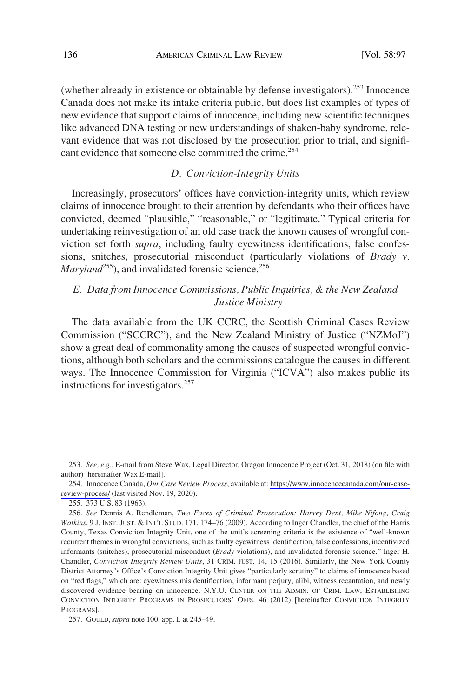<span id="page-39-0"></span>(whether already in existence or obtainable by defense investigators).253 Innocence Canada does not make its intake criteria public, but does list examples of types of new evidence that support claims of innocence, including new scientific techniques like advanced DNA testing or new understandings of shaken-baby syndrome, relevant evidence that was not disclosed by the prosecution prior to trial, and significant evidence that someone else committed the crime.<sup>254</sup>

# *D. Conviction-Integrity Units*

Increasingly, prosecutors' offices have conviction-integrity units, which review claims of innocence brought to their attention by defendants who their offices have convicted, deemed "plausible," "reasonable," or "legitimate." Typical criteria for undertaking reinvestigation of an old case track the known causes of wrongful conviction set forth *supra*, including faulty eyewitness identifications, false confessions, snitches, prosecutorial misconduct (particularly violations of *Brady v. Maryland*<sup>255</sup>), and invalidated forensic science.<sup>256</sup>

# *E. Data from Innocence Commissions, Public Inquiries, & the New Zealand Justice Ministry*

The data available from the UK CCRC, the Scottish Criminal Cases Review Commission ("SCCRC"), and the New Zealand Ministry of Justice ("NZMoJ") show a great deal of commonality among the causes of suspected wrongful convictions, although both scholars and the commissions catalogue the causes in different ways. The Innocence Commission for Virginia ("ICVA") also makes public its instructions for investigators.<sup>257</sup>

<sup>253.</sup> *See, e.g*., E-mail from Steve Wax, Legal Director, Oregon Innocence Project (Oct. 31, 2018) (on file with author) [hereinafter Wax E-mail].

<sup>254.</sup> Innocence Canada, Our Case Review Process, available at: [https://www.innocencecanada.com/our-case](https://www.innocencecanada.com/our-case-review-process/)[review-process/](https://www.innocencecanada.com/our-case-review-process/) (last visited Nov. 19, 2020).

<sup>255. 373</sup> U.S. 83 (1963).

<sup>256.</sup> *See* Dennis A. Rendleman, *Two Faces of Criminal Prosecution: Harvey Dent, Mike Nifong, Craig Watkins*, 9 J. INST. JUST. & INT'L STUD. 171, 174–76 (2009). According to Inger Chandler, the chief of the Harris County, Texas Conviction Integrity Unit, one of the unit's screening criteria is the existence of "well-known recurrent themes in wrongful convictions, such as faulty eyewitness identification, false confessions, incentivized informants (snitches), prosecutorial misconduct (*Brady* violations), and invalidated forensic science." Inger H. Chandler, *Conviction Integrity Review Units*, 31 CRIM. JUST. 14, 15 (2016). Similarly, the New York County District Attorney's Office's Conviction Integrity Unit gives "particularly scrutiny" to claims of innocence based on "red flags," which are: eyewitness misidentification, informant perjury, alibi, witness recantation, and newly discovered evidence bearing on innocence. N.Y.U. CENTER ON THE ADMIN. OF CRIM. LAW, ESTABLISHING CONVICTION INTEGRITY PROGRAMS IN PROSECUTORS' OFFS. 46 (2012) [hereinafter CONVICTION INTEGRITY PROGRAMS].

<sup>257.</sup> GOULD, *supra* note 100, app. I. at 245–49.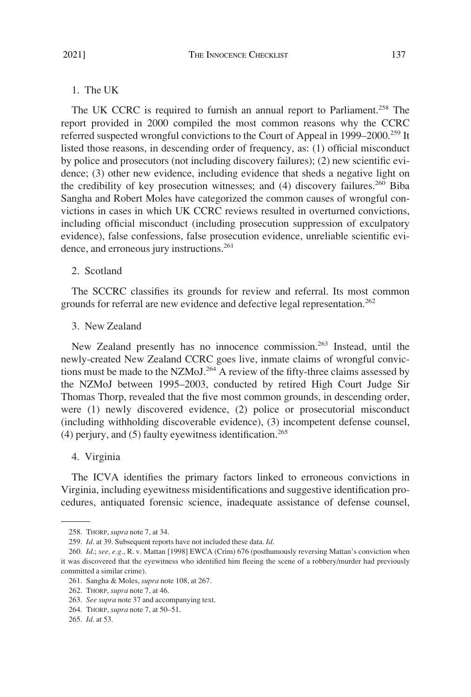<span id="page-40-0"></span>The UK CCRC is required to furnish an annual report to Parliament.<sup>258</sup> The report provided in 2000 compiled the most common reasons why the CCRC referred suspected wrongful convictions to the Court of Appeal in 1999–2000.<sup>259</sup> It listed those reasons, in descending order of frequency, as: (1) official misconduct by police and prosecutors (not including discovery failures); (2) new scientific evidence; (3) other new evidence, including evidence that sheds a negative light on the credibility of key prosecution witnesses; and  $(4)$  discovery failures.<sup>260</sup> Biba Sangha and Robert Moles have categorized the common causes of wrongful convictions in cases in which UK CCRC reviews resulted in overturned convictions, including official misconduct (including prosecution suppression of exculpatory evidence), false confessions, false prosecution evidence, unreliable scientific evidence, and erroneous jury instructions.<sup>261</sup>

#### 2. Scotland

The SCCRC classifies its grounds for review and referral. Its most common grounds for referral are new evidence and defective legal representation.<sup>262</sup>

# 3. New Zealand

New Zealand presently has no innocence commission.<sup>263</sup> Instead, until the newly-created New Zealand CCRC goes live, inmate claims of wrongful convictions must be made to the NZMoJ.<sup>264</sup> A review of the fifty-three claims assessed by the NZMoJ between 1995–2003, conducted by retired High Court Judge Sir Thomas Thorp, revealed that the five most common grounds, in descending order, were (1) newly discovered evidence, (2) police or prosecutorial misconduct (including withholding discoverable evidence), (3) incompetent defense counsel, (4) perjury, and  $(5)$  faulty eyewitness identification.<sup>265</sup>

#### 4. Virginia

The ICVA identifies the primary factors linked to erroneous convictions in Virginia, including eyewitness misidentifications and suggestive identification procedures, antiquated forensic science, inadequate assistance of defense counsel,

<sup>258.</sup> THORP, *supra* note 7, at 34.

<sup>259.</sup> *Id*. at 39. Subsequent reports have not included these data. *Id*.

<sup>260.</sup> *Id*.; *see, e.g*., R. v. Mattan [1998] EWCA (Crim) 676 (posthumously reversing Mattan's conviction when it was discovered that the eyewitness who identified him fleeing the scene of a robbery/murder had previously committed a similar crime).

<sup>261.</sup> Sangha & Moles, *supra* note 108, at 267.

<sup>262.</sup> THORP, *supra* note 7, at 46.

<sup>263.</sup> *See supra* note 37 and accompanying text.

<sup>264.</sup> THORP, *supra* note 7, at 50–51.

<sup>265.</sup> *Id*. at 53.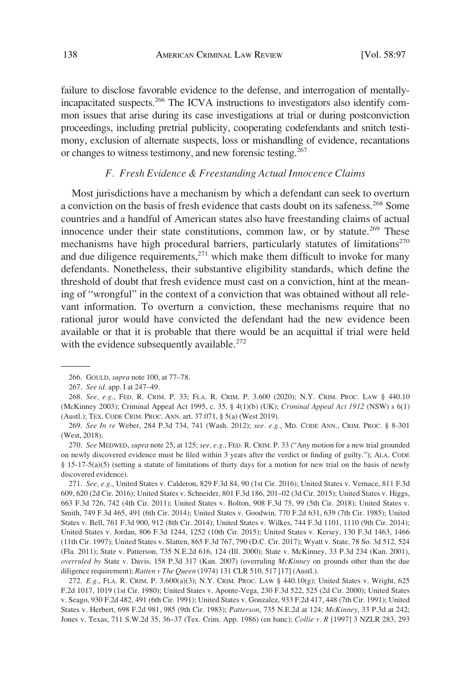<span id="page-41-0"></span>failure to disclose favorable evidence to the defense, and interrogation of mentallyincapacitated suspects.266 The ICVA instructions to investigators also identify common issues that arise during its case investigations at trial or during postconviction proceedings, including pretrial publicity, cooperating codefendants and snitch testimony, exclusion of alternate suspects, loss or mishandling of evidence, recantations or changes to witness testimony, and new forensic testing.<sup>267</sup>

# *F. Fresh Evidence & Freestanding Actual Innocence Claims*

Most jurisdictions have a mechanism by which a defendant can seek to overturn a conviction on the basis of fresh evidence that casts doubt on its safeness.<sup>268</sup> Some countries and a handful of American states also have freestanding claims of actual innocence under their state constitutions, common law, or by statute.<sup>269</sup> These mechanisms have high procedural barriers, particularly statutes of limitations<sup>270</sup> and due diligence requirements, $271$  which make them difficult to invoke for many defendants. Nonetheless, their substantive eligibility standards, which define the threshold of doubt that fresh evidence must cast on a conviction, hint at the meaning of "wrongful" in the context of a conviction that was obtained without all relevant information. To overturn a conviction, these mechanisms require that no rational juror would have convicted the defendant had the new evidence been available or that it is probable that there would be an acquittal if trial were held with the evidence subsequently available.<sup>272</sup>

<sup>266.</sup> GOULD, *supra* note 100, at 77–78.

<sup>267.</sup> *See id*. app. I at 247–49.

<sup>268.</sup> *See, e.g*., FED. R. CRIM. P. 33; FLA. R. CRIM. P. 3.600 (2020); N.Y. CRIM. PROC. LAW § 440.10 (McKinney 2003); Criminal Appeal Act 1995, c. 35, § 4(1)(b) (UK); *Criminal Appeal Act 1912* (NSW) s 6(1) (Austl.); TEX. CODE CRIM. PROC. ANN. art. 37.071, § 5(a) (West 2019).

<sup>269.</sup> *See In re* Weber, 284 P.3d 734, 741 (Wash. 2012); *see. e.g*., MD. CODE ANN., CRIM. PROC. § 8-301 (West, 2018).

<sup>270.</sup> *See* MEDWED, *supra* note 25, at 125; *see, e.g*., FED. R. CRIM. P. 33 ("Any motion for a new trial grounded on newly discovered evidence must be filed within 3 years after the verdict or finding of guilty."); ALA. CODE § 15-17-5(a)(5) (setting a statute of limitations of thirty days for a motion for new trial on the basis of newly discovered evidence).

<sup>271.</sup> *See, e.g*., United States v. Calderon, 829 F.3d 84, 90 (1st Cir. 2016); United States v. Vernace, 811 F.3d 609, 620 (2d Cir. 2016); United States v. Schneider, 801 F.3d 186, 201–02 (3d Cir. 2015); United States v. Higgs, 663 F.3d 726, 742 (4th Cir. 2011); United States v. Bolton, 908 F.3d 75, 99 (5th Cir. 2018); United States v. Smith, 749 F.3d 465, 491 (6th Cir. 2014); United States v. Goodwin, 770 F.2d 631, 639 (7th Cir. 1985); United States v. Bell, 761 F.3d 900, 912 (8th Cir. 2014); United States v. Wilkes, 744 F.3d 1101, 1110 (9th Cir. 2014); United States v. Jordan, 806 F.3d 1244, 1252 (10th Cir. 2015); United States v. Kersey, 130 F.3d 1463, 1466 (11th Cir. 1997); United States v. Slatten, 865 F.3d 767, 790 (D.C. Cir. 2017); Wyatt v. State, 78 So. 3d 512, 524 (Fla. 2011); State v. Patterson, 735 N.E.2d 616, 124 (Ill. 2000); State v. McKinney, 33 P.3d 234 (Kan. 2001), *overruled by* State v. Davis, 158 P.3d 317 (Kan. 2007) (overruling *McKinney* on grounds other than the due diligence requirement); *Ratten v The Queen* (1974) 131 CLR 510, 517 [17] (Austl.).

<sup>272.</sup> *E.g*., FLA. R. CRIM. P. 3.600(a)(3); N.Y. CRIM. PROC. LAW § 440.10(g); United States v. Wright, 625 F.2d 1017, 1019 (1st Cir. 1980); United States v. Aponte-Vega, 230 F.3d 522, 525 (2d Cir. 2000); United States v. Seago, 930 F.2d 482, 491 (6th Cir. 1991); United States v. Gonzalez, 933 F.2d 417, 448 (7th Cir. 1991); United States v. Herbert, 698 F.2d 981, 985 (9th Cir. 1983); *Patterson*, 735 N.E.2d at 124; *McKinney*, 33 P.3d at 242; Jones v. Texas, 711 S.W.2d 35, 36–37 (Tex. Crim. App. 1986) (en banc); *Collie v. R* [1997] 3 NZLR 283, 293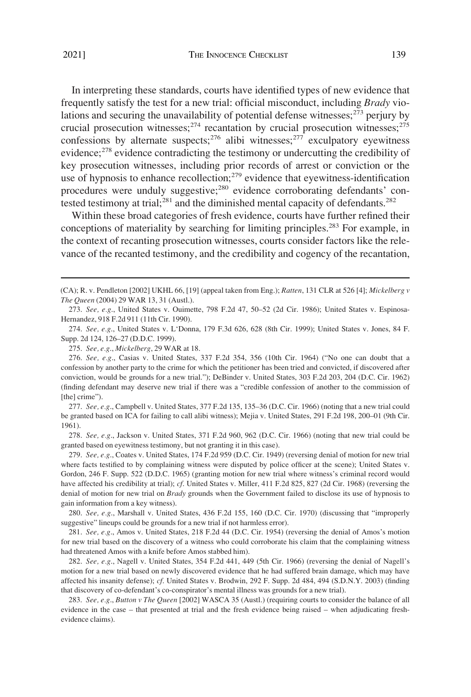In interpreting these standards, courts have identified types of new evidence that frequently satisfy the test for a new trial: official misconduct, including *Brady* violations and securing the unavailability of potential defense witnesses;  $2^{73}$  perjury by crucial prosecution witnesses; $^{274}$  recantation by crucial prosecution witnesses; $^{275}$ confessions by alternate suspects;<sup>276</sup> alibi witnesses;<sup>277</sup> exculpatory eyewitness evidence;<sup>278</sup> evidence contradicting the testimony or undercutting the credibility of key prosecution witnesses, including prior records of arrest or conviction or the use of hypnosis to enhance recollection; $^{279}$  evidence that eyewitness-identification procedures were unduly suggestive;<sup>280</sup> evidence corroborating defendants' contested testimony at trial;<sup>281</sup> and the diminished mental capacity of defendants.<sup>282</sup>

Within these broad categories of fresh evidence, courts have further refined their conceptions of materiality by searching for limiting principles.<sup>283</sup> For example, in the context of recanting prosecution witnesses, courts consider factors like the relevance of the recanted testimony, and the credibility and cogency of the recantation,

277. *See, e.g*., Campbell v. United States, 377 F.2d 135, 135–36 (D.C. Cir. 1966) (noting that a new trial could be granted based on ICA for failing to call alibi witness); Mejia v. United States, 291 F.2d 198, 200–01 (9th Cir. 1961).

278. *See, e.g*., Jackson v. United States, 371 F.2d 960, 962 (D.C. Cir. 1966) (noting that new trial could be granted based on eyewitness testimony, but not granting it in this case).

279. *See, e.g*., Coates v. United States, 174 F.2d 959 (D.C. Cir. 1949) (reversing denial of motion for new trial where facts testified to by complaining witness were disputed by police officer at the scene); United States v. Gordon, 246 F. Supp. 522 (D.D.C. 1965) (granting motion for new trial where witness's criminal record would have affected his credibility at trial); *cf*. United States v. Miller, 411 F.2d 825, 827 (2d Cir. 1968) (reversing the denial of motion for new trial on *Brady* grounds when the Government failed to disclose its use of hypnosis to gain information from a key witness).

280. *See, e.g*., Marshall v. United States, 436 F.2d 155, 160 (D.C. Cir. 1970) (discussing that "improperly suggestive" lineups could be grounds for a new trial if not harmless error).

281. *See, e.g*., Amos v. United States, 218 F.2d 44 (D.C. Cir. 1954) (reversing the denial of Amos's motion for new trial based on the discovery of a witness who could corroborate his claim that the complaining witness had threatened Amos with a knife before Amos stabbed him).

282. *See, e.g*., Nagell v. United States, 354 F.2d 441, 449 (5th Cir. 1966) (reversing the denial of Nagell's motion for a new trial based on newly discovered evidence that he had suffered brain damage, which may have affected his insanity defense); *cf*. United States v. Brodwin, 292 F. Supp. 2d 484, 494 (S.D.N.Y. 2003) (finding that discovery of co-defendant's co-conspirator's mental illness was grounds for a new trial).

283. *See, e.g*., *Button v The Queen* [2002] WASCA 35 (Austl.) (requiring courts to consider the balance of all evidence in the case – that presented at trial and the fresh evidence being raised – when adjudicating freshevidence claims).

<sup>(</sup>CA); R. v. Pendleton [2002] UKHL 66, [19] (appeal taken from Eng.); *Ratten*, 131 CLR at 526 [4]; *Mickelberg v The Queen* (2004) 29 WAR 13, 31 (Austl.).

<sup>273.</sup> *See, e.g*., United States v. Ouimette, 798 F.2d 47, 50–52 (2d Cir. 1986); United States v. Espinosa-Hernandez, 918 F.2d 911 (11th Cir. 1990).

<sup>274.</sup> *See, e.g*., United States v. L'Donna, 179 F.3d 626, 628 (8th Cir. 1999); United States v. Jones, 84 F. Supp. 2d 124, 126–27 (D.D.C. 1999).

<sup>275.</sup> *See, e.g*., *Mickelberg*, 29 WAR at 18.

<sup>276.</sup> *See, e.g*., Casias v. United States, 337 F.2d 354, 356 (10th Cir. 1964) ("No one can doubt that a confession by another party to the crime for which the petitioner has been tried and convicted, if discovered after conviction, would be grounds for a new trial."); DeBinder v. United States, 303 F.2d 203, 204 (D.C. Cir. 1962) (finding defendant may deserve new trial if there was a "credible confession of another to the commission of [the] crime").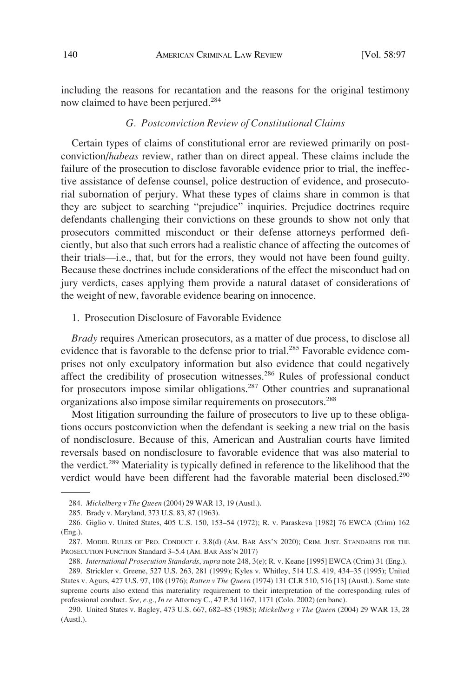<span id="page-43-0"></span>including the reasons for recantation and the reasons for the original testimony now claimed to have been perjured.<sup>284</sup>

# *G. Postconviction Review of Constitutional Claims*

Certain types of claims of constitutional error are reviewed primarily on postconviction/*habeas* review, rather than on direct appeal. These claims include the failure of the prosecution to disclose favorable evidence prior to trial, the ineffective assistance of defense counsel, police destruction of evidence, and prosecutorial subornation of perjury. What these types of claims share in common is that they are subject to searching "prejudice" inquiries. Prejudice doctrines require defendants challenging their convictions on these grounds to show not only that prosecutors committed misconduct or their defense attorneys performed deficiently, but also that such errors had a realistic chance of affecting the outcomes of their trials—i.e., that, but for the errors, they would not have been found guilty. Because these doctrines include considerations of the effect the misconduct had on jury verdicts, cases applying them provide a natural dataset of considerations of the weight of new, favorable evidence bearing on innocence.

1. Prosecution Disclosure of Favorable Evidence

*Brady* requires American prosecutors, as a matter of due process, to disclose all evidence that is favorable to the defense prior to trial.<sup>285</sup> Favorable evidence comprises not only exculpatory information but also evidence that could negatively affect the credibility of prosecution witnesses.<sup>286</sup> Rules of professional conduct for prosecutors impose similar obligations.<sup>287</sup> Other countries and supranational organizations also impose similar requirements on prosecutors.288

Most litigation surrounding the failure of prosecutors to live up to these obligations occurs postconviction when the defendant is seeking a new trial on the basis of nondisclosure. Because of this, American and Australian courts have limited reversals based on nondisclosure to favorable evidence that was also material to the verdict.<sup>289</sup> Materiality is typically defined in reference to the likelihood that the verdict would have been different had the favorable material been disclosed.<sup>290</sup>

<sup>284.</sup> *Mickelberg v The Queen* (2004) 29 WAR 13, 19 (Austl.).

<sup>285.</sup> Brady v. Maryland, 373 U.S. 83, 87 (1963).

<sup>286.</sup> Giglio v. United States, 405 U.S. 150, 153–54 (1972); R. v. Paraskeva [1982] 76 EWCA (Crim) 162 (Eng.).

<sup>287.</sup> MODEL RULES OF PRO. CONDUCT r. 3.8(d) (AM. BAR ASS'N 2020); CRIM. JUST. STANDARDS FOR THE PROSECUTION FUNCTION Standard 3–5.4 (AM. BAR ASS'N 2017)

<sup>288.</sup> *International Prosecution Standards*, *supra* note 248, 3(e); R. v. Keane [1995] EWCA (Crim) 31 (Eng.).

<sup>289.</sup> Strickler v. Greene, 527 U.S. 263, 281 (1999); Kyles v. Whitley, 514 U.S. 419, 434–35 (1995); United States v. Agurs, 427 U.S. 97, 108 (1976); *Ratten v The Queen* (1974) 131 CLR 510, 516 [13] (Austl.). Some state supreme courts also extend this materiality requirement to their interpretation of the corresponding rules of professional conduct. *See, e.g*., *In re* Attorney C., 47 P.3d 1167, 1171 (Colo. 2002) (en banc).

<sup>290.</sup> United States v. Bagley, 473 U.S. 667, 682–85 (1985); *Mickelberg v The Queen* (2004) 29 WAR 13, 28 (Austl.).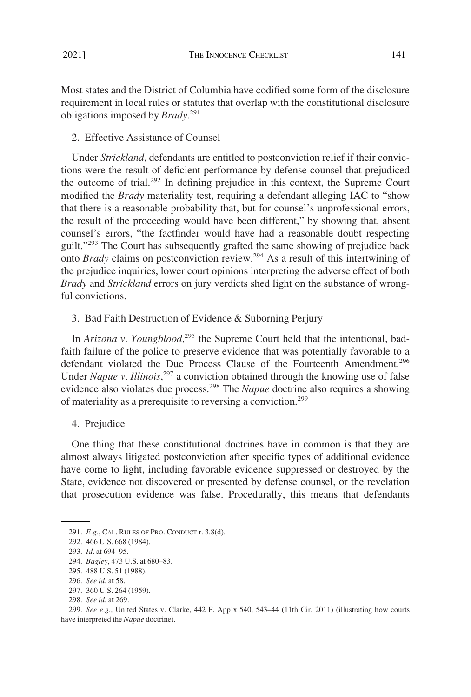<span id="page-44-0"></span>Most states and the District of Columbia have codified some form of the disclosure requirement in local rules or statutes that overlap with the constitutional disclosure obligations imposed by *Brady*. 291

2. Effective Assistance of Counsel

Under *Strickland*, defendants are entitled to postconviction relief if their convictions were the result of deficient performance by defense counsel that prejudiced the outcome of trial.292 In defining prejudice in this context, the Supreme Court modified the *Brady* materiality test, requiring a defendant alleging IAC to "show that there is a reasonable probability that, but for counsel's unprofessional errors, the result of the proceeding would have been different," by showing that, absent counsel's errors, "the factfinder would have had a reasonable doubt respecting guilt."<sup>293</sup> The Court has subsequently grafted the same showing of prejudice back onto *Brady* claims on postconviction review.294 As a result of this intertwining of the prejudice inquiries, lower court opinions interpreting the adverse effect of both *Brady* and *Strickland* errors on jury verdicts shed light on the substance of wrongful convictions.

3. Bad Faith Destruction of Evidence & Suborning Perjury

In *Arizona v. Youngblood*<sup>295</sup>, the Supreme Court held that the intentional, badfaith failure of the police to preserve evidence that was potentially favorable to a defendant violated the Due Process Clause of the Fourteenth Amendment.<sup>296</sup> Under *Napue v. Illinois*,<sup>297</sup> a conviction obtained through the knowing use of false evidence also violates due process.298 The *Napue* doctrine also requires a showing of materiality as a prerequisite to reversing a conviction.<sup>299</sup>

4. Prejudice

One thing that these constitutional doctrines have in common is that they are almost always litigated postconviction after specific types of additional evidence have come to light, including favorable evidence suppressed or destroyed by the State, evidence not discovered or presented by defense counsel, or the revelation that prosecution evidence was false. Procedurally, this means that defendants

<sup>291.</sup> *E.g*., CAL. RULES OF PRO. CONDUCT r. 3.8(d).

<sup>292. 466</sup> U.S. 668 (1984).

<sup>293.</sup> *Id*. at 694–95.

<sup>294.</sup> *Bagley*, 473 U.S. at 680–83.

<sup>295. 488</sup> U.S. 51 (1988).

<sup>296.</sup> *See id*. at 58.

<sup>297. 360</sup> U.S. 264 (1959).

<sup>298.</sup> *See id*. at 269.

<sup>299.</sup> *See e.g*., United States v. Clarke, 442 F. App'x 540, 543–44 (11th Cir. 2011) (illustrating how courts have interpreted the *Napue* doctrine).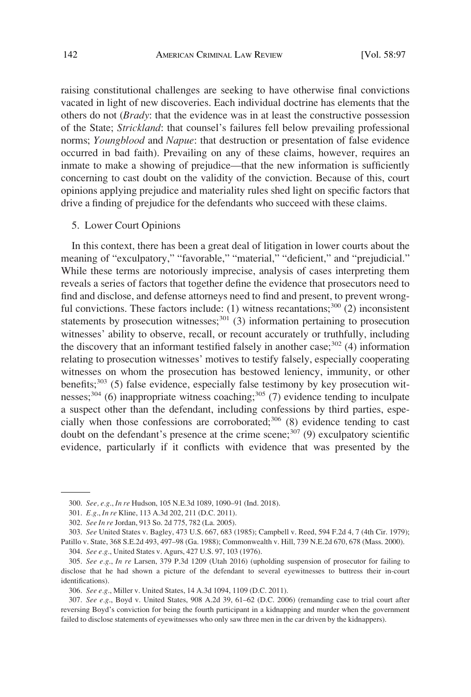<span id="page-45-0"></span>raising constitutional challenges are seeking to have otherwise final convictions vacated in light of new discoveries. Each individual doctrine has elements that the others do not (*Brady*: that the evidence was in at least the constructive possession of the State; *Strickland*: that counsel's failures fell below prevailing professional norms; *Youngblood* and *Napue*: that destruction or presentation of false evidence occurred in bad faith). Prevailing on any of these claims, however, requires an inmate to make a showing of prejudice—that the new information is sufficiently concerning to cast doubt on the validity of the conviction. Because of this, court opinions applying prejudice and materiality rules shed light on specific factors that drive a finding of prejudice for the defendants who succeed with these claims.

#### 5. Lower Court Opinions

In this context, there has been a great deal of litigation in lower courts about the meaning of "exculpatory," "favorable," "material," "deficient," and "prejudicial." While these terms are notoriously imprecise, analysis of cases interpreting them reveals a series of factors that together define the evidence that prosecutors need to find and disclose, and defense attorneys need to find and present, to prevent wrongful convictions. These factors include: (1) witness recantations;<sup>300</sup> (2) inconsistent statements by prosecution witnesses;<sup>301</sup> (3) information pertaining to prosecution witnesses' ability to observe, recall, or recount accurately or truthfully, including the discovery that an informant testified falsely in another case; $302$  (4) information relating to prosecution witnesses' motives to testify falsely, especially cooperating witnesses on whom the prosecution has bestowed leniency, immunity, or other benefits;<sup>303</sup> (5) false evidence, especially false testimony by key prosecution witnesses;<sup>304</sup> (6) inappropriate witness coaching;<sup>305</sup> (7) evidence tending to inculpate a suspect other than the defendant, including confessions by third parties, especially when those confessions are corroborated; $306$  (8) evidence tending to cast doubt on the defendant's presence at the crime scene;<sup>307</sup> (9) exculpatory scientific evidence, particularly if it conflicts with evidence that was presented by the

304. *See e.g*., United States v. Agurs, 427 U.S. 97, 103 (1976).

<sup>300.</sup> *See, e.g*., *In re* Hudson, 105 N.E.3d 1089, 1090–91 (Ind. 2018).

<sup>301.</sup> *E.g*., *In re* Kline, 113 A.3d 202, 211 (D.C. 2011).

<sup>302.</sup> *See In re* Jordan, 913 So. 2d 775, 782 (La. 2005).

<sup>303.</sup> *See* United States v. Bagley, 473 U.S. 667, 683 (1985); Campbell v. Reed, 594 F.2d 4, 7 (4th Cir. 1979); Patillo v. State, 368 S.E.2d 493, 497–98 (Ga. 1988); Commonwealth v. Hill, 739 N.E.2d 670, 678 (Mass. 2000).

<sup>305.</sup> *See e.g*., *In re* Larsen, 379 P.3d 1209 (Utah 2016) (upholding suspension of prosecutor for failing to disclose that he had shown a picture of the defendant to several eyewitnesses to buttress their in-court identifications).

<sup>306.</sup> *See e.g*., Miller v. United States, 14 A.3d 1094, 1109 (D.C. 2011).

<sup>307.</sup> *See e.g*., Boyd v. United States, 908 A.2d 39, 61–62 (D.C. 2006) (remanding case to trial court after reversing Boyd's conviction for being the fourth participant in a kidnapping and murder when the government failed to disclose statements of eyewitnesses who only saw three men in the car driven by the kidnappers).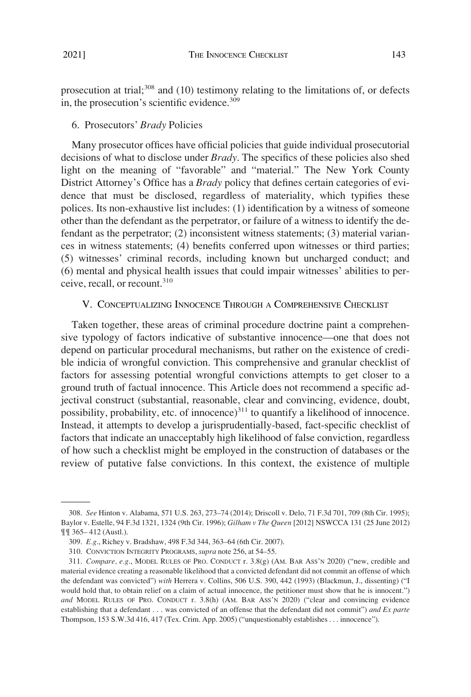<span id="page-46-0"></span>prosecution at trial;<sup>308</sup> and (10) testimony relating to the limitations of, or defects in, the prosecution's scientific evidence.<sup>309</sup>

### 6. Prosecutors' *Brady* Policies

Many prosecutor offices have official policies that guide individual prosecutorial decisions of what to disclose under *Brady*. The specifics of these policies also shed light on the meaning of "favorable" and "material." The New York County District Attorney's Office has a *Brady* policy that defines certain categories of evidence that must be disclosed, regardless of materiality, which typifies these polices. Its non-exhaustive list includes: (1) identification by a witness of someone other than the defendant as the perpetrator, or failure of a witness to identify the defendant as the perpetrator; (2) inconsistent witness statements; (3) material variances in witness statements; (4) benefits conferred upon witnesses or third parties; (5) witnesses' criminal records, including known but uncharged conduct; and (6) mental and physical health issues that could impair witnesses' abilities to perceive, recall, or recount.<sup>310</sup>

### V. CONCEPTUALIZING INNOCENCE THROUGH A COMPREHENSIVE CHECKLIST

Taken together, these areas of criminal procedure doctrine paint a comprehensive typology of factors indicative of substantive innocence—one that does not depend on particular procedural mechanisms, but rather on the existence of credible indicia of wrongful conviction. This comprehensive and granular checklist of factors for assessing potential wrongful convictions attempts to get closer to a ground truth of factual innocence. This Article does not recommend a specific adjectival construct (substantial, reasonable, clear and convincing, evidence, doubt, possibility, probability, etc. of innocence) $311$  to quantify a likelihood of innocence. Instead, it attempts to develop a jurisprudentially-based, fact-specific checklist of factors that indicate an unacceptably high likelihood of false conviction, regardless of how such a checklist might be employed in the construction of databases or the review of putative false convictions. In this context, the existence of multiple

<sup>308.</sup> *See* Hinton v. Alabama, 571 U.S. 263, 273–74 (2014); Driscoll v. Delo, 71 F.3d 701, 709 (8th Cir. 1995); Baylor v. Estelle, 94 F.3d 1321, 1324 (9th Cir. 1996); *Gilham v The Queen* [2012] NSWCCA 131 (25 June 2012) ¶¶ 365– 412 (Austl.).

<sup>309.</sup> *E.g*., Richey v. Bradshaw, 498 F.3d 344, 363–64 (6th Cir. 2007).

<sup>310.</sup> CONVICTION INTEGRITY PROGRAMS, *supra* note 256, at 54–55.

<sup>311.</sup> *Compare, e.g*., MODEL RULES OF PRO. CONDUCT r. 3.8(g) (AM. BAR ASS'N 2020) ("new, credible and material evidence creating a reasonable likelihood that a convicted defendant did not commit an offense of which the defendant was convicted") *with* Herrera v. Collins, 506 U.S. 390, 442 (1993) (Blackmun, J., dissenting) ("I would hold that, to obtain relief on a claim of actual innocence, the petitioner must show that he is innocent.") *and* MODEL RULES OF PRO. CONDUCT r. 3.8(h) (AM. BAR ASS'N 2020) ("clear and convincing evidence establishing that a defendant . . . was convicted of an offense that the defendant did not commit") *and Ex parte*  Thompson, 153 S.W.3d 416, 417 (Tex. Crim. App. 2005) ("unquestionably establishes . . . innocence").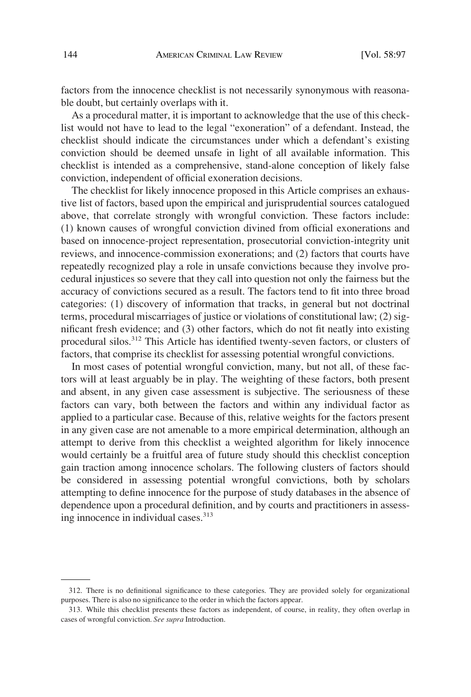factors from the innocence checklist is not necessarily synonymous with reasonable doubt, but certainly overlaps with it.

As a procedural matter, it is important to acknowledge that the use of this checklist would not have to lead to the legal "exoneration" of a defendant. Instead, the checklist should indicate the circumstances under which a defendant's existing conviction should be deemed unsafe in light of all available information. This checklist is intended as a comprehensive, stand-alone conception of likely false conviction, independent of official exoneration decisions.

The checklist for likely innocence proposed in this Article comprises an exhaustive list of factors, based upon the empirical and jurisprudential sources catalogued above, that correlate strongly with wrongful conviction. These factors include: (1) known causes of wrongful conviction divined from official exonerations and based on innocence-project representation, prosecutorial conviction-integrity unit reviews, and innocence-commission exonerations; and (2) factors that courts have repeatedly recognized play a role in unsafe convictions because they involve procedural injustices so severe that they call into question not only the fairness but the accuracy of convictions secured as a result. The factors tend to fit into three broad categories: (1) discovery of information that tracks, in general but not doctrinal terms, procedural miscarriages of justice or violations of constitutional law; (2) significant fresh evidence; and (3) other factors, which do not fit neatly into existing procedural silos.<sup>312</sup> This Article has identified twenty-seven factors, or clusters of factors, that comprise its checklist for assessing potential wrongful convictions.

In most cases of potential wrongful conviction, many, but not all, of these factors will at least arguably be in play. The weighting of these factors, both present and absent, in any given case assessment is subjective. The seriousness of these factors can vary, both between the factors and within any individual factor as applied to a particular case. Because of this, relative weights for the factors present in any given case are not amenable to a more empirical determination, although an attempt to derive from this checklist a weighted algorithm for likely innocence would certainly be a fruitful area of future study should this checklist conception gain traction among innocence scholars. The following clusters of factors should be considered in assessing potential wrongful convictions, both by scholars attempting to define innocence for the purpose of study databases in the absence of dependence upon a procedural definition, and by courts and practitioners in assessing innocence in individual cases.<sup>313</sup>

<sup>312.</sup> There is no definitional significance to these categories. They are provided solely for organizational purposes. There is also no significance to the order in which the factors appear.

<sup>313.</sup> While this checklist presents these factors as independent, of course, in reality, they often overlap in cases of wrongful conviction. *See supra* Introduction.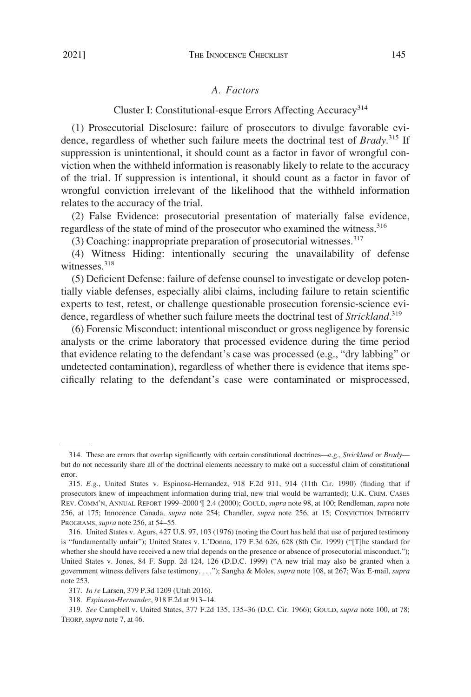# *A. Factors*

Cluster I: Constitutional-esque Errors Affecting Accuracy<sup>314</sup>

<span id="page-48-0"></span>(1) Prosecutorial Disclosure: failure of prosecutors to divulge favorable evidence, regardless of whether such failure meets the doctrinal test of *Brady*. 315 If suppression is unintentional, it should count as a factor in favor of wrongful conviction when the withheld information is reasonably likely to relate to the accuracy of the trial. If suppression is intentional, it should count as a factor in favor of wrongful conviction irrelevant of the likelihood that the withheld information relates to the accuracy of the trial.

(2) False Evidence: prosecutorial presentation of materially false evidence, regardless of the state of mind of the prosecutor who examined the witness.<sup>316</sup>

(3) Coaching: inappropriate preparation of prosecutorial witnesses.317

(4) Witness Hiding: intentionally securing the unavailability of defense witnesses.<sup>318</sup>

(5) Deficient Defense: failure of defense counsel to investigate or develop potentially viable defenses, especially alibi claims, including failure to retain scientific experts to test, retest, or challenge questionable prosecution forensic-science evidence, regardless of whether such failure meets the doctrinal test of *Strickland*. 319

(6) Forensic Misconduct: intentional misconduct or gross negligence by forensic analysts or the crime laboratory that processed evidence during the time period that evidence relating to the defendant's case was processed (e.g., "dry labbing" or undetected contamination), regardless of whether there is evidence that items specifically relating to the defendant's case were contaminated or misprocessed,

<sup>314.</sup> These are errors that overlap significantly with certain constitutional doctrines—e.g., *Strickland* or *Brady* but do not necessarily share all of the doctrinal elements necessary to make out a successful claim of constitutional error.

<sup>315.</sup> *E.g*., United States v. Espinosa-Hernandez, 918 F.2d 911, 914 (11th Cir. 1990) (finding that if prosecutors knew of impeachment information during trial, new trial would be warranted); U.K. CRIM. CASES REV. COMM'N, ANNUAL REPORT 1999–2000 ¶ 2.4 (2000); GOULD, *supra* note 98, at 100; Rendleman, *supra* note 256, at 175; Innocence Canada, *supra* note 254; Chandler, *supra* note 256, at 15; CONVICTION INTEGRITY PROGRAMS, *supra* note 256, at 54–55.

<sup>316.</sup> United States v. Agurs, 427 U.S. 97, 103 (1976) (noting the Court has held that use of perjured testimony is "fundamentally unfair"); United States v. L'Donna, 179 F.3d 626, 628 (8th Cir. 1999) ("[T]he standard for whether she should have received a new trial depends on the presence or absence of prosecutorial misconduct."); United States v. Jones, 84 F. Supp. 2d 124, 126 (D.D.C. 1999) ("A new trial may also be granted when a government witness delivers false testimony. . . ."); Sangha & Moles, *supra* note 108, at 267; Wax E-mail, *supra*  note 253.

<sup>317.</sup> *In re* Larsen, 379 P.3d 1209 (Utah 2016).

<sup>318.</sup> *Espinosa-Hernandez*, 918 F.2d at 913–14.

<sup>319.</sup> *See* Campbell v. United States, 377 F.2d 135, 135–36 (D.C. Cir. 1966); GOULD, *supra* note 100, at 78; THORP, *supra* note 7, at 46.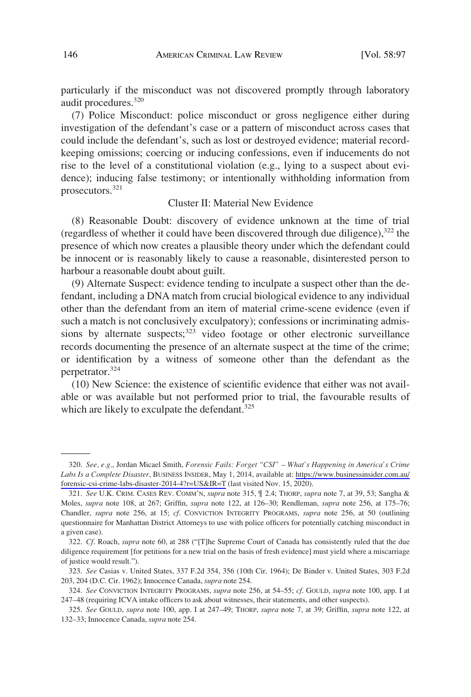particularly if the misconduct was not discovered promptly through laboratory audit procedures.320

(7) Police Misconduct: police misconduct or gross negligence either during investigation of the defendant's case or a pattern of misconduct across cases that could include the defendant's, such as lost or destroyed evidence; material recordkeeping omissions; coercing or inducing confessions, even if inducements do not rise to the level of a constitutional violation (e.g., lying to a suspect about evidence); inducing false testimony; or intentionally withholding information from prosecutors.<sup>321</sup>

# Cluster II: Material New Evidence

(8) Reasonable Doubt: discovery of evidence unknown at the time of trial (regardless of whether it could have been discovered through due diligence),322 the presence of which now creates a plausible theory under which the defendant could be innocent or is reasonably likely to cause a reasonable, disinterested person to harbour a reasonable doubt about guilt.

(9) Alternate Suspect: evidence tending to inculpate a suspect other than the defendant, including a DNA match from crucial biological evidence to any individual other than the defendant from an item of material crime-scene evidence (even if such a match is not conclusively exculpatory); confessions or incriminating admissions by alternate suspects;<sup>323</sup> video footage or other electronic surveillance records documenting the presence of an alternate suspect at the time of the crime; or identification by a witness of someone other than the defendant as the perpetrator.324

(10) New Science: the existence of scientific evidence that either was not available or was available but not performed prior to trial, the favourable results of which are likely to exculpate the defendant.<sup>325</sup>

*See, e.g*., Jordan Micael Smith, *Forensic Fails: Forget "CSI" – What's Happening in America's Crime*  320. *Labs Is a Complete Disaster*, BUSINESS INSIDER, May 1, 2014, available at: [https://www.businessinsider.com.au/](https://www.businessinsider.com.au/forensic-csi-crime-labs-disaster-2014-4?r=US&IR=T)  [forensic-csi-crime-labs-disaster-2014-4?r=US&IR=T](https://www.businessinsider.com.au/forensic-csi-crime-labs-disaster-2014-4?r=US&IR=T) (last visited Nov. 15, 2020).

<sup>321.</sup> *See* U.K. CRIM. CASES REV. COMM'N, *supra* note 315, ¶ 2.4; THORP, *supra* note 7, at 39, 53; Sangha & Moles, *supra* note 108, at 267; Griffin, *supra* note 122, at 126–30; Rendleman, *supra* note 256, at 175–76; Chandler, *supra* note 256, at 15; *cf*. CONVICTION INTEGRITY PROGRAMS, *supra* note 256, at 50 (outlining questionnaire for Manhattan District Attorneys to use with police officers for potentially catching misconduct in a given case).

<sup>322.</sup> *Cf*. Roach, *supra* note 60, at 288 ("[T]he Supreme Court of Canada has consistently ruled that the due diligence requirement [for petitions for a new trial on the basis of fresh evidence] must yield where a miscarriage of justice would result.").

<sup>323.</sup> *See* Casias v. United States, 337 F.2d 354, 356 (10th Cir. 1964); De Binder v. United States, 303 F.2d 203, 204 (D.C. Cir. 1962); Innocence Canada, *supra* note 254.

<sup>324.</sup> *See* CONVICTION INTEGRITY PROGRAMS, *supra* note 256, at 54–55; *cf*. GOULD, *supra* note 100, app. I at 247–48 (requiring ICVA intake officers to ask about witnesses, their statements, and other suspects).

<sup>325.</sup> *See* GOULD, *supra* note 100, app. I at 247–49; THORP, *supra* note 7, at 39; Griffin, *supra* note 122, at 132–33; Innocence Canada, *supra* note 254.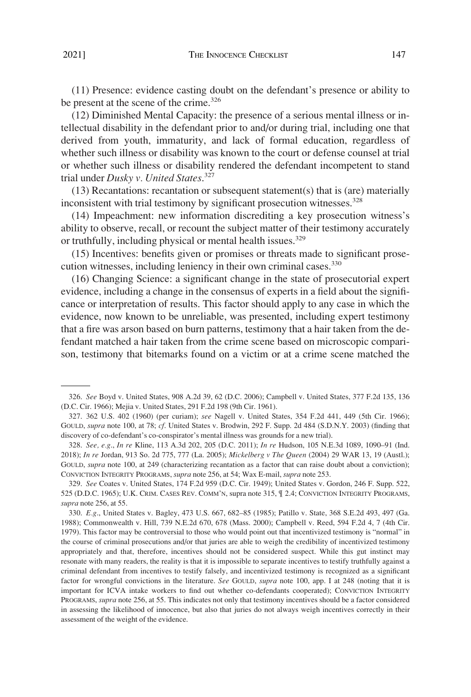(11) Presence: evidence casting doubt on the defendant's presence or ability to be present at the scene of the crime.<sup>326</sup>

(12) Diminished Mental Capacity: the presence of a serious mental illness or intellectual disability in the defendant prior to and/or during trial, including one that derived from youth, immaturity, and lack of formal education, regardless of whether such illness or disability was known to the court or defense counsel at trial or whether such illness or disability rendered the defendant incompetent to stand trial under *Dusky v. United States*. 327

(13) Recantations: recantation or subsequent statement(s) that is (are) materially inconsistent with trial testimony by significant prosecution witnesses.<sup>328</sup>

(14) Impeachment: new information discrediting a key prosecution witness's ability to observe, recall, or recount the subject matter of their testimony accurately or truthfully, including physical or mental health issues.<sup>329</sup>

(15) Incentives: benefits given or promises or threats made to significant prosecution witnesses, including leniency in their own criminal cases.<sup>330</sup>

(16) Changing Science: a significant change in the state of prosecutorial expert evidence, including a change in the consensus of experts in a field about the significance or interpretation of results. This factor should apply to any case in which the evidence, now known to be unreliable, was presented, including expert testimony that a fire was arson based on burn patterns, testimony that a hair taken from the defendant matched a hair taken from the crime scene based on microscopic comparison, testimony that bitemarks found on a victim or at a crime scene matched the

<sup>326.</sup> *See* Boyd v. United States, 908 A.2d 39, 62 (D.C. 2006); Campbell v. United States, 377 F.2d 135, 136 (D.C. Cir. 1966); Mejia v. United States, 291 F.2d 198 (9th Cir. 1961).

<sup>327. 362</sup> U.S. 402 (1960) (per curiam); *see* Nagell v. United States, 354 F.2d 441, 449 (5th Cir. 1966); GOULD, *supra* note 100, at 78; *cf*. United States v. Brodwin, 292 F. Supp. 2d 484 (S.D.N.Y. 2003) (finding that discovery of co-defendant's co-conspirator's mental illness was grounds for a new trial).

<sup>328.</sup> *See, e.g*., *In re* Kline, 113 A.3d 202, 205 (D.C. 2011); *In re* Hudson, 105 N.E.3d 1089, 1090–91 (Ind. 2018); *In re* Jordan, 913 So. 2d 775, 777 (La. 2005); *Mickelberg v The Queen* (2004) 29 WAR 13, 19 (Austl.); GOULD, *supra* note 100, at 249 (characterizing recantation as a factor that can raise doubt about a conviction); CONVICTION INTEGRITY PROGRAMS, *supra* note 256, at 54; Wax E-mail, *supra* note 253.

<sup>329.</sup> *See* Coates v. United States, 174 F.2d 959 (D.C. Cir. 1949); United States v. Gordon, 246 F. Supp. 522, 525 (D.D.C. 1965); U.K. CRIM. CASES REV. COMM'N, supra note 315, ¶ 2.4; CONVICTION INTEGRITY PROGRAMS, *supra* note 256, at 55.

<sup>330.</sup> *E.g*., United States v. Bagley, 473 U.S. 667, 682–85 (1985); Patillo v. State, 368 S.E.2d 493, 497 (Ga. 1988); Commonwealth v. Hill, 739 N.E.2d 670, 678 (Mass. 2000); Campbell v. Reed, 594 F.2d 4, 7 (4th Cir. 1979). This factor may be controversial to those who would point out that incentivized testimony is "normal" in the course of criminal prosecutions and/or that juries are able to weigh the credibility of incentivized testimony appropriately and that, therefore, incentives should not be considered suspect. While this gut instinct may resonate with many readers, the reality is that it is impossible to separate incentives to testify truthfully against a criminal defendant from incentives to testify falsely, and incentivized testimony is recognized as a significant factor for wrongful convictions in the literature. *See* GOULD, *supra* note 100, app. I at 248 (noting that it is important for ICVA intake workers to find out whether co-defendants cooperated); CONVICTION INTEGRITY PROGRAMS, *supra* note 256, at 55. This indicates not only that testimony incentives should be a factor considered in assessing the likelihood of innocence, but also that juries do not always weigh incentives correctly in their assessment of the weight of the evidence.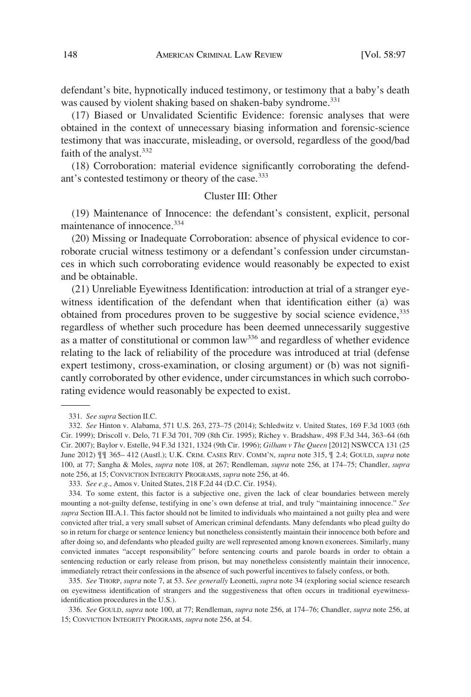defendant's bite, hypnotically induced testimony, or testimony that a baby's death was caused by violent shaking based on shaken-baby syndrome.<sup>331</sup>

(17) Biased or Unvalidated Scientific Evidence: forensic analyses that were obtained in the context of unnecessary biasing information and forensic-science testimony that was inaccurate, misleading, or oversold, regardless of the good/bad faith of the analyst.  $332$ 

(18) Corroboration: material evidence significantly corroborating the defendant's contested testimony or theory of the case.<sup>333</sup>

### Cluster III: Other

(19) Maintenance of Innocence: the defendant's consistent, explicit, personal maintenance of innocence.334

(20) Missing or Inadequate Corroboration: absence of physical evidence to corroborate crucial witness testimony or a defendant's confession under circumstances in which such corroborating evidence would reasonably be expected to exist and be obtainable.

(21) Unreliable Eyewitness Identification: introduction at trial of a stranger eyewitness identification of the defendant when that identification either (a) was obtained from procedures proven to be suggestive by social science evidence, 335 regardless of whether such procedure has been deemed unnecessarily suggestive as a matter of constitutional or common law336 and regardless of whether evidence relating to the lack of reliability of the procedure was introduced at trial (defense expert testimony, cross-examination, or closing argument) or (b) was not significantly corroborated by other evidence, under circumstances in which such corroborating evidence would reasonably be expected to exist.

335. *See* THORP, *supra* note 7, at 53. *See generally* Leonetti, *supra* note 34 (exploring social science research on eyewitness identification of strangers and the suggestiveness that often occurs in traditional eyewitnessidentification procedures in the U.S.).

336. *See* GOULD, *supra* note 100, at 77; Rendleman, *supra* note 256, at 174–76; Chandler, *supra* note 256, at 15; CONVICTION INTEGRITY PROGRAMS, *supra* note 256, at 54.

<sup>331.</sup> *See supra* Section II.C.

<sup>332.</sup> *See* Hinton v. Alabama, 571 U.S. 263, 273–75 (2014); Schledwitz v. United States, 169 F.3d 1003 (6th Cir. 1999); Driscoll v. Delo, 71 F.3d 701, 709 (8th Cir. 1995); Richey v. Bradshaw, 498 F.3d 344, 363–64 (6th Cir. 2007); Baylor v. Estelle, 94 F.3d 1321, 1324 (9th Cir. 1996); *Gilham v The Queen* [2012] NSWCCA 131 (25 June 2012) ¶¶ 365– 412 (Austl.); U.K. CRIM. CASES REV. COMM'N, *supra* note 315, ¶ 2.4; GOULD, *supra* note 100, at 77; Sangha & Moles, *supra* note 108, at 267; Rendleman, *supra* note 256, at 174–75; Chandler, *supra*  note 256, at 15; CONVICTION INTEGRITY PROGRAMS, *supra* note 256, at 46.

<sup>333.</sup> *See e.g*., Amos v. United States, 218 F.2d 44 (D.C. Cir. 1954).

<sup>334.</sup> To some extent, this factor is a subjective one, given the lack of clear boundaries between merely mounting a not-guilty defense, testifying in one's own defense at trial, and truly "maintaining innocence." *See supra* Section III.A.1. This factor should not be limited to individuals who maintained a not guilty plea and were convicted after trial, a very small subset of American criminal defendants. Many defendants who plead guilty do so in return for charge or sentence leniency but nonetheless consistently maintain their innocence both before and after doing so, and defendants who pleaded guilty are well represented among known exonerees. Similarly, many convicted inmates "accept responsibility" before sentencing courts and parole boards in order to obtain a sentencing reduction or early release from prison, but may nonetheless consistently maintain their innocence, immediately retract their confessions in the absence of such powerful incentives to falsely confess, or both.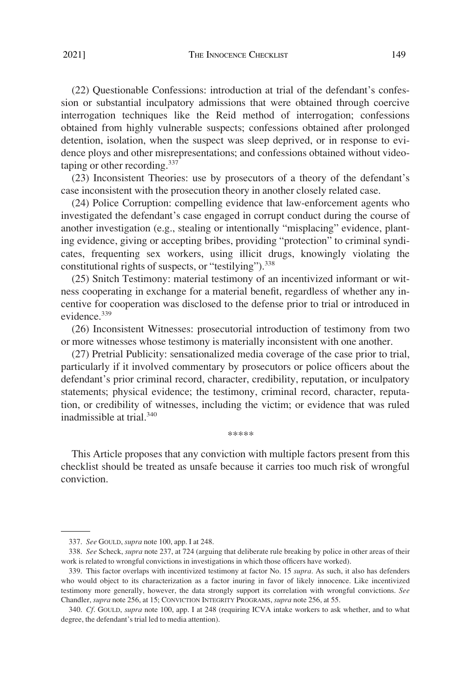(22) Questionable Confessions: introduction at trial of the defendant's confession or substantial inculpatory admissions that were obtained through coercive interrogation techniques like the Reid method of interrogation; confessions obtained from highly vulnerable suspects; confessions obtained after prolonged detention, isolation, when the suspect was sleep deprived, or in response to evidence ploys and other misrepresentations; and confessions obtained without videotaping or other recording.<sup>337</sup>

(23) Inconsistent Theories: use by prosecutors of a theory of the defendant's case inconsistent with the prosecution theory in another closely related case.

(24) Police Corruption: compelling evidence that law-enforcement agents who investigated the defendant's case engaged in corrupt conduct during the course of another investigation (e.g., stealing or intentionally "misplacing" evidence, planting evidence, giving or accepting bribes, providing "protection" to criminal syndicates, frequenting sex workers, using illicit drugs, knowingly violating the constitutional rights of suspects, or "testilying").  $338$ 

(25) Snitch Testimony: material testimony of an incentivized informant or witness cooperating in exchange for a material benefit, regardless of whether any incentive for cooperation was disclosed to the defense prior to trial or introduced in evidence.<sup>339</sup>

(26) Inconsistent Witnesses: prosecutorial introduction of testimony from two or more witnesses whose testimony is materially inconsistent with one another.

(27) Pretrial Publicity: sensationalized media coverage of the case prior to trial, particularly if it involved commentary by prosecutors or police officers about the defendant's prior criminal record, character, credibility, reputation, or inculpatory statements; physical evidence; the testimony, criminal record, character, reputation, or credibility of witnesses, including the victim; or evidence that was ruled inadmissible at trial.<sup>340</sup>

\*\*\*\*\*

This Article proposes that any conviction with multiple factors present from this checklist should be treated as unsafe because it carries too much risk of wrongful conviction.

<sup>337.</sup> *See* GOULD, *supra* note 100, app. I at 248.

<sup>338.</sup> *See* Scheck, *supra* note 237, at 724 (arguing that deliberate rule breaking by police in other areas of their work is related to wrongful convictions in investigations in which those officers have worked).

<sup>339.</sup> This factor overlaps with incentivized testimony at factor No. 15 *supra*. As such, it also has defenders who would object to its characterization as a factor inuring in favor of likely innocence. Like incentivized testimony more generally, however, the data strongly support its correlation with wrongful convictions. *See*  Chandler, *supra* note 256, at 15; CONVICTION INTEGRITY PROGRAMS, *supra* note 256, at 55.

<sup>340.</sup> *Cf*. GOULD, *supra* note 100, app. I at 248 (requiring ICVA intake workers to ask whether, and to what degree, the defendant's trial led to media attention).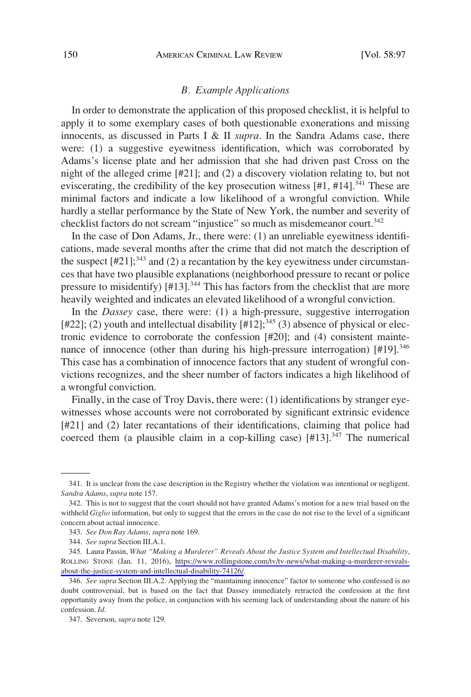# *B. Example Applications*

<span id="page-53-0"></span>In order to demonstrate the application of this proposed checklist, it is helpful to apply it to some exemplary cases of both questionable exonerations and missing innocents, as discussed in Parts I & II *supra*. In the Sandra Adams case, there were: (1) a suggestive eyewitness identification, which was corroborated by Adams's license plate and her admission that she had driven past Cross on the night of the alleged crime [#21]; and (2) a discovery violation relating to, but not eviscerating, the credibility of the key prosecution witness  $[#1, #14]$ <sup>341</sup> These are minimal factors and indicate a low likelihood of a wrongful conviction. While hardly a stellar performance by the State of New York, the number and severity of checklist factors do not scream "injustice" so much as misdemeanor court.<sup>342</sup>

In the case of Don Adams, Jr., there were: (1) an unreliable eyewitness identifications, made several months after the crime that did not match the description of the suspect  $[#21]$ ;<sup>343</sup> and (2) a recantation by the key eyewitness under circumstances that have two plausible explanations (neighborhood pressure to recant or police pressure to misidentify) [#13].<sup>344</sup> This has factors from the checklist that are more heavily weighted and indicates an elevated likelihood of a wrongful conviction.

In the *Dassey* case, there were: (1) a high-pressure, suggestive interrogation [#22]; (2) youth and intellectual disability  $[#12];<sup>345</sup>$  (3) absence of physical or electronic evidence to corroborate the confession [#20]; and (4) consistent maintenance of innocence (other than during his high-pressure interrogation)  $[#19]$ .<sup>346</sup> This case has a combination of innocence factors that any student of wrongful convictions recognizes, and the sheer number of factors indicates a high likelihood of a wrongful conviction.

Finally, in the case of Troy Davis, there were: (1) identifications by stranger eyewitnesses whose accounts were not corroborated by significant extrinsic evidence [#21] and (2) later recantations of their identifications, claiming that police had coerced them (a plausible claim in a cop-killing case)  $[#13]$ .<sup>347</sup> The numerical

<sup>341.</sup> It is unclear from the case description in the Registry whether the violation was intentional or negligent. *Sandra Adams*, *supra* note 157.

<sup>342.</sup> This is not to suggest that the court should not have granted Adams's motion for a new trial based on the withheld *Giglio* information, but only to suggest that the errors in the case do not rise to the level of a significant concern about actual innocence.

<sup>343.</sup> *See Don Ray Adams*, *supra* note 169.

<sup>344.</sup> *See supra* Section III.A.1.

Laura Passin, *What "Making a Murderer" Reveals About the Justice System and Intellectual Disability*, 345. ROLLING STONE (Jan. 11, 2016), [https://www.rollingstone.com/tv/tv-news/what-making-a-murderer-reveals](https://www.rollingstone.com/tv/tv-news/what-making-a-murderer-reveals-about-the-justice-system-and-intellectual-disability-74126/)[about-the-justice-system-and-intellectual-disability-74126/.](https://www.rollingstone.com/tv/tv-news/what-making-a-murderer-reveals-about-the-justice-system-and-intellectual-disability-74126/)

<sup>346.</sup> *See supra* Section III.A.2. Applying the "maintaining innocence" factor to someone who confessed is no doubt controversial, but is based on the fact that Dassey immediately retracted the confession at the first opportunity away from the police, in conjunction with his seeming lack of understanding about the nature of his confession. *Id*.

<sup>347.</sup> Severson, *supra* note 129.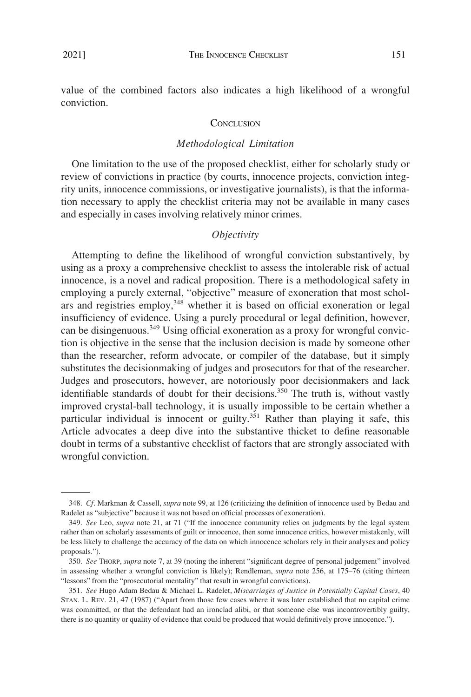<span id="page-54-0"></span>value of the combined factors also indicates a high likelihood of a wrongful conviction.

#### **CONCLUSION**

# *Methodological Limitation*

One limitation to the use of the proposed checklist, either for scholarly study or review of convictions in practice (by courts, innocence projects, conviction integrity units, innocence commissions, or investigative journalists), is that the information necessary to apply the checklist criteria may not be available in many cases and especially in cases involving relatively minor crimes.

# *Objectivity*

Attempting to define the likelihood of wrongful conviction substantively, by using as a proxy a comprehensive checklist to assess the intolerable risk of actual innocence, is a novel and radical proposition. There is a methodological safety in employing a purely external, "objective" measure of exoneration that most scholars and registries employ,  $348$  whether it is based on official exoneration or legal insufficiency of evidence. Using a purely procedural or legal definition, however, can be disingenuous.<sup>349</sup> Using official exoneration as a proxy for wrongful conviction is objective in the sense that the inclusion decision is made by someone other than the researcher, reform advocate, or compiler of the database, but it simply substitutes the decisionmaking of judges and prosecutors for that of the researcher. Judges and prosecutors, however, are notoriously poor decisionmakers and lack identifiable standards of doubt for their decisions.<sup>350</sup> The truth is, without vastly improved crystal-ball technology, it is usually impossible to be certain whether a particular individual is innocent or guilty.<sup>351</sup> Rather than playing it safe, this Article advocates a deep dive into the substantive thicket to define reasonable doubt in terms of a substantive checklist of factors that are strongly associated with wrongful conviction.

<sup>348.</sup> *Cf*. Markman & Cassell, *supra* note 99, at 126 (criticizing the definition of innocence used by Bedau and Radelet as "subjective" because it was not based on official processes of exoneration).

<sup>349.</sup> *See* Leo, *supra* note 21, at 71 ("If the innocence community relies on judgments by the legal system rather than on scholarly assessments of guilt or innocence, then some innocence critics, however mistakenly, will be less likely to challenge the accuracy of the data on which innocence scholars rely in their analyses and policy proposals.").

<sup>350.</sup> *See* THORP, *supra* note 7, at 39 (noting the inherent "significant degree of personal judgement" involved in assessing whether a wrongful conviction is likely); Rendleman, *supra* note 256, at 175–76 (citing thirteen "lessons" from the "prosecutorial mentality" that result in wrongful convictions).

<sup>351.</sup> *See* Hugo Adam Bedau & Michael L. Radelet, *Miscarriages of Justice in Potentially Capital Cases*, 40 STAN. L. REV. 21, 47 (1987) ("Apart from those few cases where it was later established that no capital crime was committed, or that the defendant had an ironclad alibi, or that someone else was incontrovertibly guilty, there is no quantity or quality of evidence that could be produced that would definitively prove innocence.").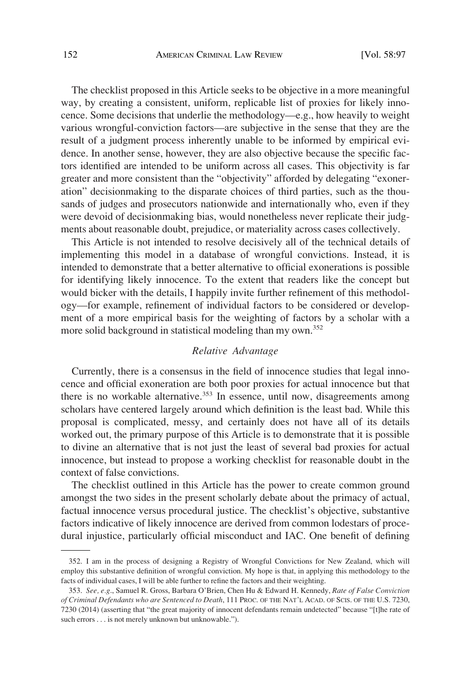The checklist proposed in this Article seeks to be objective in a more meaningful way, by creating a consistent, uniform, replicable list of proxies for likely innocence. Some decisions that underlie the methodology—e.g., how heavily to weight various wrongful-conviction factors—are subjective in the sense that they are the result of a judgment process inherently unable to be informed by empirical evidence. In another sense, however, they are also objective because the specific factors identified are intended to be uniform across all cases. This objectivity is far greater and more consistent than the "objectivity" afforded by delegating "exoneration" decisionmaking to the disparate choices of third parties, such as the thousands of judges and prosecutors nationwide and internationally who, even if they were devoid of decisionmaking bias, would nonetheless never replicate their judgments about reasonable doubt, prejudice, or materiality across cases collectively.

This Article is not intended to resolve decisively all of the technical details of implementing this model in a database of wrongful convictions. Instead, it is intended to demonstrate that a better alternative to official exonerations is possible for identifying likely innocence. To the extent that readers like the concept but would bicker with the details, I happily invite further refinement of this methodology—for example, refinement of individual factors to be considered or development of a more empirical basis for the weighting of factors by a scholar with a more solid background in statistical modeling than my own.352

# *Relative Advantage*

Currently, there is a consensus in the field of innocence studies that legal innocence and official exoneration are both poor proxies for actual innocence but that there is no workable alternative.<sup>353</sup> In essence, until now, disagreements among scholars have centered largely around which definition is the least bad. While this proposal is complicated, messy, and certainly does not have all of its details worked out, the primary purpose of this Article is to demonstrate that it is possible to divine an alternative that is not just the least of several bad proxies for actual innocence, but instead to propose a working checklist for reasonable doubt in the context of false convictions.

The checklist outlined in this Article has the power to create common ground amongst the two sides in the present scholarly debate about the primacy of actual, factual innocence versus procedural justice. The checklist's objective, substantive factors indicative of likely innocence are derived from common lodestars of procedural injustice, particularly official misconduct and IAC. One benefit of defining

<sup>352.</sup> I am in the process of designing a Registry of Wrongful Convictions for New Zealand, which will employ this substantive definition of wrongful conviction. My hope is that, in applying this methodology to the facts of individual cases, I will be able further to refine the factors and their weighting.

<sup>353.</sup> *See, e.g*., Samuel R. Gross, Barbara O'Brien, Chen Hu & Edward H. Kennedy, *Rate of False Conviction of Criminal Defendants who are Sentenced to Death*, 111 PROC. OF THE NAT'L ACAD. OF SCIS. OF THE U.S. 7230, 7230 (2014) (asserting that "the great majority of innocent defendants remain undetected" because "[t]he rate of such errors . . . is not merely unknown but unknowable.").